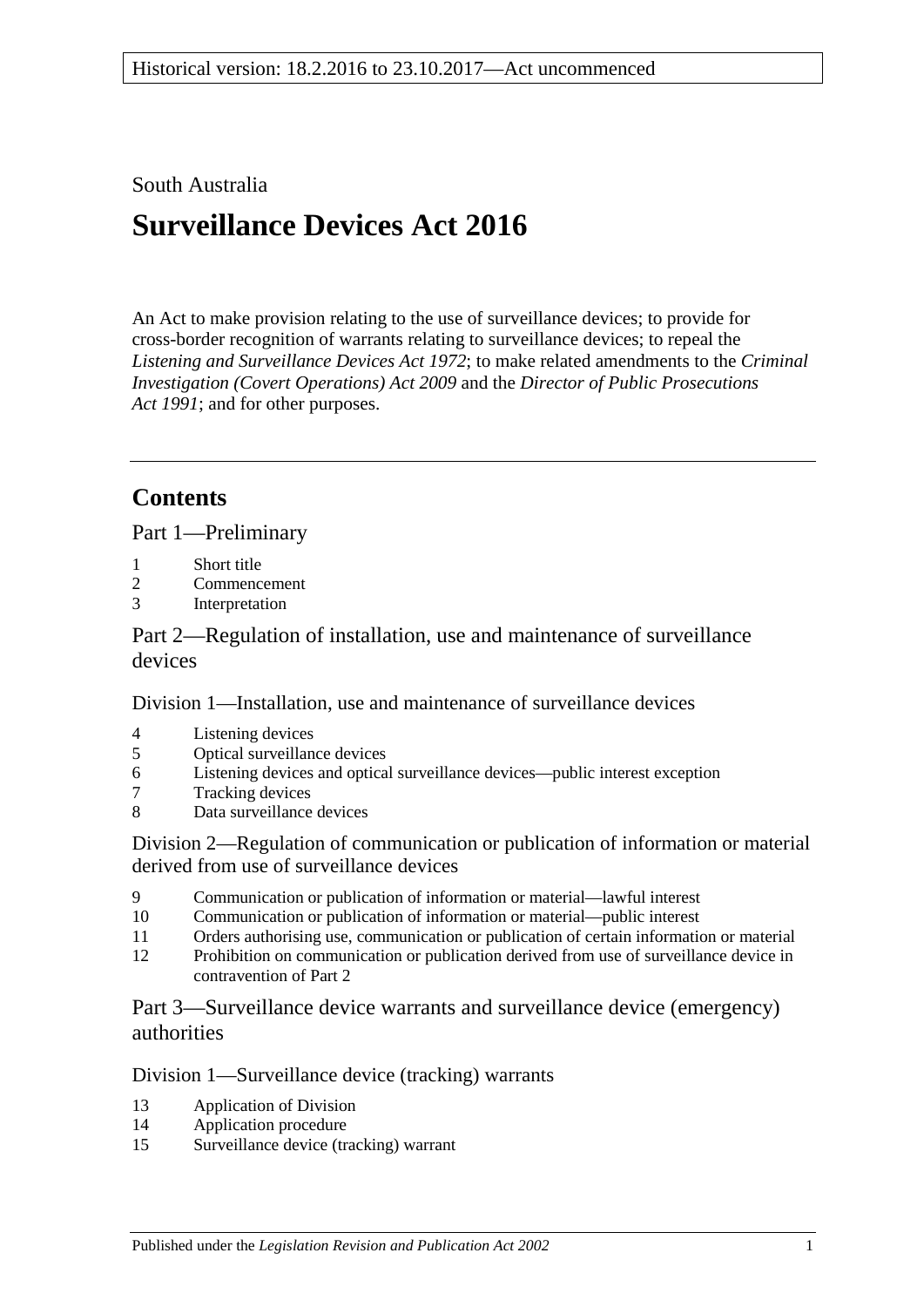## South Australia

# **Surveillance Devices Act 2016**

An Act to make provision relating to the use of surveillance devices; to provide for cross-border recognition of warrants relating to surveillance devices; to repeal the *[Listening and Surveillance Devices Act](http://www.legislation.sa.gov.au/index.aspx?action=legref&type=act&legtitle=Listening%20and%20Surveillance%20Devices%20Act%201972) 1972*; to make related amendments to the *[Criminal](http://www.legislation.sa.gov.au/index.aspx?action=legref&type=act&legtitle=Criminal%20Investigation%20(Covert%20Operations)%20Act%202009)  [Investigation \(Covert Operations\) Act](http://www.legislation.sa.gov.au/index.aspx?action=legref&type=act&legtitle=Criminal%20Investigation%20(Covert%20Operations)%20Act%202009) 2009* and the *[Director of Public Prosecutions](http://www.legislation.sa.gov.au/index.aspx?action=legref&type=act&legtitle=Director%20of%20Public%20Prosecutions%20Act%201991)  Act [1991](http://www.legislation.sa.gov.au/index.aspx?action=legref&type=act&legtitle=Director%20of%20Public%20Prosecutions%20Act%201991)*; and for other purposes.

## **Contents**

Part [1—Preliminary](#page-2-0)

- 1 [Short title](#page-2-1)<br>2 Commenc
- **[Commencement](#page-2-2)**
- 3 [Interpretation](#page-2-3)

Part [2—Regulation of installation, use and maintenance of surveillance](#page-8-0)  [devices](#page-8-0)

Division [1—Installation, use and maintenance of surveillance devices](#page-8-1)

- 4 [Listening devices](#page-8-2)<br>5 Optical surveillan
- 5 [Optical surveillance devices](#page-10-0)<br>6 Listening devices and optical
- 6 [Listening devices and optical surveillance devices—public interest exception](#page-12-0)
- 7 [Tracking devices](#page-12-1)<br>8 Data surveillance
- [Data surveillance devices](#page-13-0)

Division [2—Regulation of communication or publication of information or material](#page-13-1)  [derived from use of surveillance devices](#page-13-1)

- 9 [Communication or publication of information or material—lawful interest](#page-13-2)
- 10 [Communication or publication of information or material—public interest](#page-14-0)
- 11 [Orders authorising use, communication or publication of certain information or material](#page-15-0)
- 12 [Prohibition on communication or publication derived from use of surveillance device in](#page-15-1)  [contravention of Part](#page-15-1) 2

Part [3—Surveillance device warrants and surveillance device \(emergency\)](#page-16-0)  [authorities](#page-16-0)

### Division [1—Surveillance device \(tracking\) warrants](#page-16-1)

- 13 [Application of Division](#page-16-2)
- 14 [Application procedure](#page-16-3)
- 15 [Surveillance device \(tracking\) warrant](#page-17-0)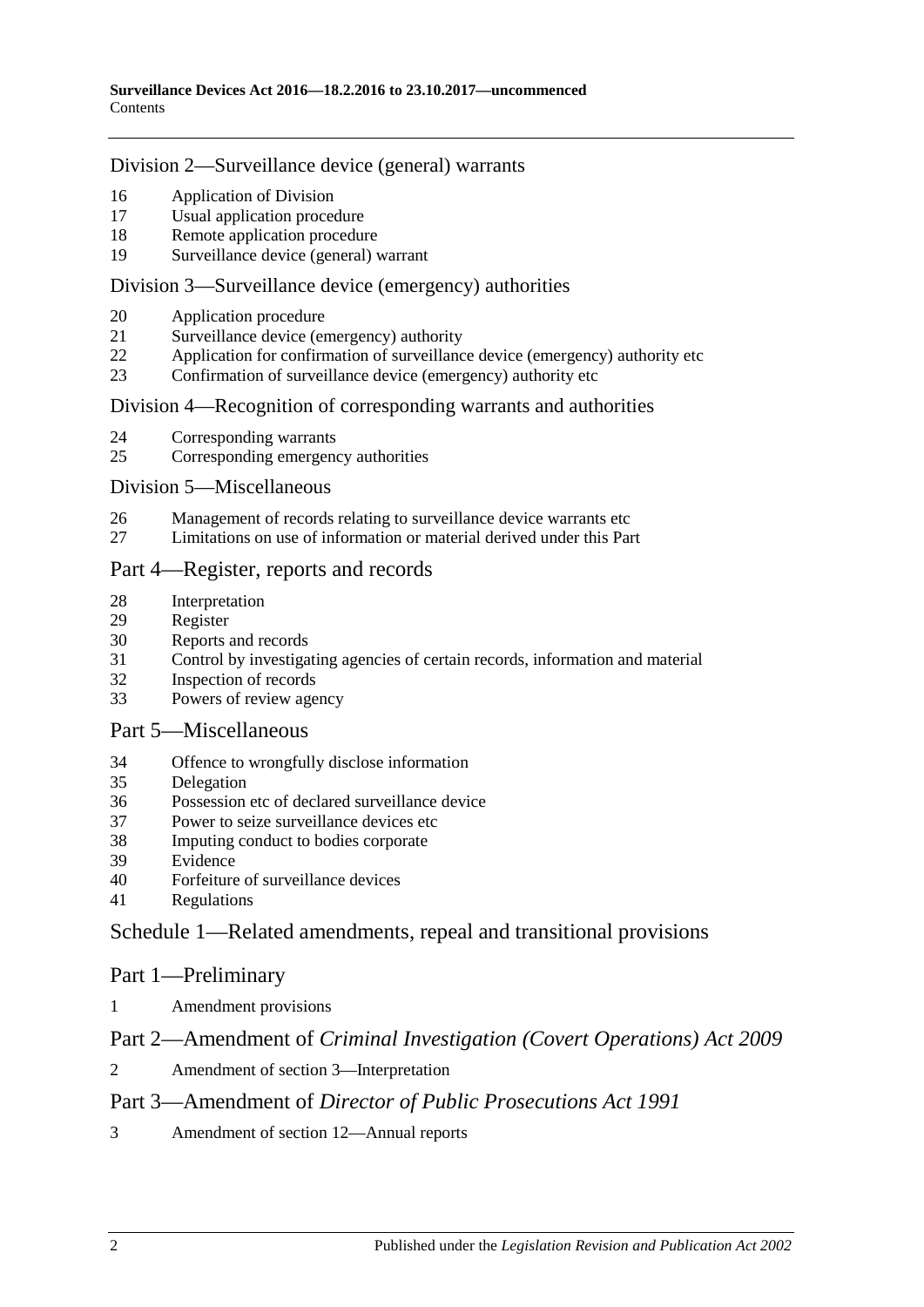#### Division [2—Surveillance device \(general\) warrants](#page-18-0)

- 16 [Application of Division](#page-18-1)<br>17 Isual application proces
- [Usual application procedure](#page-19-0)
- 18 [Remote application procedure](#page-19-1)<br>19 Surveillance device (general) y
- [Surveillance device \(general\) warrant](#page-21-0)

#### Division [3—Surveillance device \(emergency\) authorities](#page-23-0)

- 20 [Application procedure](#page-23-1)<br>21 Surveillance device (er
- 21 [Surveillance device \(emergency\) authority](#page-24-0)<br>22 Application for confirmation of surveillance
- [Application for confirmation of surveillance device \(emergency\) authority etc](#page-26-0)
- 23 [Confirmation of surveillance device \(emergency\) authority etc](#page-27-0)

#### Division 4—Recognition [of corresponding warrants and authorities](#page-28-0)

- 24 [Corresponding warrants](#page-28-1)<br>25 Corresponding emergency
- [Corresponding emergency authorities](#page-28-2)

#### Division [5—Miscellaneous](#page-28-3)

- 26 [Management of records relating to surveillance device warrants etc](#page-28-4)<br>27 I. imitations on use of information or material derived under this Par
- [Limitations on use of information or material derived under this Part](#page-28-5)

#### Part [4—Register, reports and records](#page-29-0)

- 
- 28 [Interpretation](#page-29-1)<br>29 Register [Register](#page-29-2)
- 30 [Reports and records](#page-31-0)<br>31 Control by investiga
- [Control by investigating agencies of certain records, information and material](#page-34-0)
- 32 [Inspection of records](#page-35-0)
- 33 [Powers of review agency](#page-35-1)

#### Part [5—Miscellaneous](#page-36-0)

- 34 [Offence to wrongfully disclose information](#page-36-1)
- 35 [Delegation](#page-37-0)
- 36 [Possession etc of declared surveillance device](#page-37-1)
- 37 [Power to seize surveillance devices etc](#page-38-0)
- 38 [Imputing conduct to bodies corporate](#page-39-0)<br>39 Evidence
- **[Evidence](#page-39-1)**
- 40 [Forfeiture of surveillance devices](#page-39-2)
- 41 [Regulations](#page-39-3)

### Schedule [1—Related amendments, repeal and transitional provisions](#page-40-0)

#### Part 1—Preliminary

1 [Amendment provisions](#page-40-1)

### Part 2—Amendment of *Criminal Investigation (Covert Operations) Act 2009*

2 [Amendment of section](#page-40-2) 3—Interpretation

### Part 3—Amendment of *Director of Public Prosecutions Act 1991*

3 [Amendment of section](#page-40-3) 12—Annual reports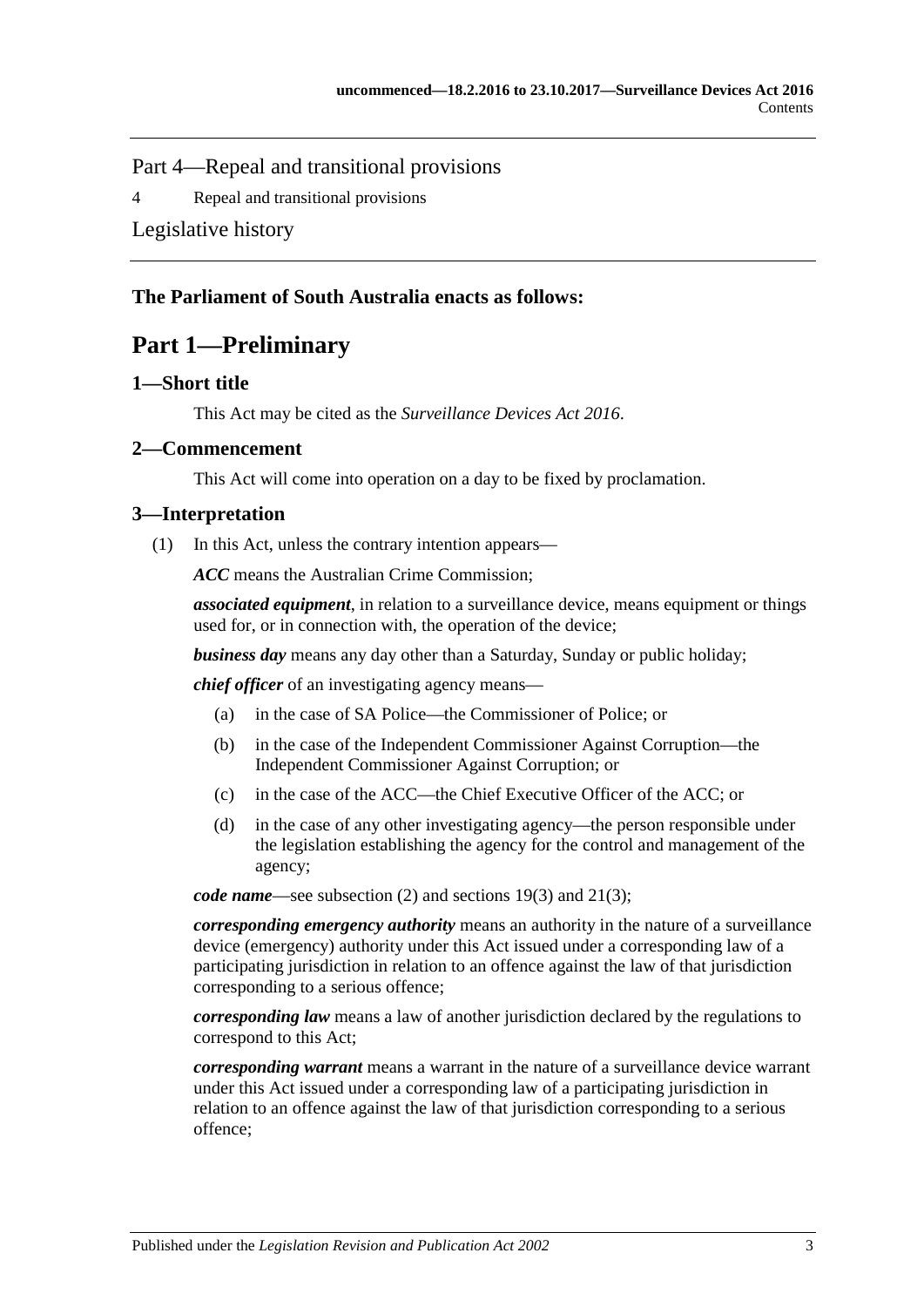Part 4—Repeal and transitional provisions

4 [Repeal and transitional provisions](#page-40-4)

[Legislative history](#page-42-0)

## <span id="page-2-0"></span>**The Parliament of South Australia enacts as follows:**

## **Part 1—Preliminary**

### <span id="page-2-1"></span>**1—Short title**

This Act may be cited as the *Surveillance Devices Act 2016*.

#### <span id="page-2-2"></span>**2—Commencement**

This Act will come into operation on a day to be fixed by proclamation.

### <span id="page-2-3"></span>**3—Interpretation**

(1) In this Act, unless the contrary intention appears—

*ACC* means the Australian Crime Commission;

*associated equipment*, in relation to a surveillance device, means equipment or things used for, or in connection with, the operation of the device;

*business day* means any day other than a Saturday, Sunday or public holiday;

*chief officer* of an investigating agency means—

- (a) in the case of SA Police—the Commissioner of Police; or
- (b) in the case of the Independent Commissioner Against Corruption—the Independent Commissioner Against Corruption; or
- (c) in the case of the ACC—the Chief Executive Officer of the ACC; or
- (d) in the case of any other investigating agency—the person responsible under the legislation establishing the agency for the control and management of the agency;

*code name*—see [subsection](#page-8-3) (2) and [sections](#page-22-0) 19(3) and [21\(3\);](#page-25-0)

*corresponding emergency authority* means an authority in the nature of a surveillance device (emergency) authority under this Act issued under a corresponding law of a participating jurisdiction in relation to an offence against the law of that jurisdiction corresponding to a serious offence;

*corresponding law* means a law of another jurisdiction declared by the regulations to correspond to this Act;

*corresponding warrant* means a warrant in the nature of a surveillance device warrant under this Act issued under a corresponding law of a participating jurisdiction in relation to an offence against the law of that jurisdiction corresponding to a serious offence;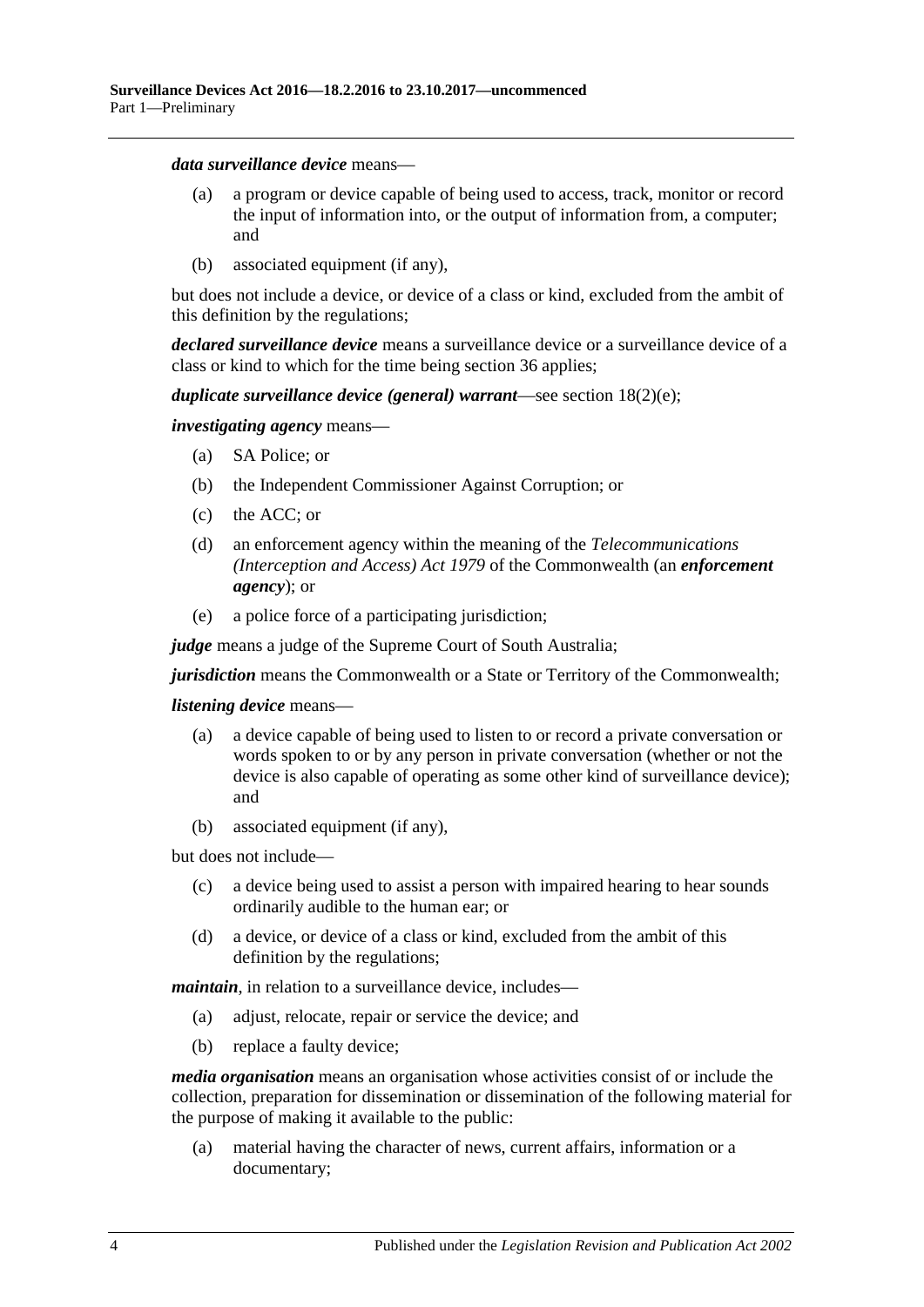#### *data surveillance device* means—

- (a) a program or device capable of being used to access, track, monitor or record the input of information into, or the output of information from, a computer; and
- (b) associated equipment (if any),

but does not include a device, or device of a class or kind, excluded from the ambit of this definition by the regulations;

*declared surveillance device* means a surveillance device or a surveillance device of a class or kind to which for the time being [section](#page-37-1) 36 applies;

#### *duplicate surveillance device (general) warrant*—see section [18\(2\)\(e\);](#page-20-0)

*investigating agency* means—

- (a) SA Police; or
- (b) the Independent Commissioner Against Corruption; or
- (c) the ACC; or
- (d) an enforcement agency within the meaning of the *Telecommunications (Interception and Access) Act 1979* of the Commonwealth (an *enforcement agency*); or
- (e) a police force of a participating jurisdiction;

*judge* means a judge of the Supreme Court of South Australia;

*jurisdiction* means the Commonwealth or a State or Territory of the Commonwealth;

#### *listening device* means—

- (a) a device capable of being used to listen to or record a private conversation or words spoken to or by any person in private conversation (whether or not the device is also capable of operating as some other kind of surveillance device); and
- (b) associated equipment (if any),

but does not include—

- (c) a device being used to assist a person with impaired hearing to hear sounds ordinarily audible to the human ear; or
- (d) a device, or device of a class or kind, excluded from the ambit of this definition by the regulations;

*maintain*, in relation to a surveillance device, includes—

- (a) adjust, relocate, repair or service the device; and
- (b) replace a faulty device;

*media organisation* means an organisation whose activities consist of or include the collection, preparation for dissemination or dissemination of the following material for the purpose of making it available to the public:

(a) material having the character of news, current affairs, information or a documentary;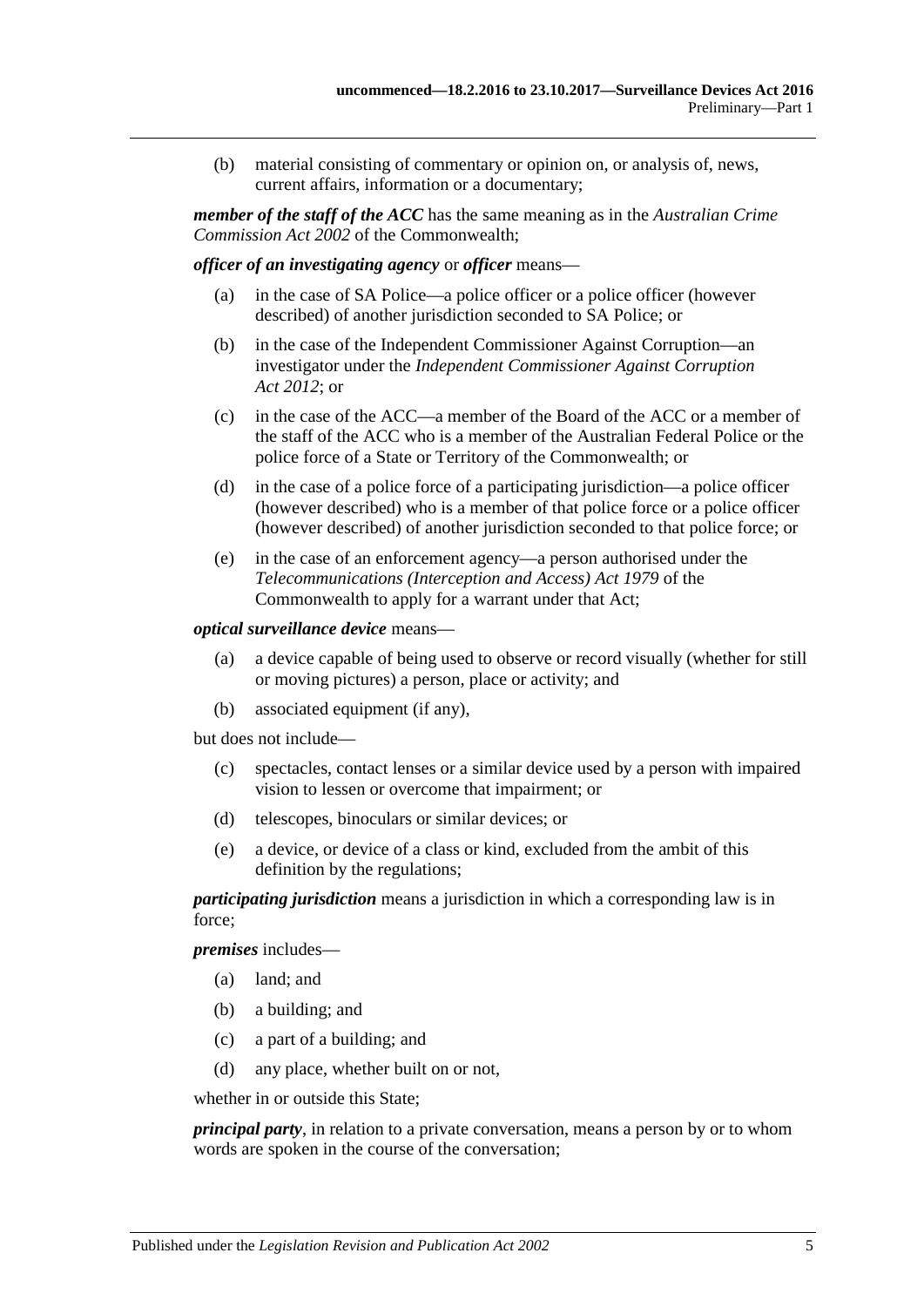(b) material consisting of commentary or opinion on, or analysis of, news, current affairs, information or a documentary;

*member of the staff of the ACC* has the same meaning as in the *Australian Crime Commission Act 2002* of the Commonwealth;

*officer of an investigating agency* or *officer* means—

- (a) in the case of SA Police—a police officer or a police officer (however described) of another jurisdiction seconded to SA Police; or
- (b) in the case of the Independent Commissioner Against Corruption—an investigator under the *[Independent Commissioner Against Corruption](http://www.legislation.sa.gov.au/index.aspx?action=legref&type=act&legtitle=Independent%20Commissioner%20Against%20Corruption%20Act%202012)  Act [2012](http://www.legislation.sa.gov.au/index.aspx?action=legref&type=act&legtitle=Independent%20Commissioner%20Against%20Corruption%20Act%202012)*; or
- (c) in the case of the ACC—a member of the Board of the ACC or a member of the staff of the ACC who is a member of the Australian Federal Police or the police force of a State or Territory of the Commonwealth; or
- (d) in the case of a police force of a participating jurisdiction—a police officer (however described) who is a member of that police force or a police officer (however described) of another jurisdiction seconded to that police force; or
- (e) in the case of an enforcement agency—a person authorised under the *Telecommunications (Interception and Access) Act 1979* of the Commonwealth to apply for a warrant under that Act;

#### *optical surveillance device* means—

- (a) a device capable of being used to observe or record visually (whether for still or moving pictures) a person, place or activity; and
- (b) associated equipment (if any),

but does not include—

- (c) spectacles, contact lenses or a similar device used by a person with impaired vision to lessen or overcome that impairment; or
- (d) telescopes, binoculars or similar devices; or
- (e) a device, or device of a class or kind, excluded from the ambit of this definition by the regulations;

*participating jurisdiction* means a jurisdiction in which a corresponding law is in force;

*premises* includes—

- (a) land; and
- (b) a building; and
- (c) a part of a building; and
- (d) any place, whether built on or not,

whether in or outside this State;

*principal party*, in relation to a private conversation, means a person by or to whom words are spoken in the course of the conversation;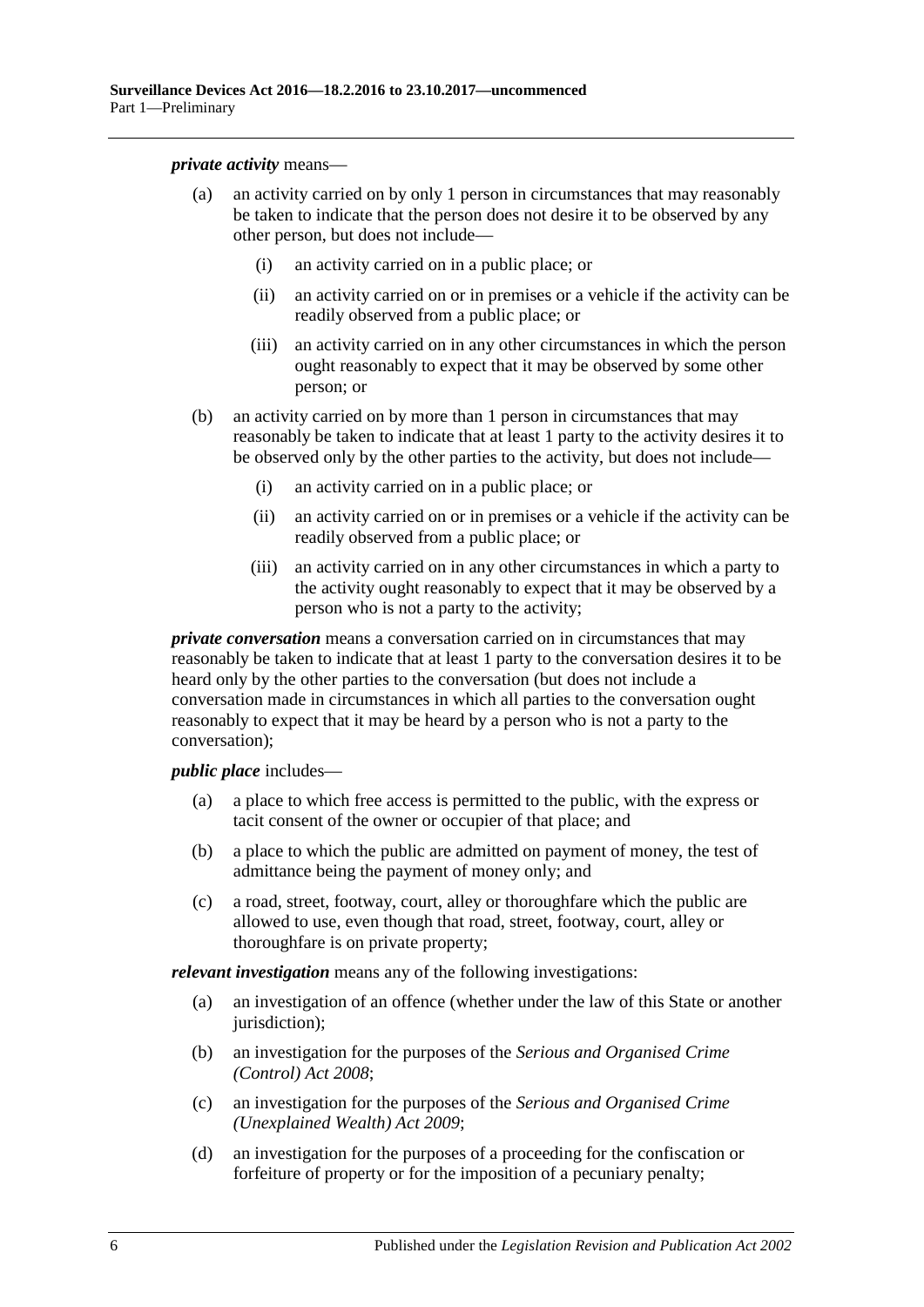*private activity* means—

- (a) an activity carried on by only 1 person in circumstances that may reasonably be taken to indicate that the person does not desire it to be observed by any other person, but does not include—
	- (i) an activity carried on in a public place; or
	- (ii) an activity carried on or in premises or a vehicle if the activity can be readily observed from a public place; or
	- (iii) an activity carried on in any other circumstances in which the person ought reasonably to expect that it may be observed by some other person; or
- (b) an activity carried on by more than 1 person in circumstances that may reasonably be taken to indicate that at least 1 party to the activity desires it to be observed only by the other parties to the activity, but does not include—
	- (i) an activity carried on in a public place; or
	- (ii) an activity carried on or in premises or a vehicle if the activity can be readily observed from a public place; or
	- (iii) an activity carried on in any other circumstances in which a party to the activity ought reasonably to expect that it may be observed by a person who is not a party to the activity;

*private conversation* means a conversation carried on in circumstances that may reasonably be taken to indicate that at least 1 party to the conversation desires it to be heard only by the other parties to the conversation (but does not include a conversation made in circumstances in which all parties to the conversation ought reasonably to expect that it may be heard by a person who is not a party to the conversation);

*public place* includes—

- (a) a place to which free access is permitted to the public, with the express or tacit consent of the owner or occupier of that place; and
- (b) a place to which the public are admitted on payment of money, the test of admittance being the payment of money only; and
- (c) a road, street, footway, court, alley or thoroughfare which the public are allowed to use, even though that road, street, footway, court, alley or thoroughfare is on private property;

*relevant investigation* means any of the following investigations:

- (a) an investigation of an offence (whether under the law of this State or another jurisdiction);
- (b) an investigation for the purposes of the *[Serious and Organised Crime](http://www.legislation.sa.gov.au/index.aspx?action=legref&type=act&legtitle=Serious%20and%20Organised%20Crime%20(Control)%20Act%202008)  [\(Control\) Act](http://www.legislation.sa.gov.au/index.aspx?action=legref&type=act&legtitle=Serious%20and%20Organised%20Crime%20(Control)%20Act%202008) 2008*;
- (c) an investigation for the purposes of the *[Serious and Organised Crime](http://www.legislation.sa.gov.au/index.aspx?action=legref&type=act&legtitle=Serious%20and%20Organised%20Crime%20(Unexplained%20Wealth)%20Act%202009)  [\(Unexplained Wealth\) Act](http://www.legislation.sa.gov.au/index.aspx?action=legref&type=act&legtitle=Serious%20and%20Organised%20Crime%20(Unexplained%20Wealth)%20Act%202009) 2009*;
- (d) an investigation for the purposes of a proceeding for the confiscation or forfeiture of property or for the imposition of a pecuniary penalty;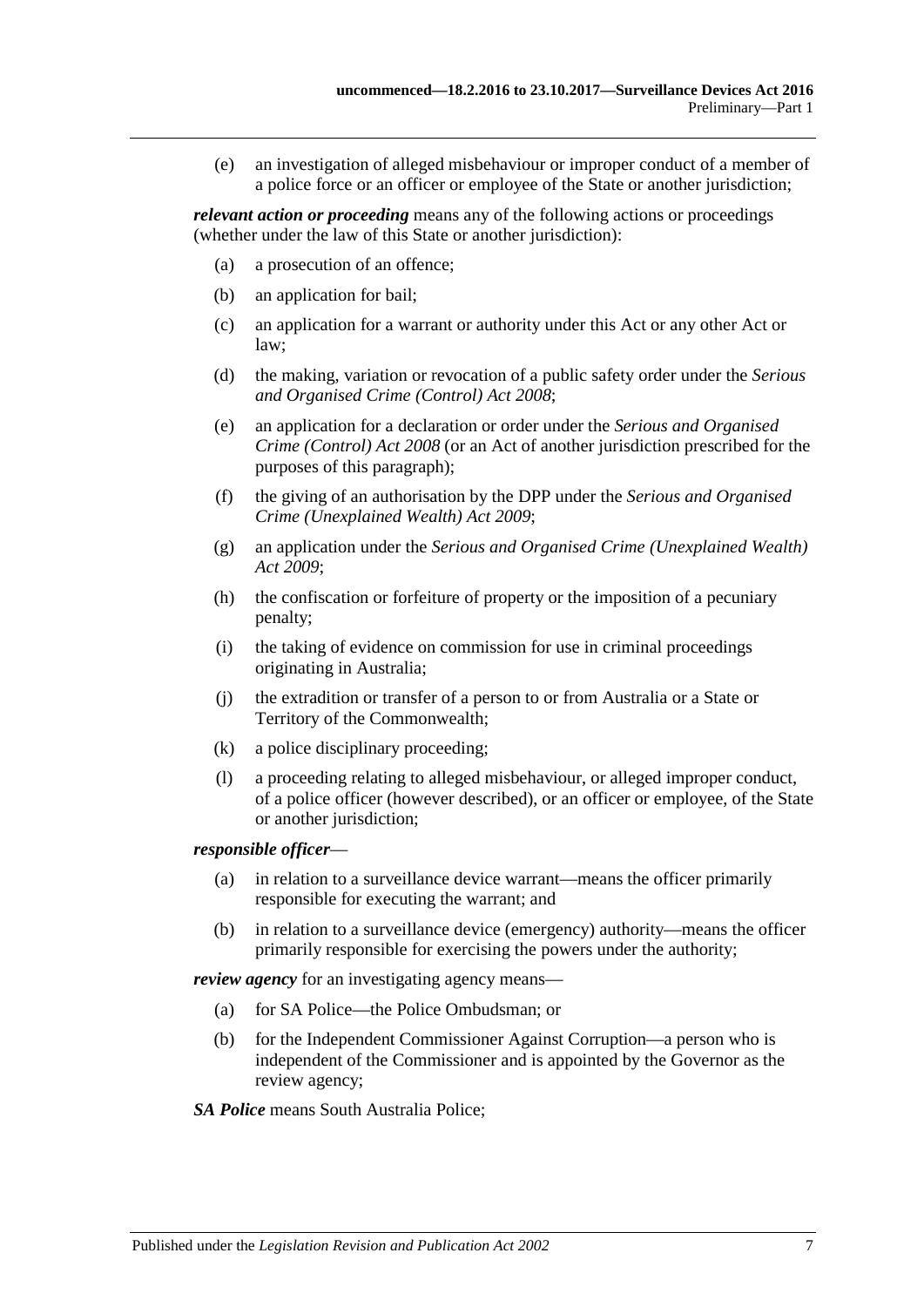(e) an investigation of alleged misbehaviour or improper conduct of a member of a police force or an officer or employee of the State or another jurisdiction;

*relevant action or proceeding* means any of the following actions or proceedings (whether under the law of this State or another jurisdiction):

- (a) a prosecution of an offence;
- (b) an application for bail;
- (c) an application for a warrant or authority under this Act or any other Act or law;
- (d) the making, variation or revocation of a public safety order under the *[Serious](http://www.legislation.sa.gov.au/index.aspx?action=legref&type=act&legtitle=Serious%20and%20Organised%20Crime%20(Control)%20Act%202008)  [and Organised Crime \(Control\) Act](http://www.legislation.sa.gov.au/index.aspx?action=legref&type=act&legtitle=Serious%20and%20Organised%20Crime%20(Control)%20Act%202008) 2008*;
- (e) an application for a declaration or order under the *[Serious and Organised](http://www.legislation.sa.gov.au/index.aspx?action=legref&type=act&legtitle=Serious%20and%20Organised%20Crime%20(Control)%20Act%202008)  [Crime \(Control\) Act](http://www.legislation.sa.gov.au/index.aspx?action=legref&type=act&legtitle=Serious%20and%20Organised%20Crime%20(Control)%20Act%202008) 2008* (or an Act of another jurisdiction prescribed for the purposes of this paragraph);
- (f) the giving of an authorisation by the DPP under the *[Serious and Organised](http://www.legislation.sa.gov.au/index.aspx?action=legref&type=act&legtitle=Serious%20and%20Organised%20Crime%20(Unexplained%20Wealth)%20Act%202009)  [Crime \(Unexplained Wealth\) Act](http://www.legislation.sa.gov.au/index.aspx?action=legref&type=act&legtitle=Serious%20and%20Organised%20Crime%20(Unexplained%20Wealth)%20Act%202009) 2009*;
- (g) an application under the *[Serious and Organised Crime \(Unexplained Wealth\)](http://www.legislation.sa.gov.au/index.aspx?action=legref&type=act&legtitle=Serious%20and%20Organised%20Crime%20(Unexplained%20Wealth)%20Act%202009)  Act [2009](http://www.legislation.sa.gov.au/index.aspx?action=legref&type=act&legtitle=Serious%20and%20Organised%20Crime%20(Unexplained%20Wealth)%20Act%202009)*;
- (h) the confiscation or forfeiture of property or the imposition of a pecuniary penalty;
- (i) the taking of evidence on commission for use in criminal proceedings originating in Australia;
- (j) the extradition or transfer of a person to or from Australia or a State or Territory of the Commonwealth;
- (k) a police disciplinary proceeding;
- (l) a proceeding relating to alleged misbehaviour, or alleged improper conduct, of a police officer (however described), or an officer or employee, of the State or another jurisdiction;

#### *responsible officer*—

- (a) in relation to a surveillance device warrant—means the officer primarily responsible for executing the warrant; and
- (b) in relation to a surveillance device (emergency) authority—means the officer primarily responsible for exercising the powers under the authority;

*review agency* for an investigating agency means—

- (a) for SA Police—the Police Ombudsman; or
- (b) for the Independent Commissioner Against Corruption—a person who is independent of the Commissioner and is appointed by the Governor as the review agency;

#### *SA Police* means South Australia Police;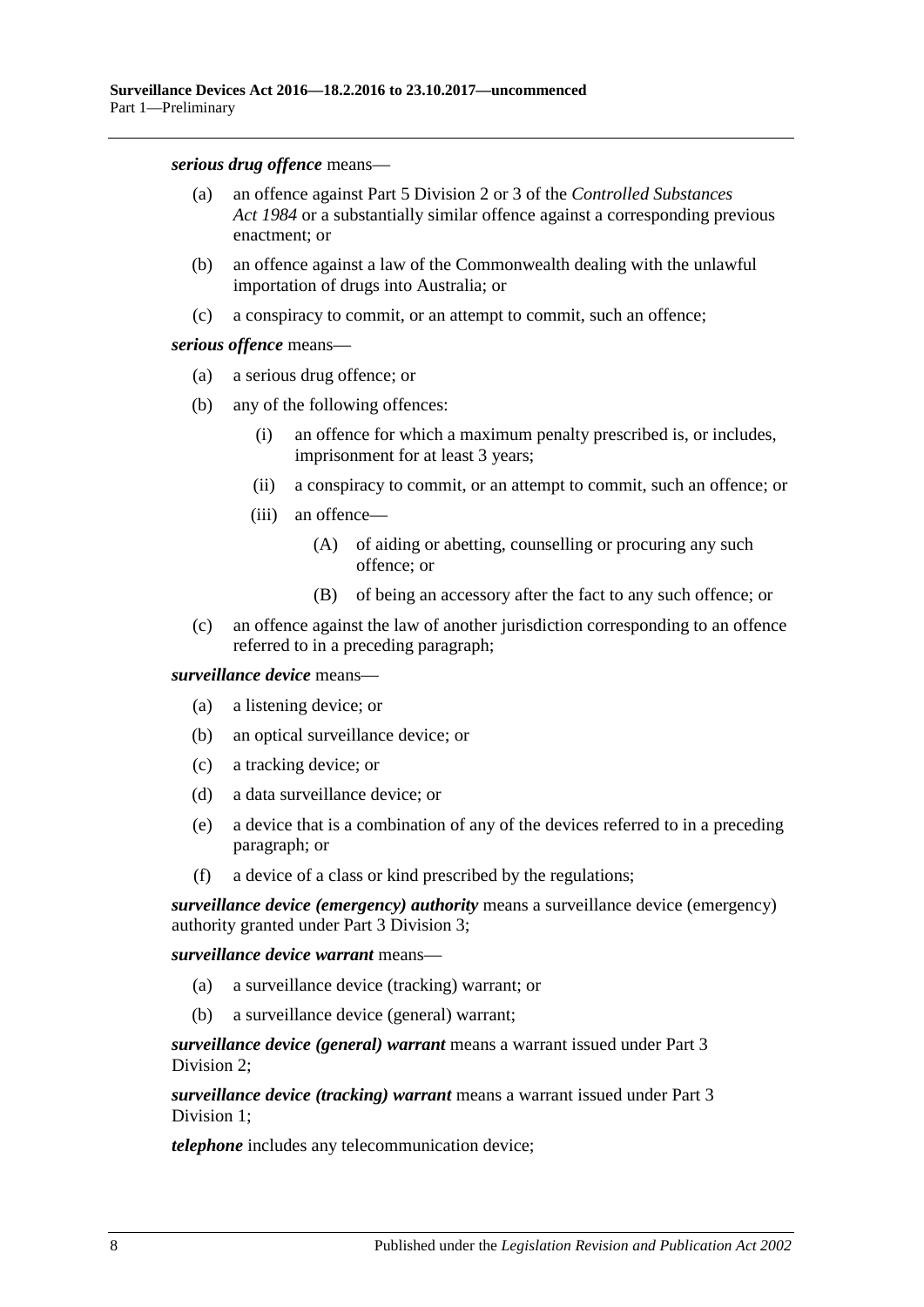*serious drug offence* means—

- (a) an offence against Part 5 Division 2 or 3 of the *[Controlled Substances](http://www.legislation.sa.gov.au/index.aspx?action=legref&type=act&legtitle=Controlled%20Substances%20Act%201984)  Act [1984](http://www.legislation.sa.gov.au/index.aspx?action=legref&type=act&legtitle=Controlled%20Substances%20Act%201984)* or a substantially similar offence against a corresponding previous enactment; or
- (b) an offence against a law of the Commonwealth dealing with the unlawful importation of drugs into Australia; or
- (c) a conspiracy to commit, or an attempt to commit, such an offence;

*serious offence* means—

- (a) a serious drug offence; or
- (b) any of the following offences:
	- (i) an offence for which a maximum penalty prescribed is, or includes, imprisonment for at least 3 years;
	- (ii) a conspiracy to commit, or an attempt to commit, such an offence; or
	- (iii) an offence—
		- (A) of aiding or abetting, counselling or procuring any such offence; or
		- (B) of being an accessory after the fact to any such offence; or
- (c) an offence against the law of another jurisdiction corresponding to an offence referred to in a preceding paragraph;

*surveillance device* means—

- (a) a listening device; or
- (b) an optical surveillance device; or
- (c) a tracking device; or
- (d) a data surveillance device; or
- (e) a device that is a combination of any of the devices referred to in a preceding paragraph; or
- (f) a device of a class or kind prescribed by the regulations;

*surveillance device (emergency) authority* means a surveillance device (emergency) authority granted under Part [3 Division](#page-23-0) 3;

*surveillance device warrant* means—

- (a) a surveillance device (tracking) warrant; or
- (b) a surveillance device (general) warrant;

*surveillance device (general) warrant* means a warrant issued under [Part](#page-18-0) 3 [Division](#page-18-0) 2;

*surveillance device (tracking) warrant* means a warrant issued under [Part](#page-16-1) 3 [Division](#page-16-1) 1;

*telephone* includes any telecommunication device;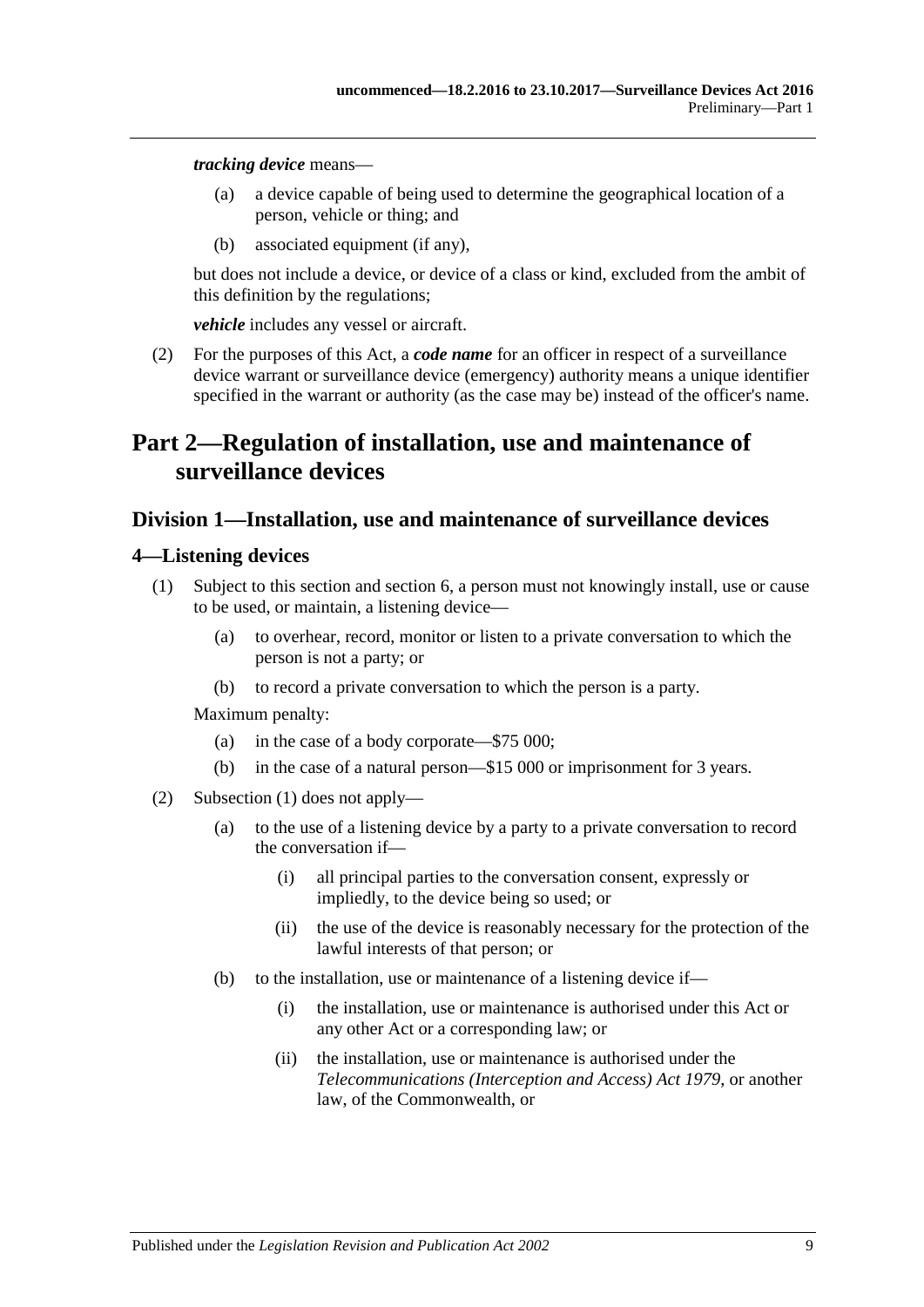*tracking device* means—

- (a) a device capable of being used to determine the geographical location of a person, vehicle or thing; and
- (b) associated equipment (if any),

but does not include a device, or device of a class or kind, excluded from the ambit of this definition by the regulations;

*vehicle* includes any vessel or aircraft.

<span id="page-8-3"></span>(2) For the purposes of this Act, a *code name* for an officer in respect of a surveillance device warrant or surveillance device (emergency) authority means a unique identifier specified in the warrant or authority (as the case may be) instead of the officer's name.

## <span id="page-8-0"></span>**Part 2—Regulation of installation, use and maintenance of surveillance devices**

### <span id="page-8-1"></span>**Division 1—Installation, use and maintenance of surveillance devices**

#### <span id="page-8-4"></span><span id="page-8-2"></span>**4—Listening devices**

- (1) Subject to this section and [section](#page-12-0) 6, a person must not knowingly install, use or cause to be used, or maintain, a listening device—
	- (a) to overhear, record, monitor or listen to a private conversation to which the person is not a party; or
	- (b) to record a private conversation to which the person is a party.

- (a) in the case of a body corporate—\$75 000;
- (b) in the case of a natural person—\$15 000 or imprisonment for 3 years.
- <span id="page-8-5"></span>(2) [Subsection](#page-8-4) (1) does not apply—
	- (a) to the use of a listening device by a party to a private conversation to record the conversation if—
		- (i) all principal parties to the conversation consent, expressly or impliedly, to the device being so used; or
		- (ii) the use of the device is reasonably necessary for the protection of the lawful interests of that person; or
	- (b) to the installation, use or maintenance of a listening device if—
		- (i) the installation, use or maintenance is authorised under this Act or any other Act or a corresponding law; or
		- (ii) the installation, use or maintenance is authorised under the *Telecommunications (Interception and Access) Act 1979*, or another law, of the Commonwealth, or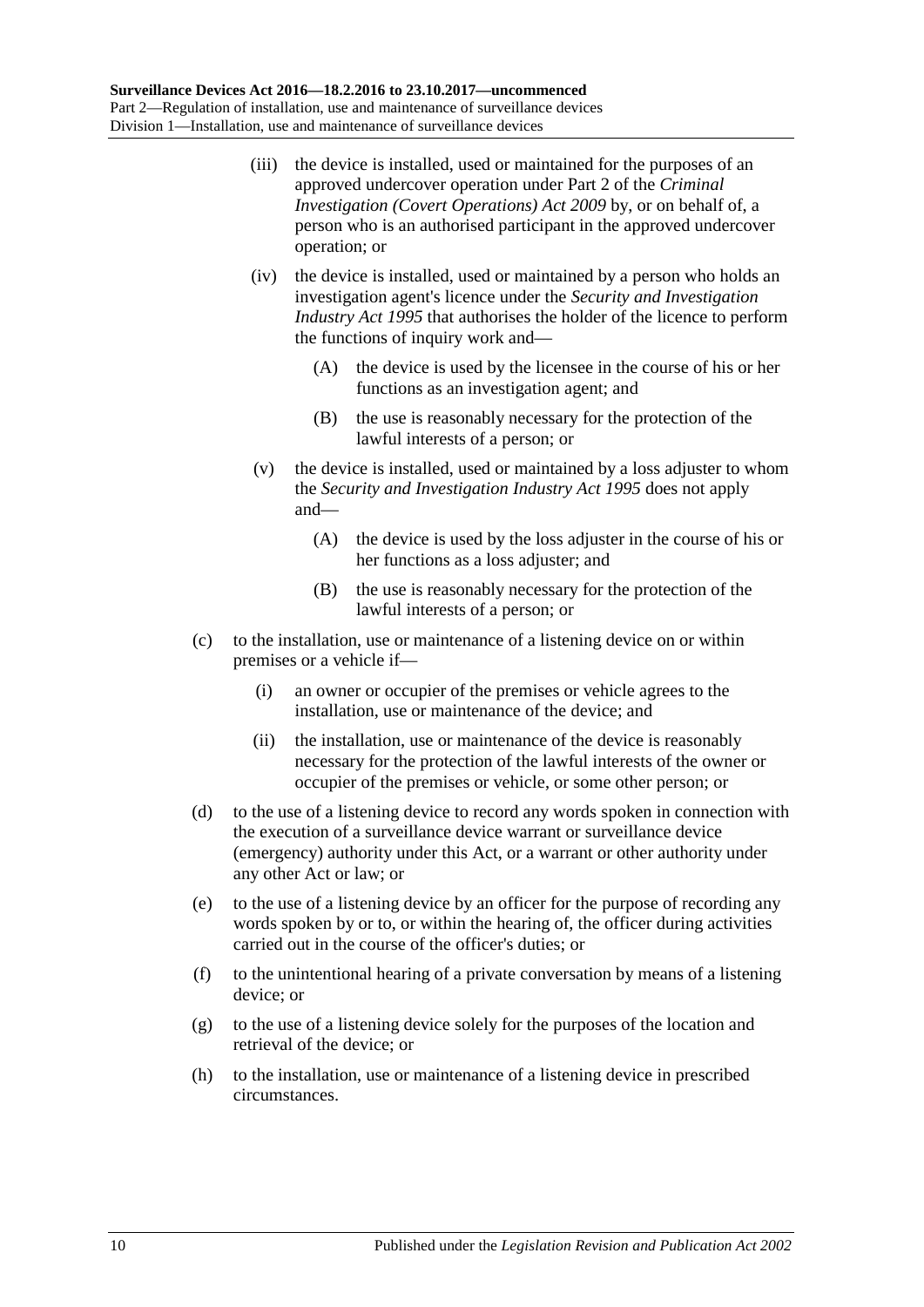- <span id="page-9-2"></span>(iii) the device is installed, used or maintained for the purposes of an approved undercover operation under Part 2 of the *[Criminal](http://www.legislation.sa.gov.au/index.aspx?action=legref&type=act&legtitle=Criminal%20Investigation%20(Covert%20Operations)%20Act%202009)  [Investigation \(Covert Operations\) Act](http://www.legislation.sa.gov.au/index.aspx?action=legref&type=act&legtitle=Criminal%20Investigation%20(Covert%20Operations)%20Act%202009) 2009* by, or on behalf of, a person who is an authorised participant in the approved undercover operation; or
- <span id="page-9-0"></span>(iv) the device is installed, used or maintained by a person who holds an investigation agent's licence under the *[Security and Investigation](http://www.legislation.sa.gov.au/index.aspx?action=legref&type=act&legtitle=Security%20and%20Investigation%20Industry%20Act%201995)  [Industry Act](http://www.legislation.sa.gov.au/index.aspx?action=legref&type=act&legtitle=Security%20and%20Investigation%20Industry%20Act%201995) 1995* that authorises the holder of the licence to perform the functions of inquiry work and—
	- (A) the device is used by the licensee in the course of his or her functions as an investigation agent; and
	- (B) the use is reasonably necessary for the protection of the lawful interests of a person; or
- <span id="page-9-1"></span>(v) the device is installed, used or maintained by a loss adjuster to whom the *[Security and Investigation Industry Act](http://www.legislation.sa.gov.au/index.aspx?action=legref&type=act&legtitle=Security%20and%20Investigation%20Industry%20Act%201995) 1995* does not apply and—
	- (A) the device is used by the loss adjuster in the course of his or her functions as a loss adjuster; and
	- (B) the use is reasonably necessary for the protection of the lawful interests of a person; or
- (c) to the installation, use or maintenance of a listening device on or within premises or a vehicle if—
	- (i) an owner or occupier of the premises or vehicle agrees to the installation, use or maintenance of the device; and
	- (ii) the installation, use or maintenance of the device is reasonably necessary for the protection of the lawful interests of the owner or occupier of the premises or vehicle, or some other person; or
- (d) to the use of a listening device to record any words spoken in connection with the execution of a surveillance device warrant or surveillance device (emergency) authority under this Act, or a warrant or other authority under any other Act or law; or
- (e) to the use of a listening device by an officer for the purpose of recording any words spoken by or to, or within the hearing of, the officer during activities carried out in the course of the officer's duties; or
- (f) to the unintentional hearing of a private conversation by means of a listening device; or
- (g) to the use of a listening device solely for the purposes of the location and retrieval of the device; or
- (h) to the installation, use or maintenance of a listening device in prescribed circumstances.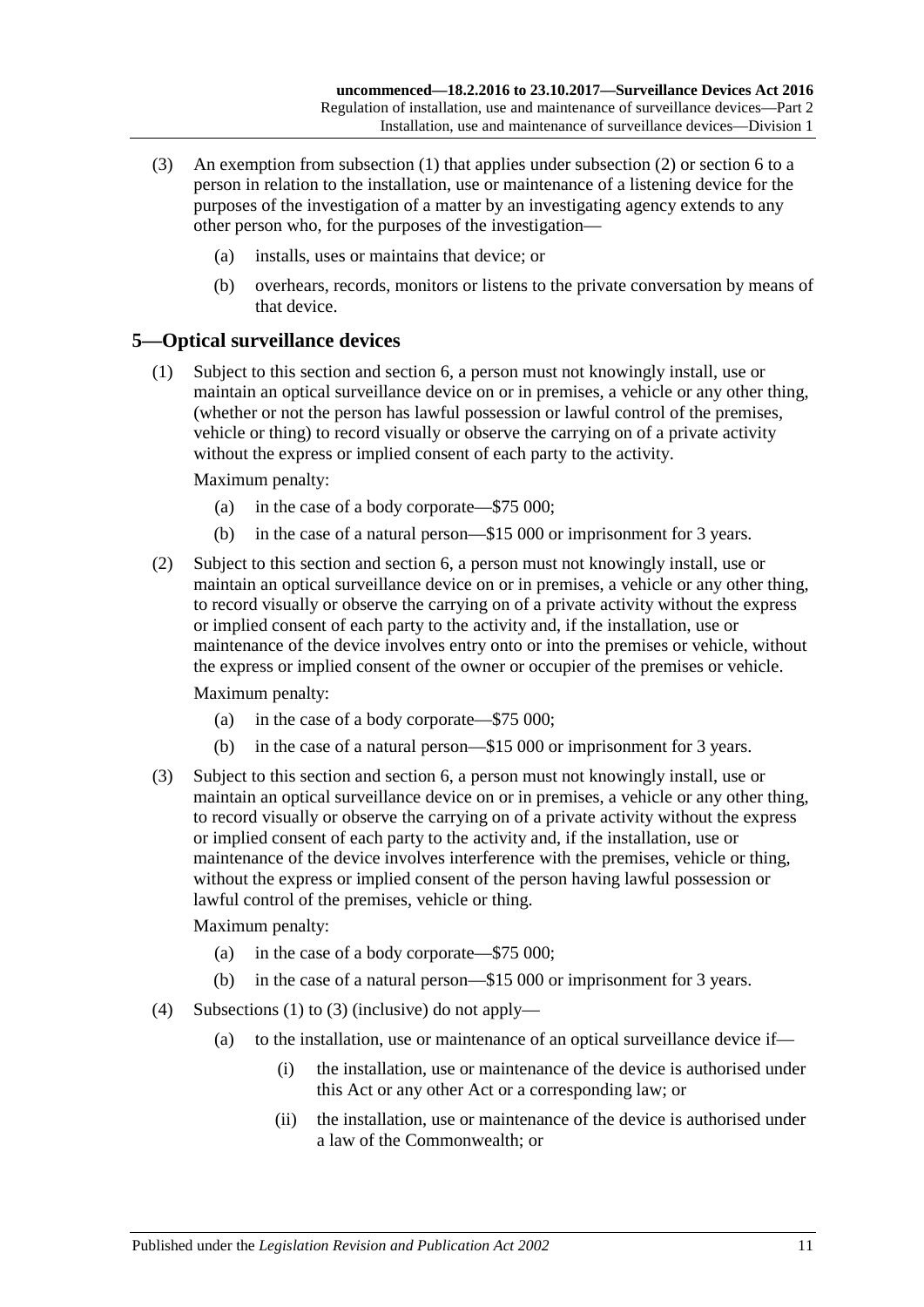- (3) An exemption from [subsection](#page-8-4) (1) that applies under [subsection](#page-8-5) (2) or [section](#page-12-0) 6 to a person in relation to the installation, use or maintenance of a listening device for the purposes of the investigation of a matter by an investigating agency extends to any other person who, for the purposes of the investigation—
	- (a) installs, uses or maintains that device; or
	- (b) overhears, records, monitors or listens to the private conversation by means of that device.

## <span id="page-10-0"></span>**5—Optical surveillance devices**

<span id="page-10-1"></span>(1) Subject to this section and [section](#page-12-0) 6, a person must not knowingly install, use or maintain an optical surveillance device on or in premises, a vehicle or any other thing, (whether or not the person has lawful possession or lawful control of the premises, vehicle or thing) to record visually or observe the carrying on of a private activity without the express or implied consent of each party to the activity.

Maximum penalty:

- (a) in the case of a body corporate—\$75 000;
- (b) in the case of a natural person—\$15 000 or imprisonment for 3 years.
- (2) Subject to this section and [section](#page-12-0) 6, a person must not knowingly install, use or maintain an optical surveillance device on or in premises, a vehicle or any other thing, to record visually or observe the carrying on of a private activity without the express or implied consent of each party to the activity and, if the installation, use or maintenance of the device involves entry onto or into the premises or vehicle, without the express or implied consent of the owner or occupier of the premises or vehicle.

Maximum penalty:

- (a) in the case of a body corporate—\$75 000;
- (b) in the case of a natural person—\$15 000 or imprisonment for 3 years.
- <span id="page-10-2"></span>(3) Subject to this section and [section](#page-12-0) 6, a person must not knowingly install, use or maintain an optical surveillance device on or in premises, a vehicle or any other thing, to record visually or observe the carrying on of a private activity without the express or implied consent of each party to the activity and, if the installation, use or maintenance of the device involves interference with the premises, vehicle or thing, without the express or implied consent of the person having lawful possession or lawful control of the premises, vehicle or thing.

- (a) in the case of a body corporate—\$75 000;
- (b) in the case of a natural person—\$15 000 or imprisonment for 3 years.
- <span id="page-10-3"></span>(4) [Subsections \(1\)](#page-10-1) to [\(3\)](#page-10-2) (inclusive) do not apply—
	- (a) to the installation, use or maintenance of an optical surveillance device if—
		- (i) the installation, use or maintenance of the device is authorised under this Act or any other Act or a corresponding law; or
		- (ii) the installation, use or maintenance of the device is authorised under a law of the Commonwealth; or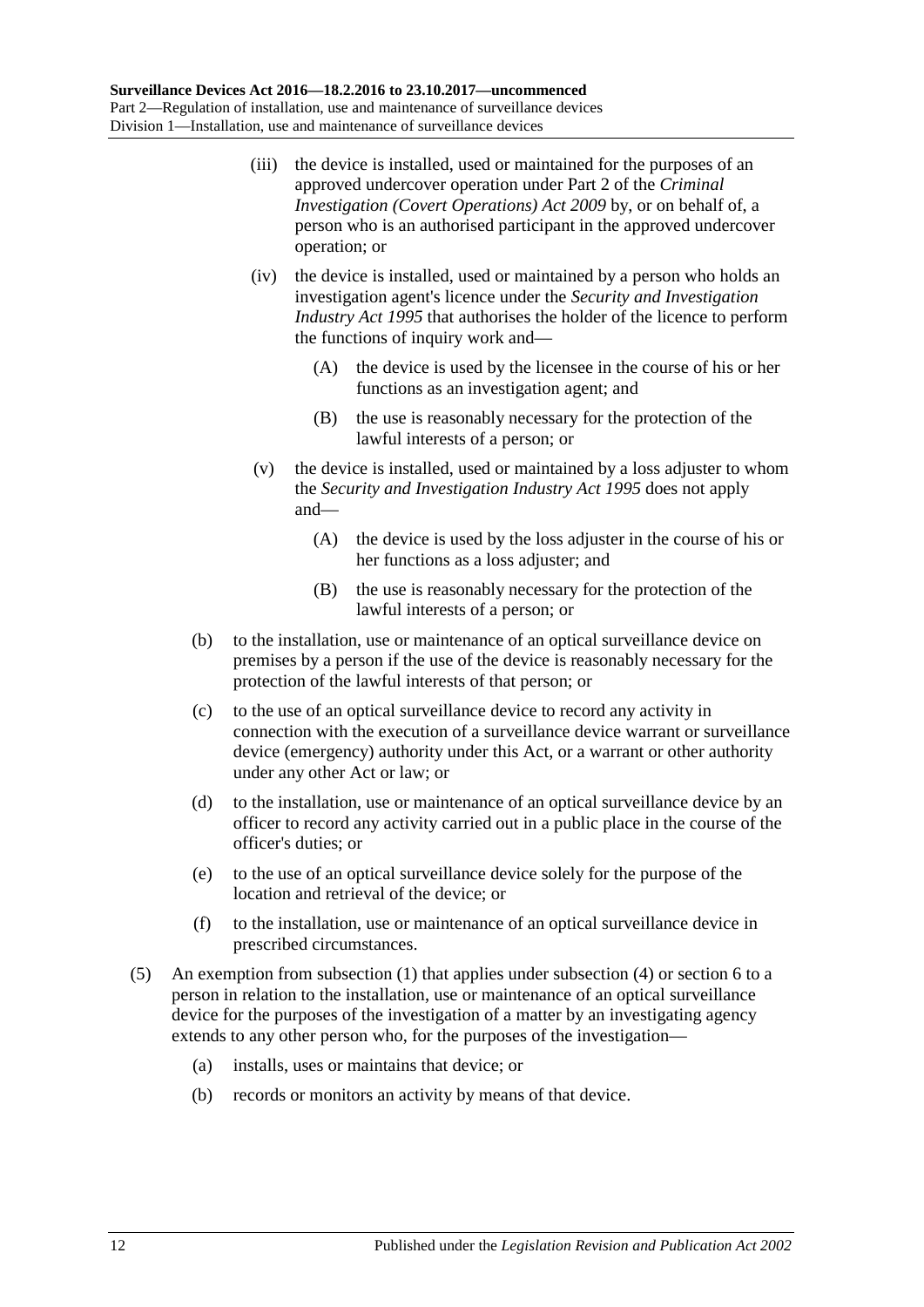- (iii) the device is installed, used or maintained for the purposes of an approved undercover operation under Part 2 of the *[Criminal](http://www.legislation.sa.gov.au/index.aspx?action=legref&type=act&legtitle=Criminal%20Investigation%20(Covert%20Operations)%20Act%202009)  [Investigation \(Covert Operations\) Act](http://www.legislation.sa.gov.au/index.aspx?action=legref&type=act&legtitle=Criminal%20Investigation%20(Covert%20Operations)%20Act%202009) 2009* by, or on behalf of, a person who is an authorised participant in the approved undercover operation; or
- <span id="page-11-0"></span>(iv) the device is installed, used or maintained by a person who holds an investigation agent's licence under the *[Security and Investigation](http://www.legislation.sa.gov.au/index.aspx?action=legref&type=act&legtitle=Security%20and%20Investigation%20Industry%20Act%201995)  [Industry Act](http://www.legislation.sa.gov.au/index.aspx?action=legref&type=act&legtitle=Security%20and%20Investigation%20Industry%20Act%201995) 1995* that authorises the holder of the licence to perform the functions of inquiry work and—
	- (A) the device is used by the licensee in the course of his or her functions as an investigation agent; and
	- (B) the use is reasonably necessary for the protection of the lawful interests of a person; or
- <span id="page-11-1"></span>(v) the device is installed, used or maintained by a loss adjuster to whom the *[Security and Investigation Industry Act](http://www.legislation.sa.gov.au/index.aspx?action=legref&type=act&legtitle=Security%20and%20Investigation%20Industry%20Act%201995) 1995* does not apply and—
	- (A) the device is used by the loss adjuster in the course of his or her functions as a loss adjuster; and
	- (B) the use is reasonably necessary for the protection of the lawful interests of a person; or
- <span id="page-11-2"></span>(b) to the installation, use or maintenance of an optical surveillance device on premises by a person if the use of the device is reasonably necessary for the protection of the lawful interests of that person; or
- (c) to the use of an optical surveillance device to record any activity in connection with the execution of a surveillance device warrant or surveillance device (emergency) authority under this Act, or a warrant or other authority under any other Act or law; or
- (d) to the installation, use or maintenance of an optical surveillance device by an officer to record any activity carried out in a public place in the course of the officer's duties; or
- (e) to the use of an optical surveillance device solely for the purpose of the location and retrieval of the device; or
- (f) to the installation, use or maintenance of an optical surveillance device in prescribed circumstances.
- (5) An exemption from [subsection](#page-10-1) (1) that applies under [subsection](#page-10-3) (4) o[r section](#page-12-0) 6 to a person in relation to the installation, use or maintenance of an optical surveillance device for the purposes of the investigation of a matter by an investigating agency extends to any other person who, for the purposes of the investigation—
	- (a) installs, uses or maintains that device; or
	- (b) records or monitors an activity by means of that device.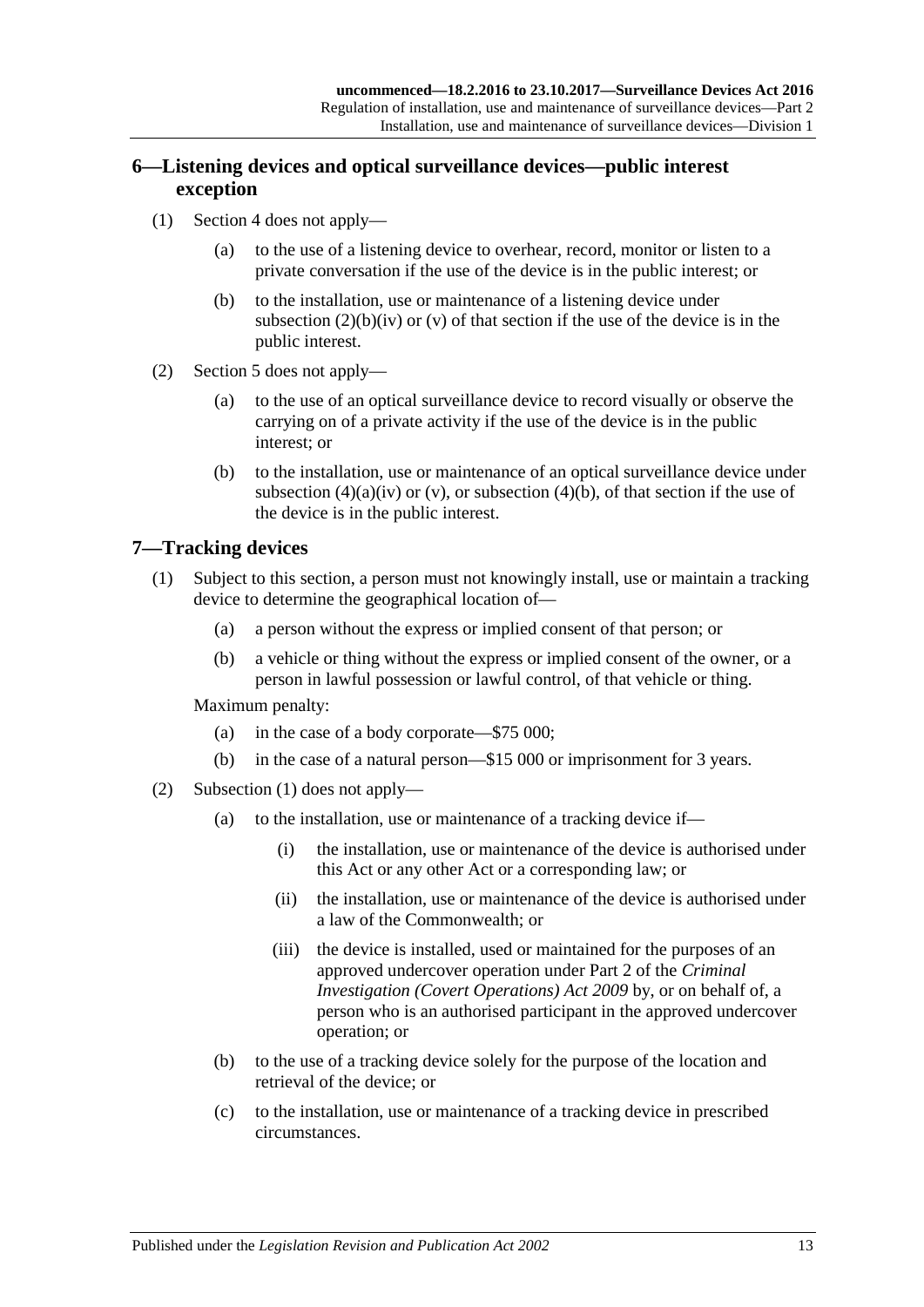## <span id="page-12-0"></span>**6—Listening devices and optical surveillance devices—public interest exception**

- (1) [Section 4](#page-8-2) does not apply—
	- (a) to the use of a listening device to overhear, record, monitor or listen to a private conversation if the use of the device is in the public interest; or
	- (b) to the installation, use or maintenance of a listening device under [subsection](#page-9-0)  $(2)(b)(iv)$  or  $(v)$  of that section if the use of the device is in the public interest.
- (2) [Section 5](#page-10-0) does not apply—
	- (a) to the use of an optical surveillance device to record visually or observe the carrying on of a private activity if the use of the device is in the public interest; or
	- (b) to the installation, use or maintenance of an optical surveillance device under [subsection](#page-11-0)  $(4)(a)(iv)$  or  $(v)$ , or [subsection](#page-11-2)  $(4)(b)$ , of that section if the use of the device is in the public interest.

## <span id="page-12-2"></span><span id="page-12-1"></span>**7—Tracking devices**

- (1) Subject to this section, a person must not knowingly install, use or maintain a tracking device to determine the geographical location of—
	- (a) a person without the express or implied consent of that person; or
	- (b) a vehicle or thing without the express or implied consent of the owner, or a person in lawful possession or lawful control, of that vehicle or thing.

- (a) in the case of a body corporate—\$75 000;
- (b) in the case of a natural person—\$15 000 or imprisonment for 3 years.
- (2) [Subsection \(1\)](#page-12-2) does not apply—
	- (a) to the installation, use or maintenance of a tracking device if—
		- (i) the installation, use or maintenance of the device is authorised under this Act or any other Act or a corresponding law; or
		- (ii) the installation, use or maintenance of the device is authorised under a law of the Commonwealth; or
		- (iii) the device is installed, used or maintained for the purposes of an approved undercover operation under Part 2 of the *[Criminal](http://www.legislation.sa.gov.au/index.aspx?action=legref&type=act&legtitle=Criminal%20Investigation%20(Covert%20Operations)%20Act%202009)  [Investigation \(Covert Operations\) Act](http://www.legislation.sa.gov.au/index.aspx?action=legref&type=act&legtitle=Criminal%20Investigation%20(Covert%20Operations)%20Act%202009) 2009* by, or on behalf of, a person who is an authorised participant in the approved undercover operation; or
	- (b) to the use of a tracking device solely for the purpose of the location and retrieval of the device; or
	- (c) to the installation, use or maintenance of a tracking device in prescribed circumstances.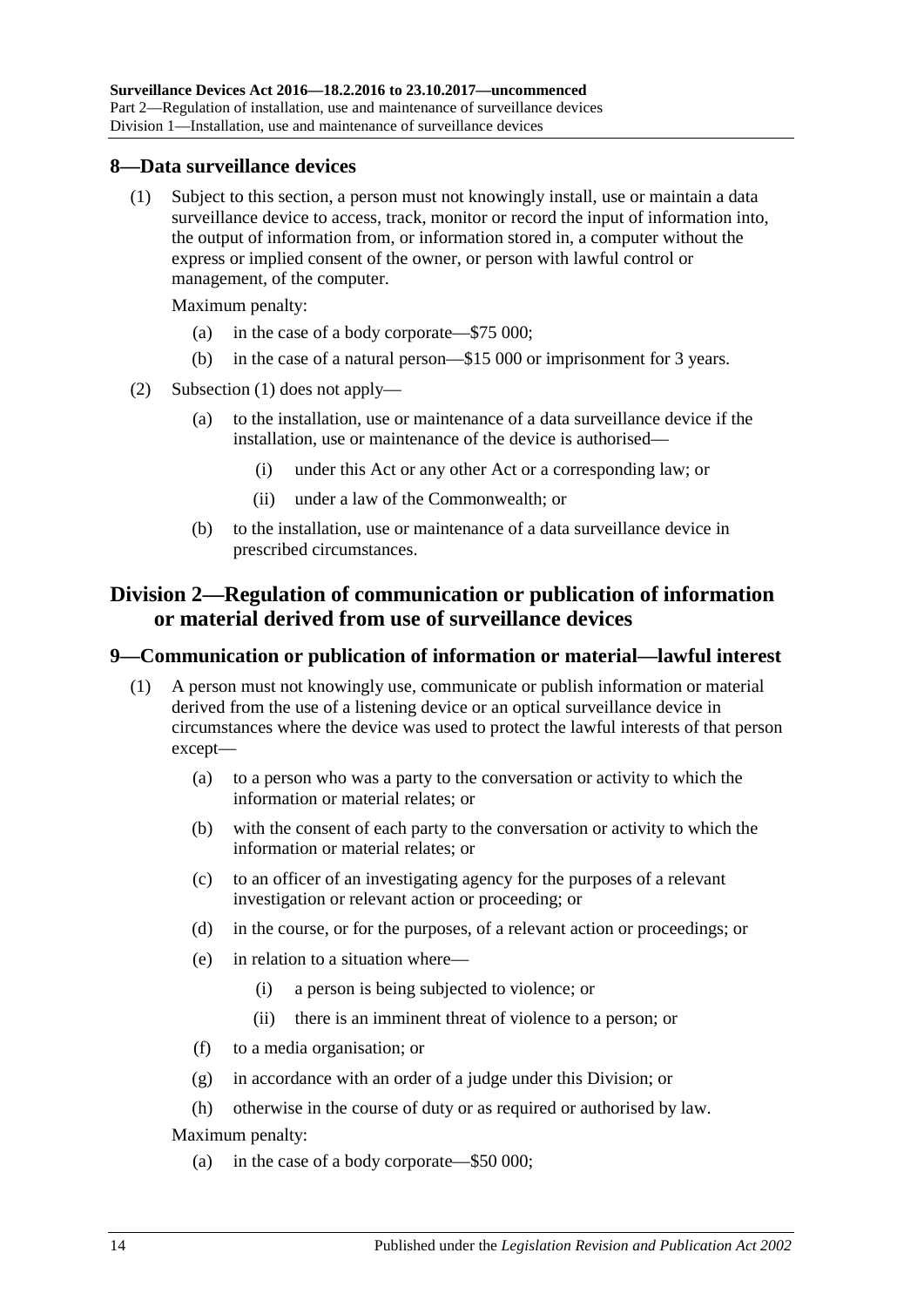#### <span id="page-13-3"></span><span id="page-13-0"></span>**8—Data surveillance devices**

(1) Subject to this section, a person must not knowingly install, use or maintain a data surveillance device to access, track, monitor or record the input of information into, the output of information from, or information stored in, a computer without the express or implied consent of the owner, or person with lawful control or management, of the computer.

Maximum penalty:

- (a) in the case of a body corporate—\$75 000;
- (b) in the case of a natural person—\$15 000 or imprisonment for 3 years.
- (2) [Subsection \(1\)](#page-13-3) does not apply—
	- (a) to the installation, use or maintenance of a data surveillance device if the installation, use or maintenance of the device is authorised—
		- (i) under this Act or any other Act or a corresponding law; or
		- (ii) under a law of the Commonwealth; or
	- (b) to the installation, use or maintenance of a data surveillance device in prescribed circumstances.

## <span id="page-13-1"></span>**Division 2—Regulation of communication or publication of information or material derived from use of surveillance devices**

#### <span id="page-13-2"></span>**9—Communication or publication of information or material—lawful interest**

- (1) A person must not knowingly use, communicate or publish information or material derived from the use of a listening device or an optical surveillance device in circumstances where the device was used to protect the lawful interests of that person except—
	- (a) to a person who was a party to the conversation or activity to which the information or material relates; or
	- (b) with the consent of each party to the conversation or activity to which the information or material relates; or
	- (c) to an officer of an investigating agency for the purposes of a relevant investigation or relevant action or proceeding; or
	- (d) in the course, or for the purposes, of a relevant action or proceedings; or
	- (e) in relation to a situation where—
		- (i) a person is being subjected to violence; or
		- (ii) there is an imminent threat of violence to a person; or
	- (f) to a media organisation; or
	- (g) in accordance with an order of a judge under this Division; or
	- (h) otherwise in the course of duty or as required or authorised by law.

Maximum penalty:

(a) in the case of a body corporate—\$50 000;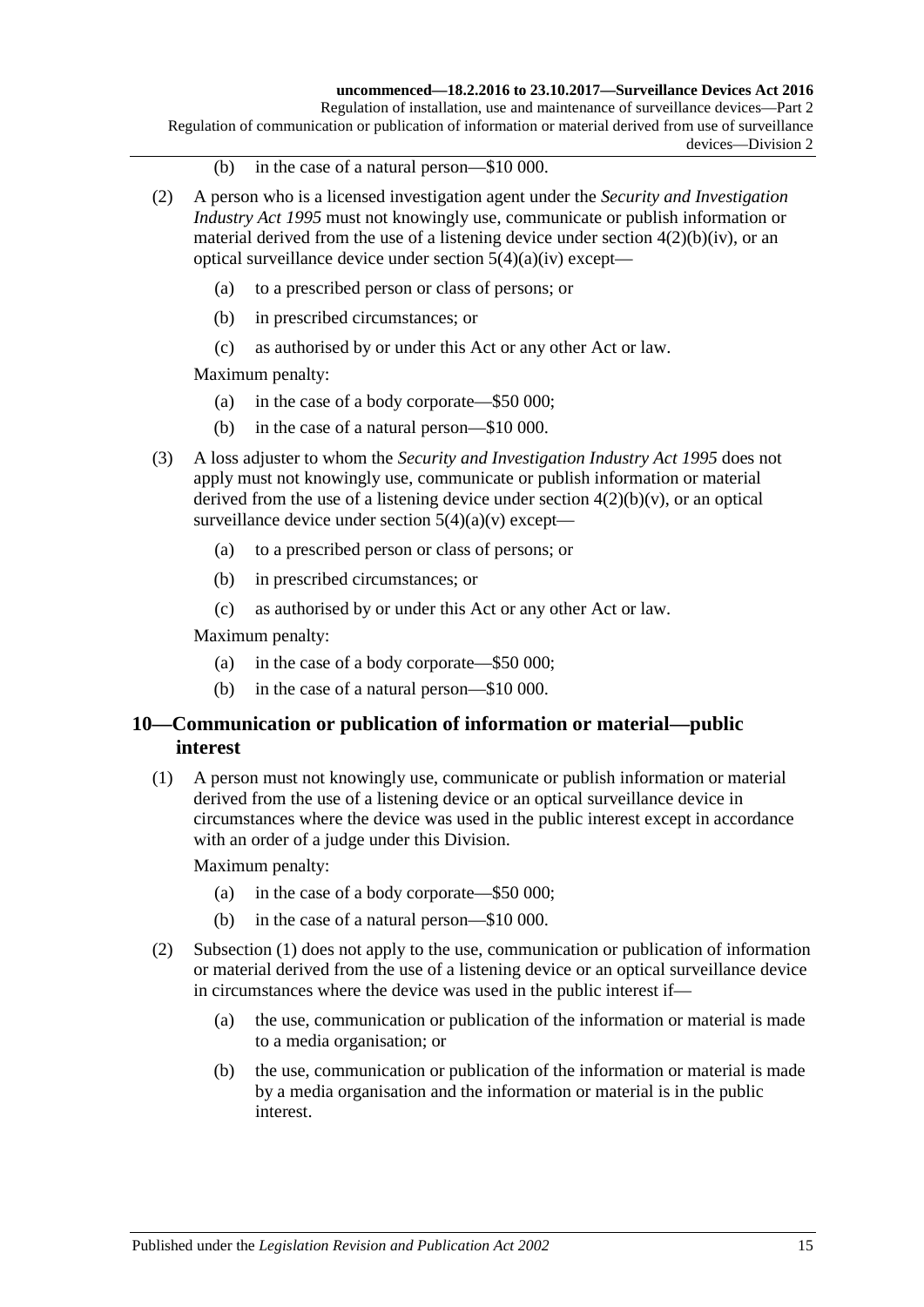#### **uncommenced—18.2.2016 to 23.10.2017—Surveillance Devices Act 2016**

Regulation of installation, use and maintenance of surveillance devices—Part 2 Regulation of communication or publication of information or material derived from use of surveillance devices—Division 2

- (b) in the case of a natural person—\$10 000.
- (2) A person who is a licensed investigation agent under the *[Security and Investigation](http://www.legislation.sa.gov.au/index.aspx?action=legref&type=act&legtitle=Security%20and%20Investigation%20Industry%20Act%201995)  [Industry Act](http://www.legislation.sa.gov.au/index.aspx?action=legref&type=act&legtitle=Security%20and%20Investigation%20Industry%20Act%201995) 1995* must not knowingly use, communicate or publish information or material derived from the use of a listening device under section  $4(2)(b)(iv)$ , or an optical surveillance device under section [5\(4\)\(a\)\(iv\)](#page-11-0) except—
	- (a) to a prescribed person or class of persons; or
	- (b) in prescribed circumstances; or
	- (c) as authorised by or under this Act or any other Act or law.

Maximum penalty:

- (a) in the case of a body corporate—\$50 000;
- (b) in the case of a natural person—\$10 000.
- (3) A loss adjuster to whom the *[Security and Investigation Industry Act](http://www.legislation.sa.gov.au/index.aspx?action=legref&type=act&legtitle=Security%20and%20Investigation%20Industry%20Act%201995) 1995* does not apply must not knowingly use, communicate or publish information or material derived from the use of a listening device under section  $4(2)(b)(v)$ , or an optical surveillance device under section  $5(4)(a)(v)$  except—
	- (a) to a prescribed person or class of persons; or
	- (b) in prescribed circumstances; or
	- (c) as authorised by or under this Act or any other Act or law.

Maximum penalty:

- (a) in the case of a body corporate—\$50 000;
- (b) in the case of a natural person—\$10 000.

### <span id="page-14-0"></span>**10—Communication or publication of information or material—public interest**

<span id="page-14-1"></span>(1) A person must not knowingly use, communicate or publish information or material derived from the use of a listening device or an optical surveillance device in circumstances where the device was used in the public interest except in accordance with an order of a judge under this Division.

- (a) in the case of a body corporate—\$50 000;
- (b) in the case of a natural person—\$10 000.
- (2) [Subsection \(1\)](#page-14-1) does not apply to the use, communication or publication of information or material derived from the use of a listening device or an optical surveillance device in circumstances where the device was used in the public interest if—
	- (a) the use, communication or publication of the information or material is made to a media organisation; or
	- (b) the use, communication or publication of the information or material is made by a media organisation and the information or material is in the public interest.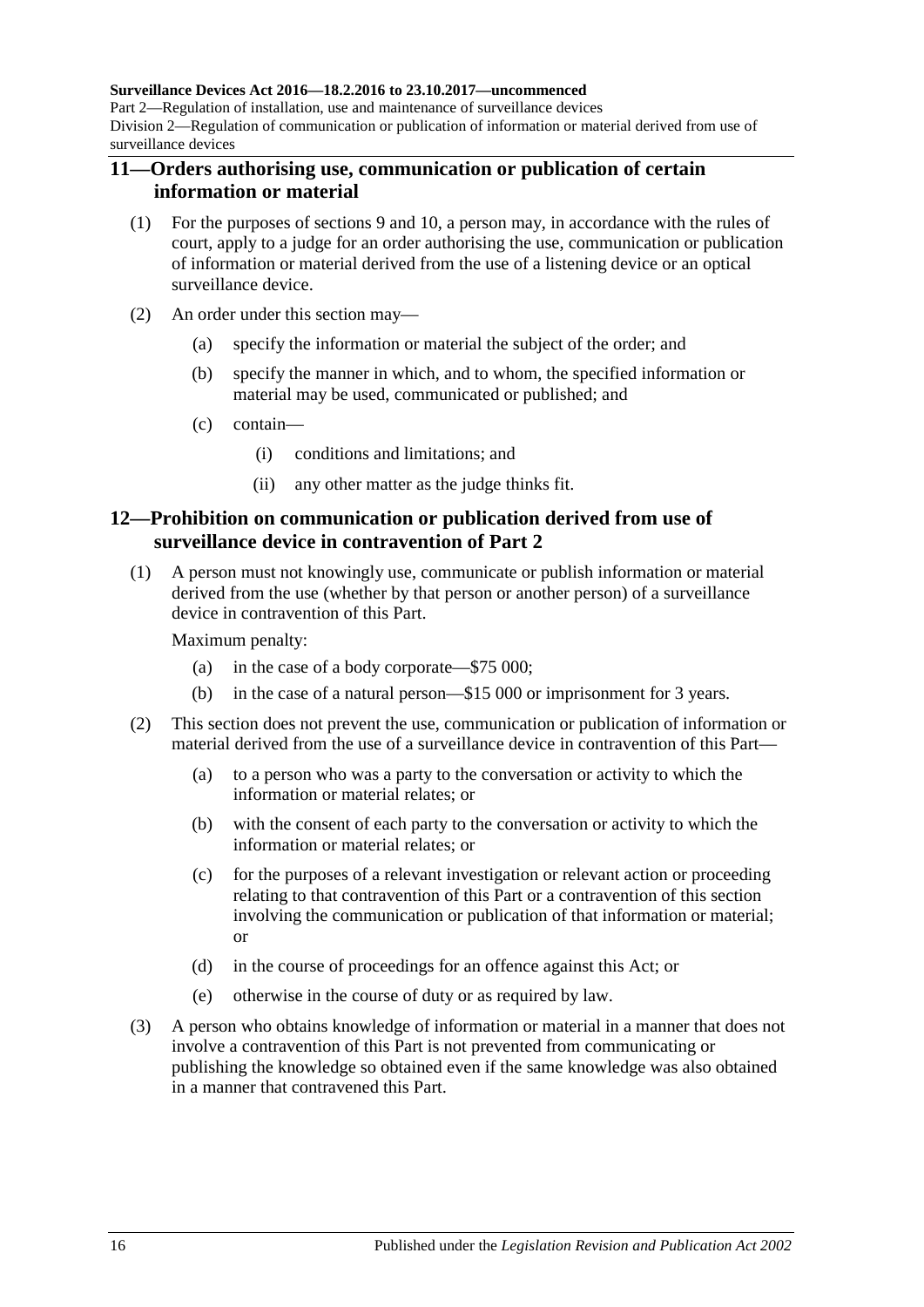#### **Surveillance Devices Act 2016—18.2.2016 to 23.10.2017—uncommenced**

Part 2—Regulation of installation, use and maintenance of surveillance devices Division 2—Regulation of communication or publication of information or material derived from use of surveillance devices

#### <span id="page-15-0"></span>**11—Orders authorising use, communication or publication of certain information or material**

- (1) For the purposes of [sections](#page-13-2) 9 and [10,](#page-14-0) a person may, in accordance with the rules of court, apply to a judge for an order authorising the use, communication or publication of information or material derived from the use of a listening device or an optical surveillance device.
- (2) An order under this section may—
	- (a) specify the information or material the subject of the order; and
	- (b) specify the manner in which, and to whom, the specified information or material may be used, communicated or published; and
	- (c) contain—
		- (i) conditions and limitations; and
		- (ii) any other matter as the judge thinks fit.

### <span id="page-15-1"></span>**12—Prohibition on communication or publication derived from use of surveillance device in contravention of [Part](#page-8-0) 2**

(1) A person must not knowingly use, communicate or publish information or material derived from the use (whether by that person or another person) of a surveillance device in contravention of this Part.

- (a) in the case of a body corporate—\$75 000;
- (b) in the case of a natural person—\$15 000 or imprisonment for 3 years.
- (2) This section does not prevent the use, communication or publication of information or material derived from the use of a surveillance device in contravention of this Part—
	- (a) to a person who was a party to the conversation or activity to which the information or material relates; or
	- (b) with the consent of each party to the conversation or activity to which the information or material relates; or
	- (c) for the purposes of a relevant investigation or relevant action or proceeding relating to that contravention of this Part or a contravention of this section involving the communication or publication of that information or material; or
	- (d) in the course of proceedings for an offence against this Act; or
	- (e) otherwise in the course of duty or as required by law.
- (3) A person who obtains knowledge of information or material in a manner that does not involve a contravention of this Part is not prevented from communicating or publishing the knowledge so obtained even if the same knowledge was also obtained in a manner that contravened this Part.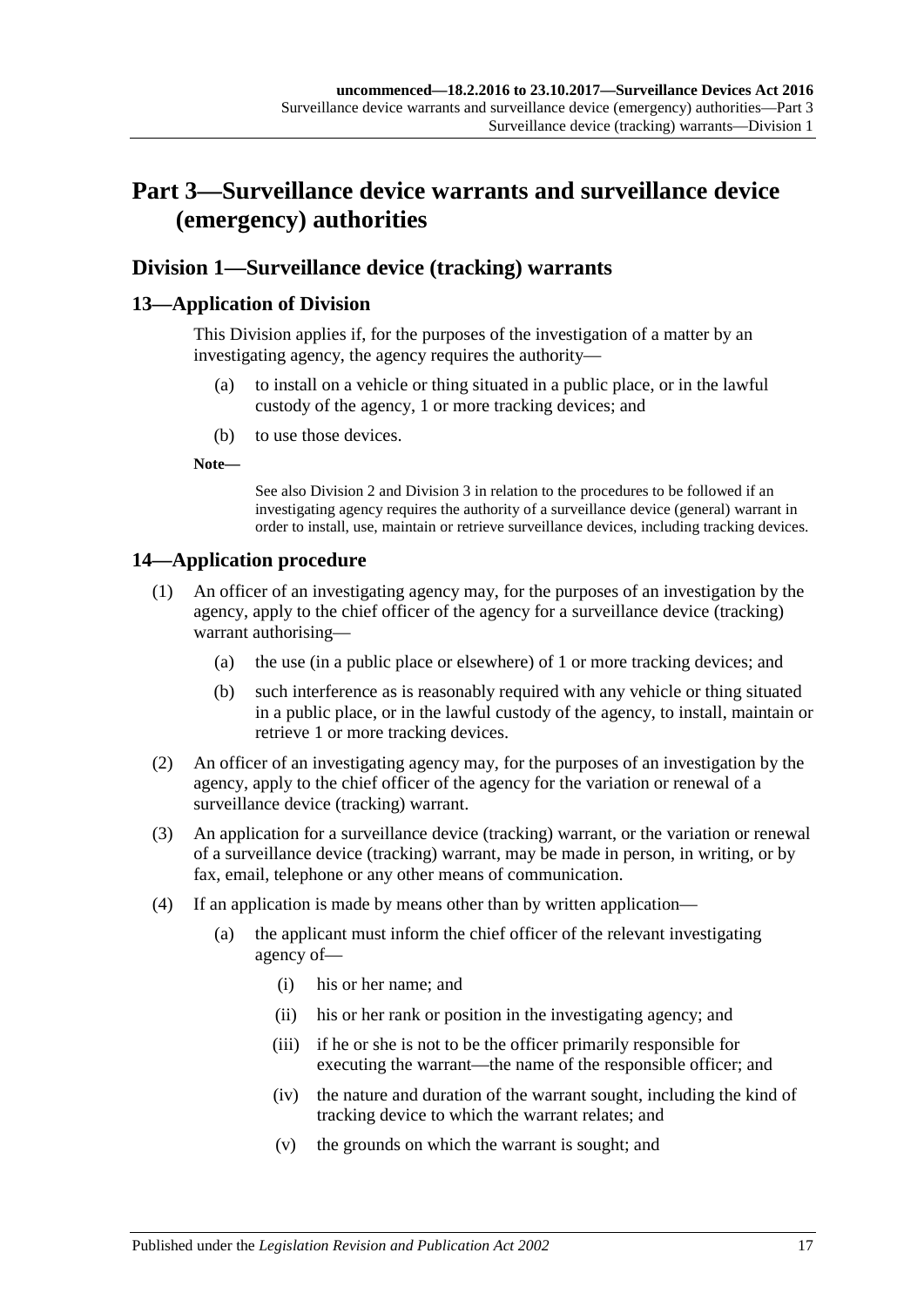## <span id="page-16-0"></span>**Part 3—Surveillance device warrants and surveillance device (emergency) authorities**

## <span id="page-16-1"></span>**Division 1—Surveillance device (tracking) warrants**

## <span id="page-16-2"></span>**13—Application of Division**

This Division applies if, for the purposes of the investigation of a matter by an investigating agency, the agency requires the authority—

- (a) to install on a vehicle or thing situated in a public place, or in the lawful custody of the agency, 1 or more tracking devices; and
- (b) to use those devices.

**Note—**

See also [Division](#page-18-0) 2 and [Division](#page-23-0) 3 in relation to the procedures to be followed if an investigating agency requires the authority of a surveillance device (general) warrant in order to install, use, maintain or retrieve surveillance devices, including tracking devices.

## <span id="page-16-3"></span>**14—Application procedure**

- (1) An officer of an investigating agency may, for the purposes of an investigation by the agency, apply to the chief officer of the agency for a surveillance device (tracking) warrant authorising—
	- (a) the use (in a public place or elsewhere) of 1 or more tracking devices; and
	- (b) such interference as is reasonably required with any vehicle or thing situated in a public place, or in the lawful custody of the agency, to install, maintain or retrieve 1 or more tracking devices.
- (2) An officer of an investigating agency may, for the purposes of an investigation by the agency, apply to the chief officer of the agency for the variation or renewal of a surveillance device (tracking) warrant.
- (3) An application for a surveillance device (tracking) warrant, or the variation or renewal of a surveillance device (tracking) warrant, may be made in person, in writing, or by fax, email, telephone or any other means of communication.
- (4) If an application is made by means other than by written application—
	- (a) the applicant must inform the chief officer of the relevant investigating agency of—
		- (i) his or her name; and
		- (ii) his or her rank or position in the investigating agency; and
		- (iii) if he or she is not to be the officer primarily responsible for executing the warrant—the name of the responsible officer; and
		- (iv) the nature and duration of the warrant sought, including the kind of tracking device to which the warrant relates; and
		- (v) the grounds on which the warrant is sought; and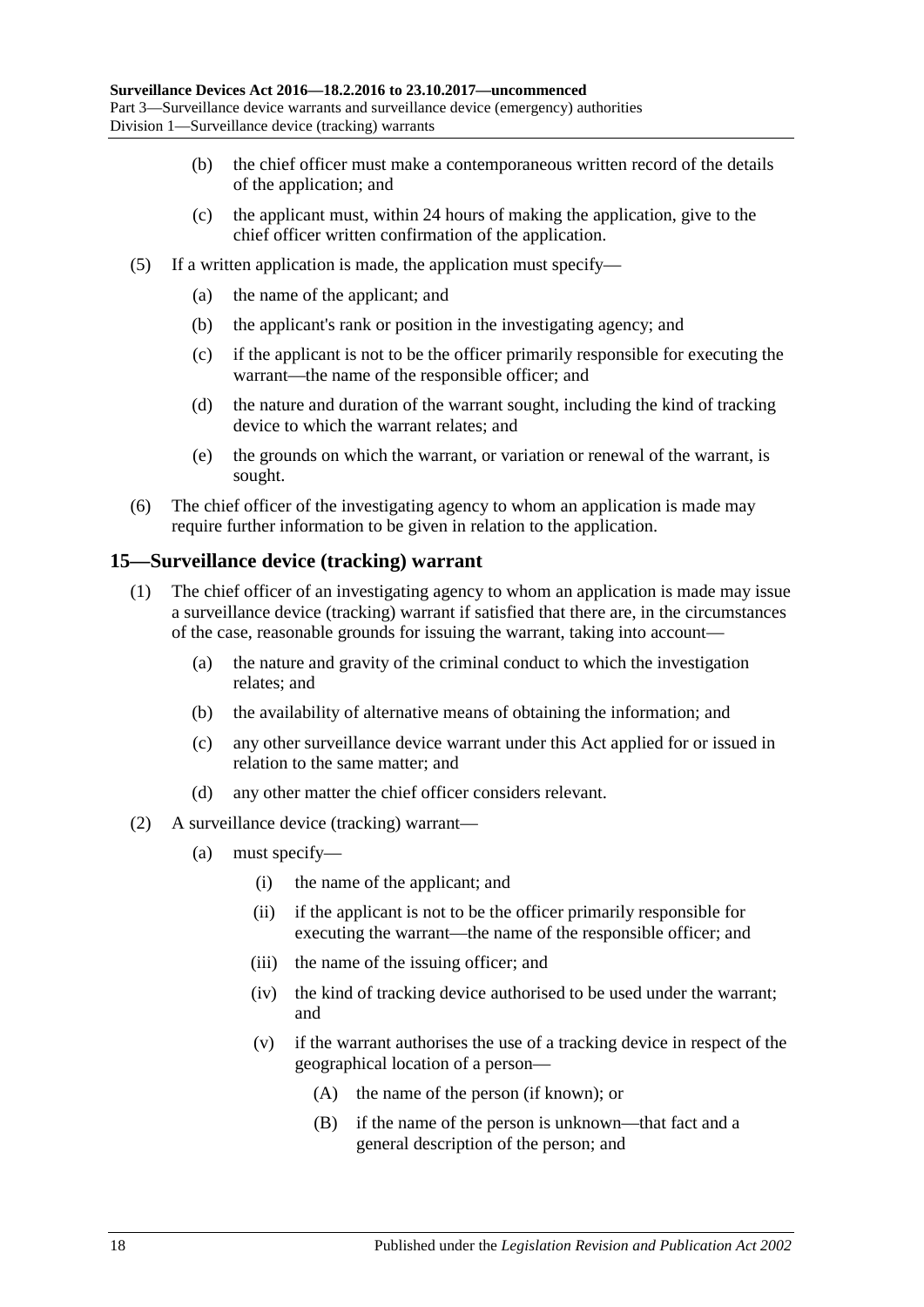- (b) the chief officer must make a contemporaneous written record of the details of the application; and
- (c) the applicant must, within 24 hours of making the application, give to the chief officer written confirmation of the application.
- (5) If a written application is made, the application must specify—
	- (a) the name of the applicant; and
	- (b) the applicant's rank or position in the investigating agency; and
	- (c) if the applicant is not to be the officer primarily responsible for executing the warrant—the name of the responsible officer; and
	- (d) the nature and duration of the warrant sought, including the kind of tracking device to which the warrant relates; and
	- (e) the grounds on which the warrant, or variation or renewal of the warrant, is sought.
- (6) The chief officer of the investigating agency to whom an application is made may require further information to be given in relation to the application.

### <span id="page-17-0"></span>**15—Surveillance device (tracking) warrant**

- (1) The chief officer of an investigating agency to whom an application is made may issue a surveillance device (tracking) warrant if satisfied that there are, in the circumstances of the case, reasonable grounds for issuing the warrant, taking into account—
	- (a) the nature and gravity of the criminal conduct to which the investigation relates; and
	- (b) the availability of alternative means of obtaining the information; and
	- (c) any other surveillance device warrant under this Act applied for or issued in relation to the same matter; and
	- (d) any other matter the chief officer considers relevant.
- (2) A surveillance device (tracking) warrant—
	- (a) must specify—
		- (i) the name of the applicant; and
		- (ii) if the applicant is not to be the officer primarily responsible for executing the warrant—the name of the responsible officer; and
		- (iii) the name of the issuing officer; and
		- (iv) the kind of tracking device authorised to be used under the warrant; and
		- (v) if the warrant authorises the use of a tracking device in respect of the geographical location of a person—
			- (A) the name of the person (if known); or
			- (B) if the name of the person is unknown—that fact and a general description of the person; and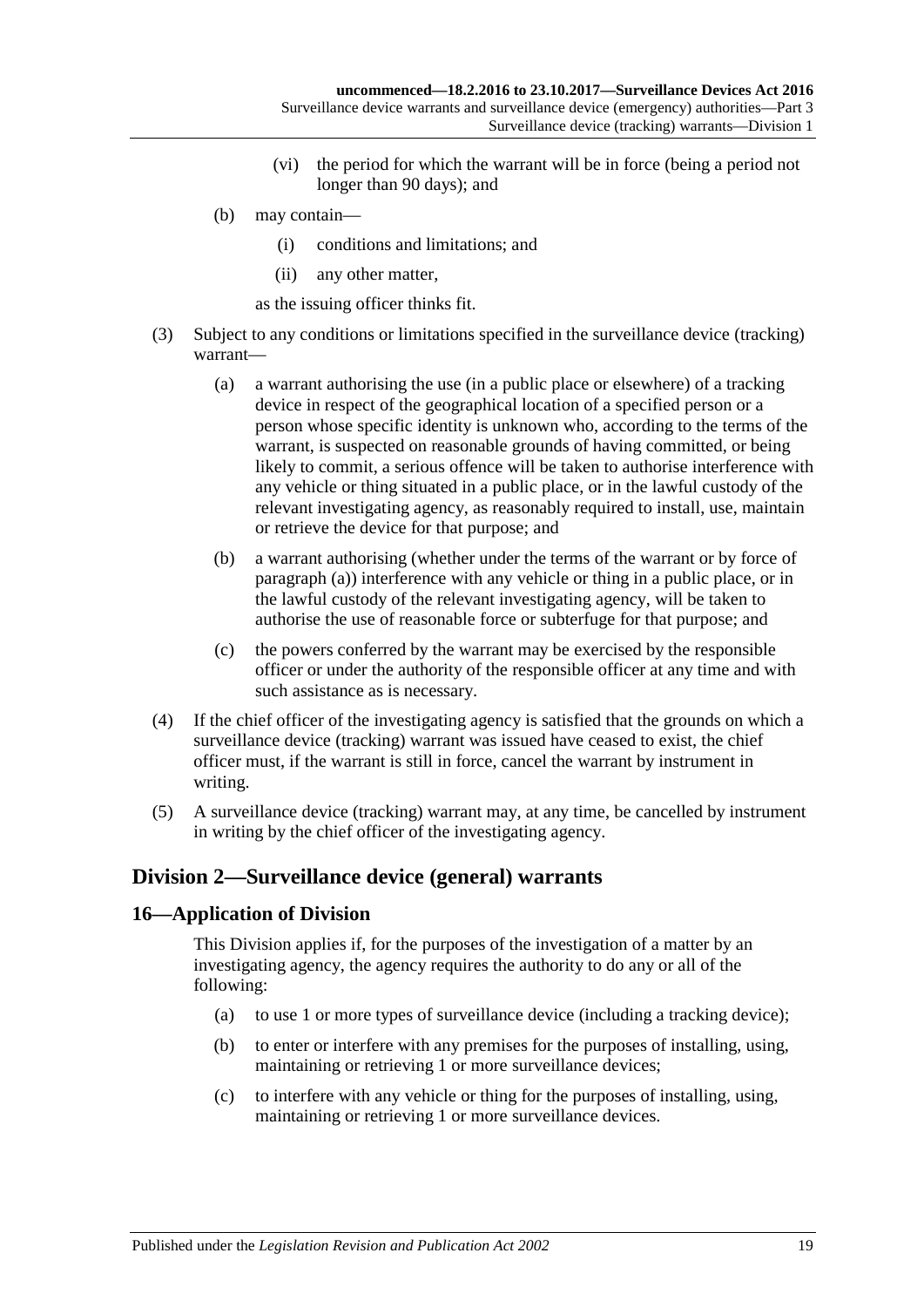- (vi) the period for which the warrant will be in force (being a period not longer than 90 days); and
- (b) may contain—
	- (i) conditions and limitations; and
	- (ii) any other matter,

as the issuing officer thinks fit.

- <span id="page-18-2"></span>(3) Subject to any conditions or limitations specified in the surveillance device (tracking) warrant—
	- (a) a warrant authorising the use (in a public place or elsewhere) of a tracking device in respect of the geographical location of a specified person or a person whose specific identity is unknown who, according to the terms of the warrant, is suspected on reasonable grounds of having committed, or being likely to commit, a serious offence will be taken to authorise interference with any vehicle or thing situated in a public place, or in the lawful custody of the relevant investigating agency, as reasonably required to install, use, maintain or retrieve the device for that purpose; and
	- (b) a warrant authorising (whether under the terms of the warrant or by force of [paragraph](#page-18-2) (a)) interference with any vehicle or thing in a public place, or in the lawful custody of the relevant investigating agency, will be taken to authorise the use of reasonable force or subterfuge for that purpose; and
	- (c) the powers conferred by the warrant may be exercised by the responsible officer or under the authority of the responsible officer at any time and with such assistance as is necessary.
- (4) If the chief officer of the investigating agency is satisfied that the grounds on which a surveillance device (tracking) warrant was issued have ceased to exist, the chief officer must, if the warrant is still in force, cancel the warrant by instrument in writing.
- (5) A surveillance device (tracking) warrant may, at any time, be cancelled by instrument in writing by the chief officer of the investigating agency.

## <span id="page-18-0"></span>**Division 2—Surveillance device (general) warrants**

### <span id="page-18-1"></span>**16—Application of Division**

This Division applies if, for the purposes of the investigation of a matter by an investigating agency, the agency requires the authority to do any or all of the following:

- (a) to use 1 or more types of surveillance device (including a tracking device);
- (b) to enter or interfere with any premises for the purposes of installing, using, maintaining or retrieving 1 or more surveillance devices;
- (c) to interfere with any vehicle or thing for the purposes of installing, using, maintaining or retrieving 1 or more surveillance devices.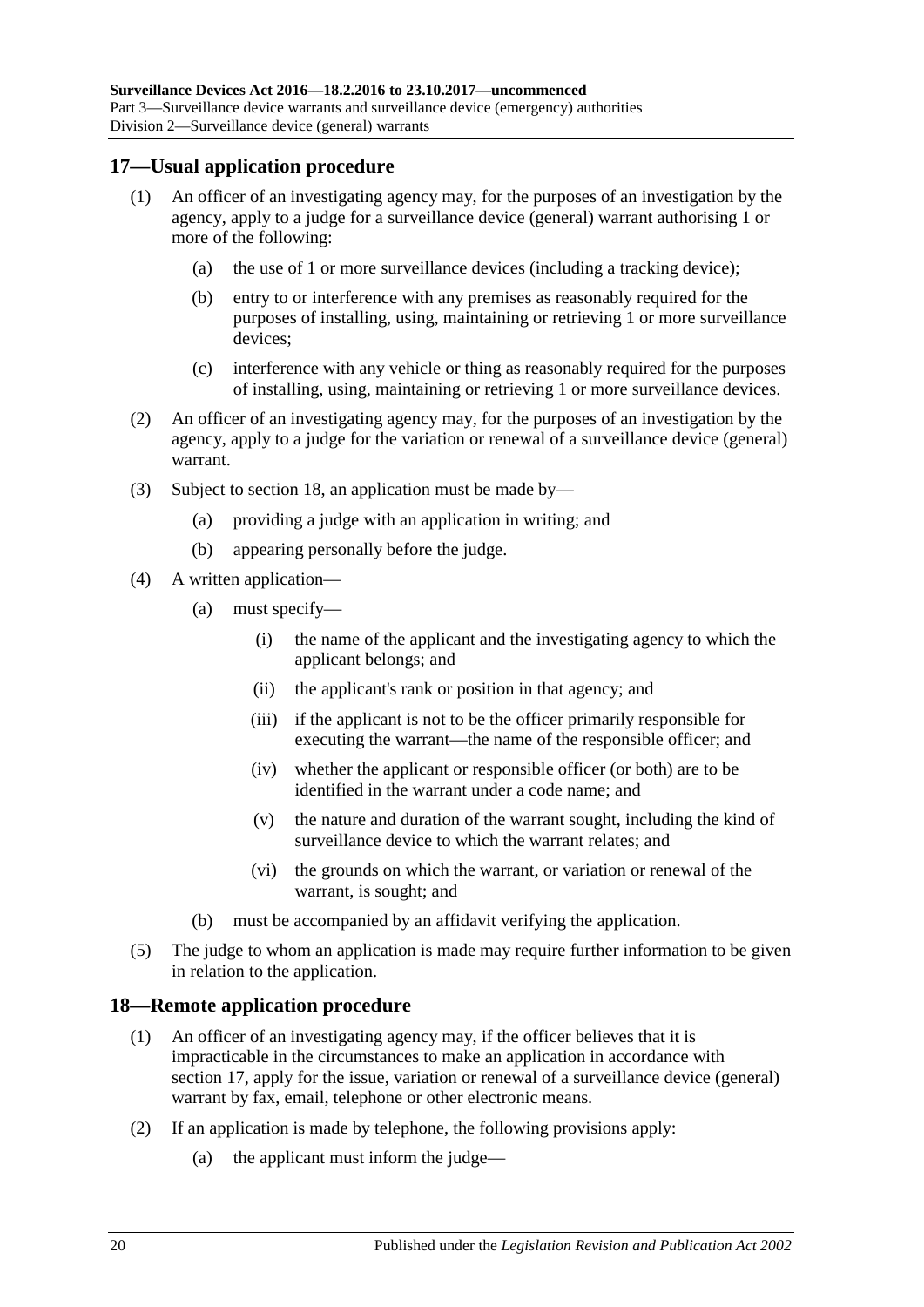### <span id="page-19-0"></span>**17—Usual application procedure**

- (1) An officer of an investigating agency may, for the purposes of an investigation by the agency, apply to a judge for a surveillance device (general) warrant authorising 1 or more of the following:
	- (a) the use of 1 or more surveillance devices (including a tracking device);
	- (b) entry to or interference with any premises as reasonably required for the purposes of installing, using, maintaining or retrieving 1 or more surveillance devices;
	- (c) interference with any vehicle or thing as reasonably required for the purposes of installing, using, maintaining or retrieving 1 or more surveillance devices.
- (2) An officer of an investigating agency may, for the purposes of an investigation by the agency, apply to a judge for the variation or renewal of a surveillance device (general) warrant.
- (3) Subject to [section](#page-19-1) 18, an application must be made by—
	- (a) providing a judge with an application in writing; and
	- (b) appearing personally before the judge.
- (4) A written application—
	- (a) must specify—
		- (i) the name of the applicant and the investigating agency to which the applicant belongs; and
		- (ii) the applicant's rank or position in that agency; and
		- (iii) if the applicant is not to be the officer primarily responsible for executing the warrant—the name of the responsible officer; and
		- (iv) whether the applicant or responsible officer (or both) are to be identified in the warrant under a code name; and
		- (v) the nature and duration of the warrant sought, including the kind of surveillance device to which the warrant relates; and
		- (vi) the grounds on which the warrant, or variation or renewal of the warrant, is sought; and
	- (b) must be accompanied by an affidavit verifying the application.
- (5) The judge to whom an application is made may require further information to be given in relation to the application.

#### <span id="page-19-1"></span>**18—Remote application procedure**

- (1) An officer of an investigating agency may, if the officer believes that it is impracticable in the circumstances to make an application in accordance with [section](#page-19-0) 17, apply for the issue, variation or renewal of a surveillance device (general) warrant by fax, email, telephone or other electronic means.
- (2) If an application is made by telephone, the following provisions apply:
	- (a) the applicant must inform the judge—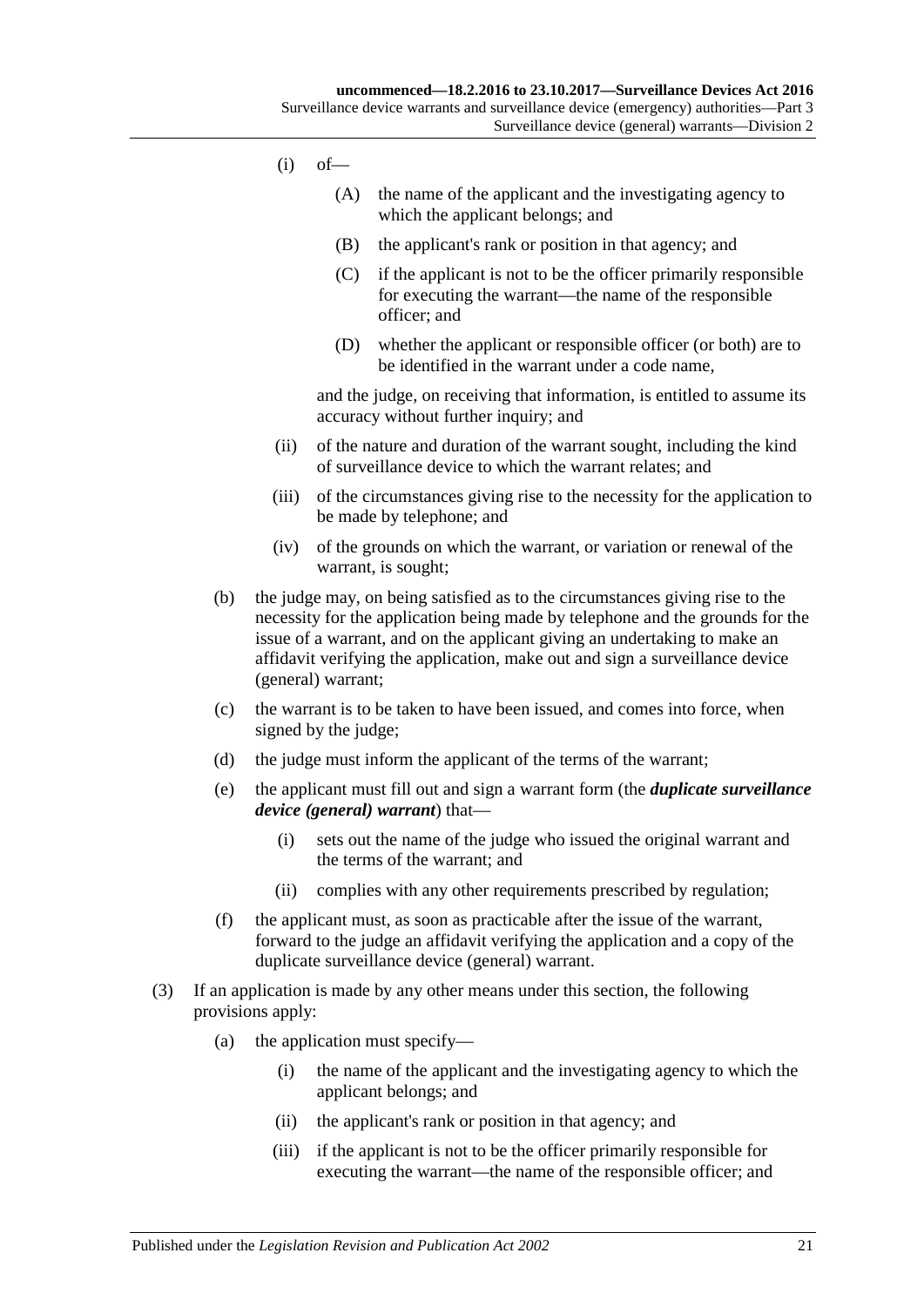- $(i)$  of
	- (A) the name of the applicant and the investigating agency to which the applicant belongs; and
	- (B) the applicant's rank or position in that agency; and
	- (C) if the applicant is not to be the officer primarily responsible for executing the warrant—the name of the responsible officer; and
	- (D) whether the applicant or responsible officer (or both) are to be identified in the warrant under a code name,

and the judge, on receiving that information, is entitled to assume its accuracy without further inquiry; and

- (ii) of the nature and duration of the warrant sought, including the kind of surveillance device to which the warrant relates; and
- (iii) of the circumstances giving rise to the necessity for the application to be made by telephone; and
- (iv) of the grounds on which the warrant, or variation or renewal of the warrant, is sought;
- (b) the judge may, on being satisfied as to the circumstances giving rise to the necessity for the application being made by telephone and the grounds for the issue of a warrant, and on the applicant giving an undertaking to make an affidavit verifying the application, make out and sign a surveillance device (general) warrant;
- (c) the warrant is to be taken to have been issued, and comes into force, when signed by the judge;
- (d) the judge must inform the applicant of the terms of the warrant;
- <span id="page-20-0"></span>(e) the applicant must fill out and sign a warrant form (the *duplicate surveillance device (general) warrant*) that—
	- (i) sets out the name of the judge who issued the original warrant and the terms of the warrant; and
	- (ii) complies with any other requirements prescribed by regulation;
- (f) the applicant must, as soon as practicable after the issue of the warrant, forward to the judge an affidavit verifying the application and a copy of the duplicate surveillance device (general) warrant.
- (3) If an application is made by any other means under this section, the following provisions apply:
	- (a) the application must specify—
		- (i) the name of the applicant and the investigating agency to which the applicant belongs; and
		- (ii) the applicant's rank or position in that agency; and
		- (iii) if the applicant is not to be the officer primarily responsible for executing the warrant—the name of the responsible officer; and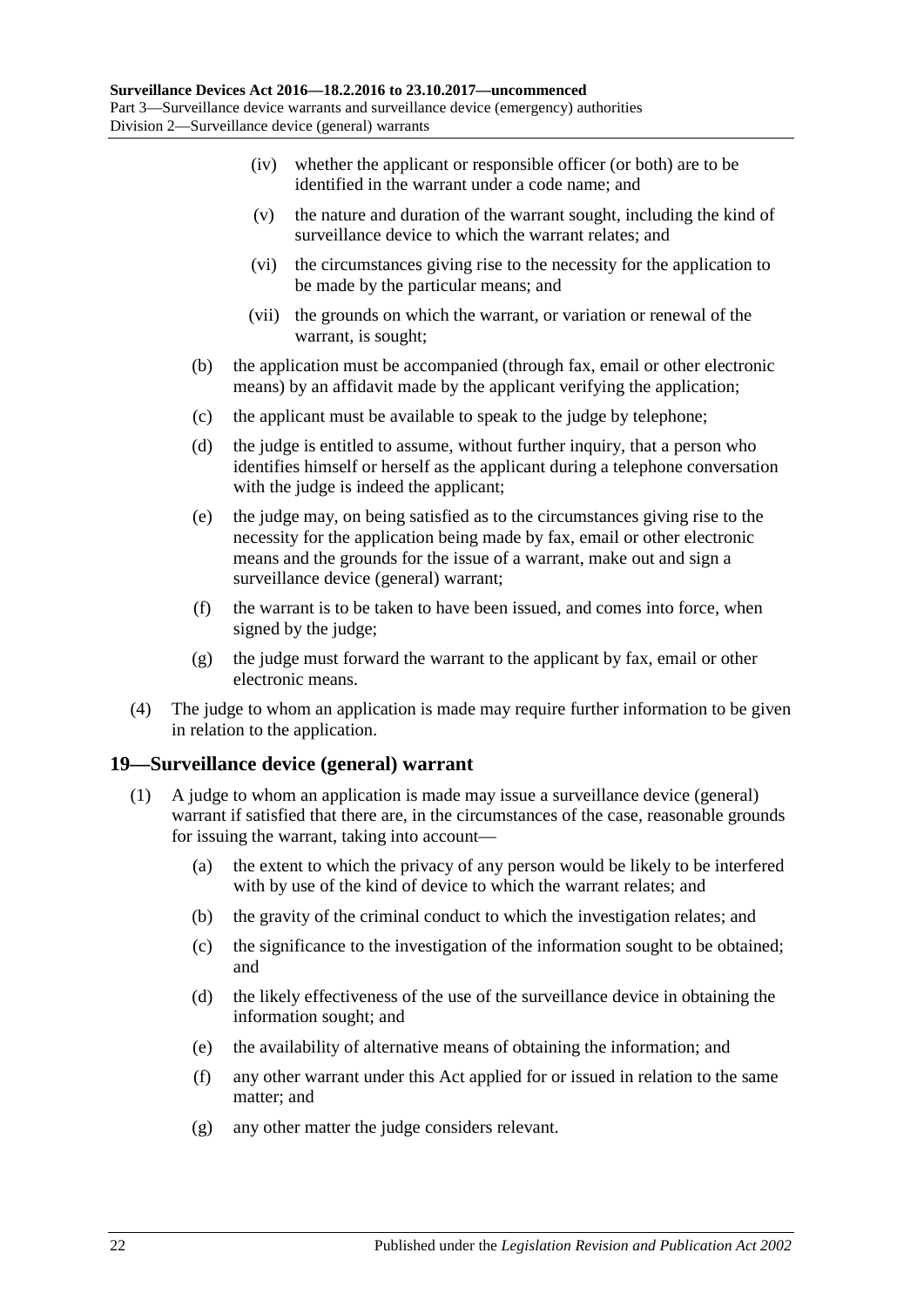- (iv) whether the applicant or responsible officer (or both) are to be identified in the warrant under a code name; and
- (v) the nature and duration of the warrant sought, including the kind of surveillance device to which the warrant relates; and
- (vi) the circumstances giving rise to the necessity for the application to be made by the particular means; and
- (vii) the grounds on which the warrant, or variation or renewal of the warrant, is sought;
- (b) the application must be accompanied (through fax, email or other electronic means) by an affidavit made by the applicant verifying the application;
- (c) the applicant must be available to speak to the judge by telephone;
- (d) the judge is entitled to assume, without further inquiry, that a person who identifies himself or herself as the applicant during a telephone conversation with the judge is indeed the applicant;
- (e) the judge may, on being satisfied as to the circumstances giving rise to the necessity for the application being made by fax, email or other electronic means and the grounds for the issue of a warrant, make out and sign a surveillance device (general) warrant;
- (f) the warrant is to be taken to have been issued, and comes into force, when signed by the judge;
- (g) the judge must forward the warrant to the applicant by fax, email or other electronic means.
- (4) The judge to whom an application is made may require further information to be given in relation to the application.

### <span id="page-21-0"></span>**19—Surveillance device (general) warrant**

- (1) A judge to whom an application is made may issue a surveillance device (general) warrant if satisfied that there are, in the circumstances of the case, reasonable grounds for issuing the warrant, taking into account—
	- (a) the extent to which the privacy of any person would be likely to be interfered with by use of the kind of device to which the warrant relates; and
	- (b) the gravity of the criminal conduct to which the investigation relates; and
	- (c) the significance to the investigation of the information sought to be obtained; and
	- (d) the likely effectiveness of the use of the surveillance device in obtaining the information sought; and
	- (e) the availability of alternative means of obtaining the information; and
	- (f) any other warrant under this Act applied for or issued in relation to the same matter; and
	- (g) any other matter the judge considers relevant.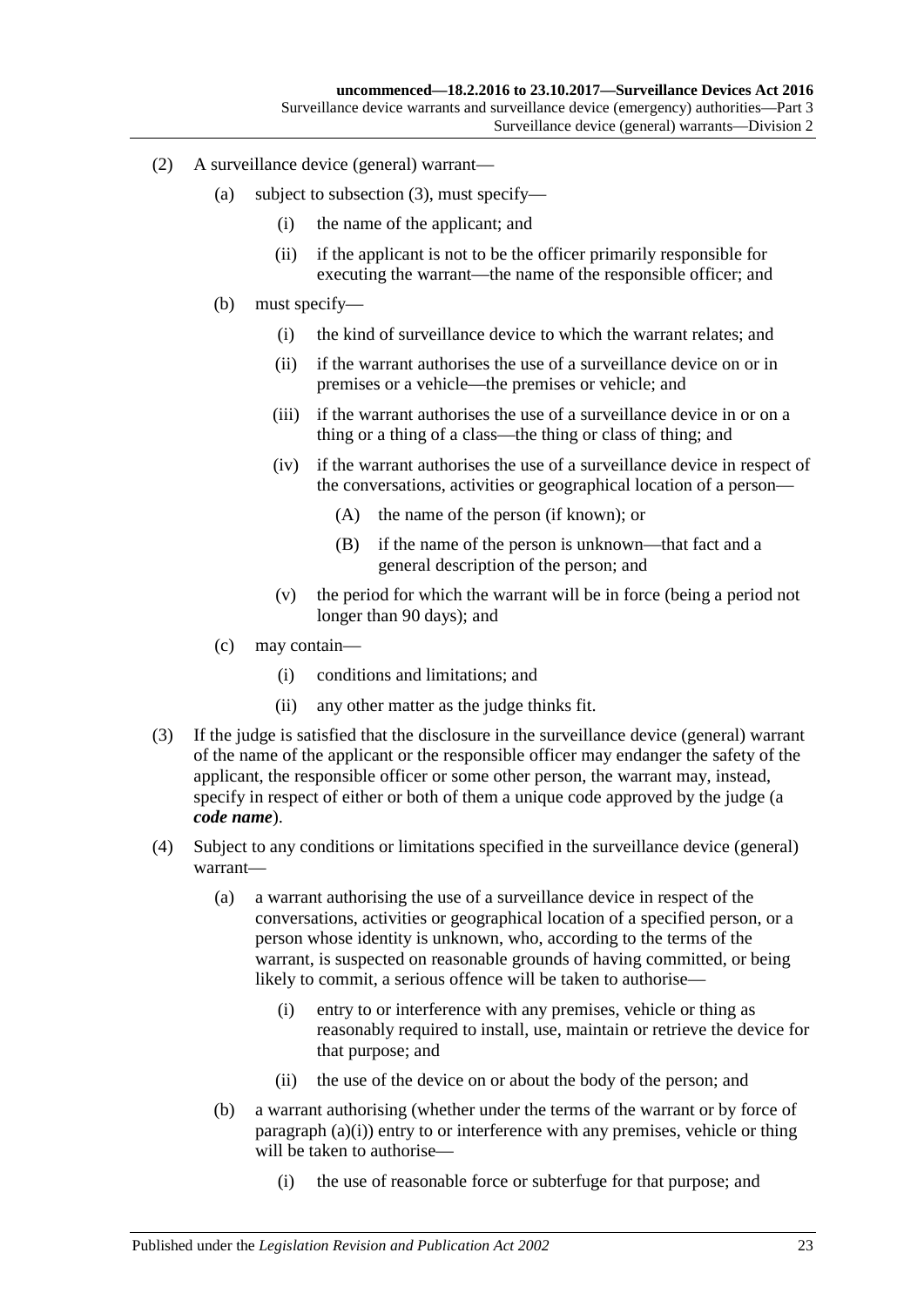- (2) A surveillance device (general) warrant—
	- (a) subject to [subsection](#page-22-0) (3), must specify—
		- (i) the name of the applicant; and
		- (ii) if the applicant is not to be the officer primarily responsible for executing the warrant—the name of the responsible officer; and
	- (b) must specify—
		- (i) the kind of surveillance device to which the warrant relates; and
		- (ii) if the warrant authorises the use of a surveillance device on or in premises or a vehicle—the premises or vehicle; and
		- (iii) if the warrant authorises the use of a surveillance device in or on a thing or a thing of a class—the thing or class of thing; and
		- (iv) if the warrant authorises the use of a surveillance device in respect of the conversations, activities or geographical location of a person—
			- (A) the name of the person (if known); or
			- (B) if the name of the person is unknown—that fact and a general description of the person; and
		- (v) the period for which the warrant will be in force (being a period not longer than 90 days); and
	- (c) may contain—
		- (i) conditions and limitations; and
		- (ii) any other matter as the judge thinks fit.
- <span id="page-22-0"></span>(3) If the judge is satisfied that the disclosure in the surveillance device (general) warrant of the name of the applicant or the responsible officer may endanger the safety of the applicant, the responsible officer or some other person, the warrant may, instead, specify in respect of either or both of them a unique code approved by the judge (a *code name*).
- <span id="page-22-1"></span>(4) Subject to any conditions or limitations specified in the surveillance device (general) warrant—
	- (a) a warrant authorising the use of a surveillance device in respect of the conversations, activities or geographical location of a specified person, or a person whose identity is unknown, who, according to the terms of the warrant, is suspected on reasonable grounds of having committed, or being likely to commit, a serious offence will be taken to authorise—
		- (i) entry to or interference with any premises, vehicle or thing as reasonably required to install, use, maintain or retrieve the device for that purpose; and
		- (ii) the use of the device on or about the body of the person; and
	- (b) a warrant authorising (whether under the terms of the warrant or by force of [paragraph](#page-22-1)  $(a)(i)$ ) entry to or interference with any premises, vehicle or thing will be taken to authorise—
		- (i) the use of reasonable force or subterfuge for that purpose; and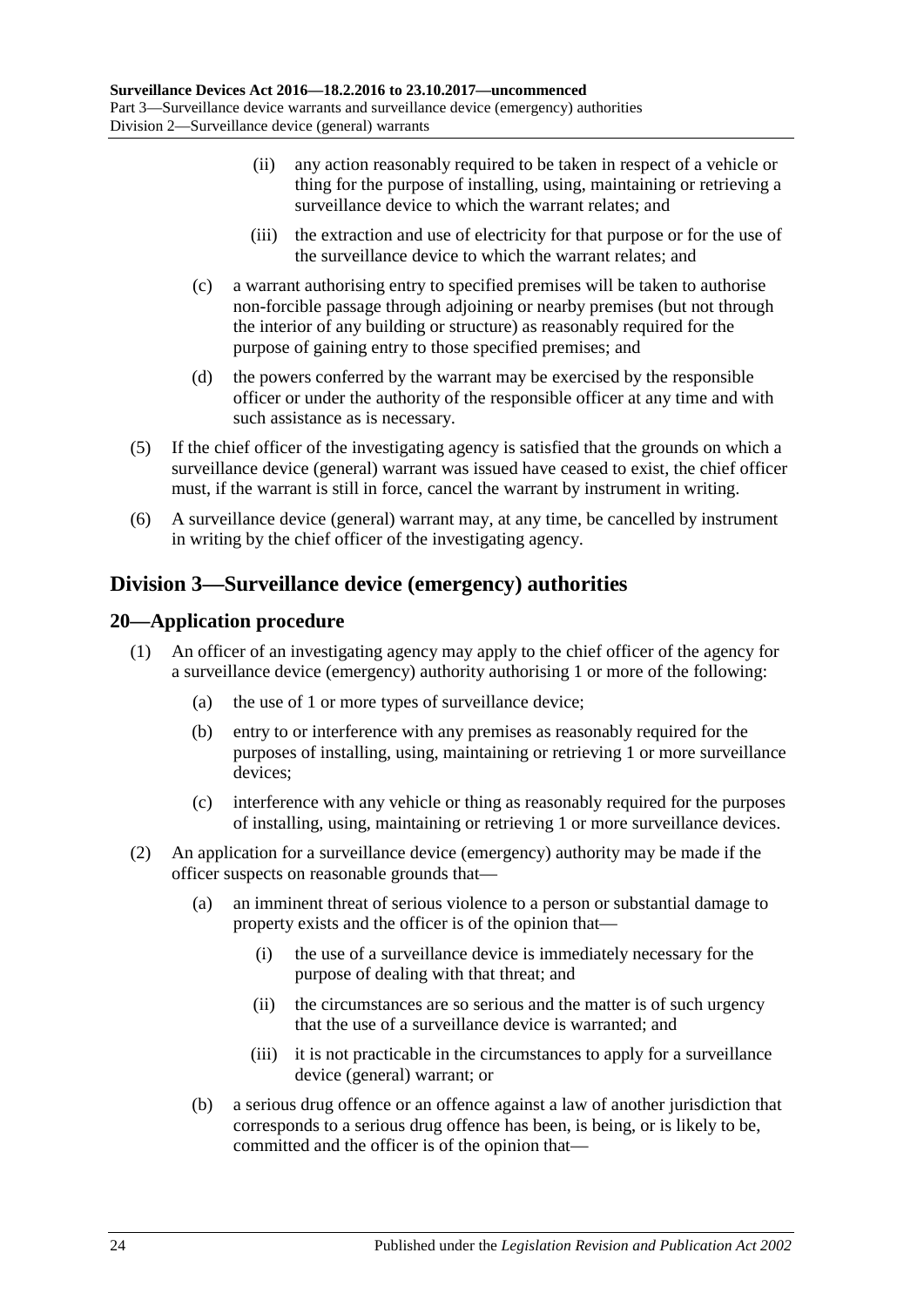- (ii) any action reasonably required to be taken in respect of a vehicle or thing for the purpose of installing, using, maintaining or retrieving a surveillance device to which the warrant relates; and
- (iii) the extraction and use of electricity for that purpose or for the use of the surveillance device to which the warrant relates; and
- (c) a warrant authorising entry to specified premises will be taken to authorise non-forcible passage through adjoining or nearby premises (but not through the interior of any building or structure) as reasonably required for the purpose of gaining entry to those specified premises; and
- (d) the powers conferred by the warrant may be exercised by the responsible officer or under the authority of the responsible officer at any time and with such assistance as is necessary.
- (5) If the chief officer of the investigating agency is satisfied that the grounds on which a surveillance device (general) warrant was issued have ceased to exist, the chief officer must, if the warrant is still in force, cancel the warrant by instrument in writing.
- (6) A surveillance device (general) warrant may, at any time, be cancelled by instrument in writing by the chief officer of the investigating agency.

## <span id="page-23-0"></span>**Division 3—Surveillance device (emergency) authorities**

### <span id="page-23-1"></span>**20—Application procedure**

- (1) An officer of an investigating agency may apply to the chief officer of the agency for a surveillance device (emergency) authority authorising 1 or more of the following:
	- (a) the use of 1 or more types of surveillance device;
	- (b) entry to or interference with any premises as reasonably required for the purposes of installing, using, maintaining or retrieving 1 or more surveillance devices;
	- (c) interference with any vehicle or thing as reasonably required for the purposes of installing, using, maintaining or retrieving 1 or more surveillance devices.
- (2) An application for a surveillance device (emergency) authority may be made if the officer suspects on reasonable grounds that—
	- (a) an imminent threat of serious violence to a person or substantial damage to property exists and the officer is of the opinion that—
		- (i) the use of a surveillance device is immediately necessary for the purpose of dealing with that threat; and
		- (ii) the circumstances are so serious and the matter is of such urgency that the use of a surveillance device is warranted; and
		- (iii) it is not practicable in the circumstances to apply for a surveillance device (general) warrant; or
	- (b) a serious drug offence or an offence against a law of another jurisdiction that corresponds to a serious drug offence has been, is being, or is likely to be, committed and the officer is of the opinion that—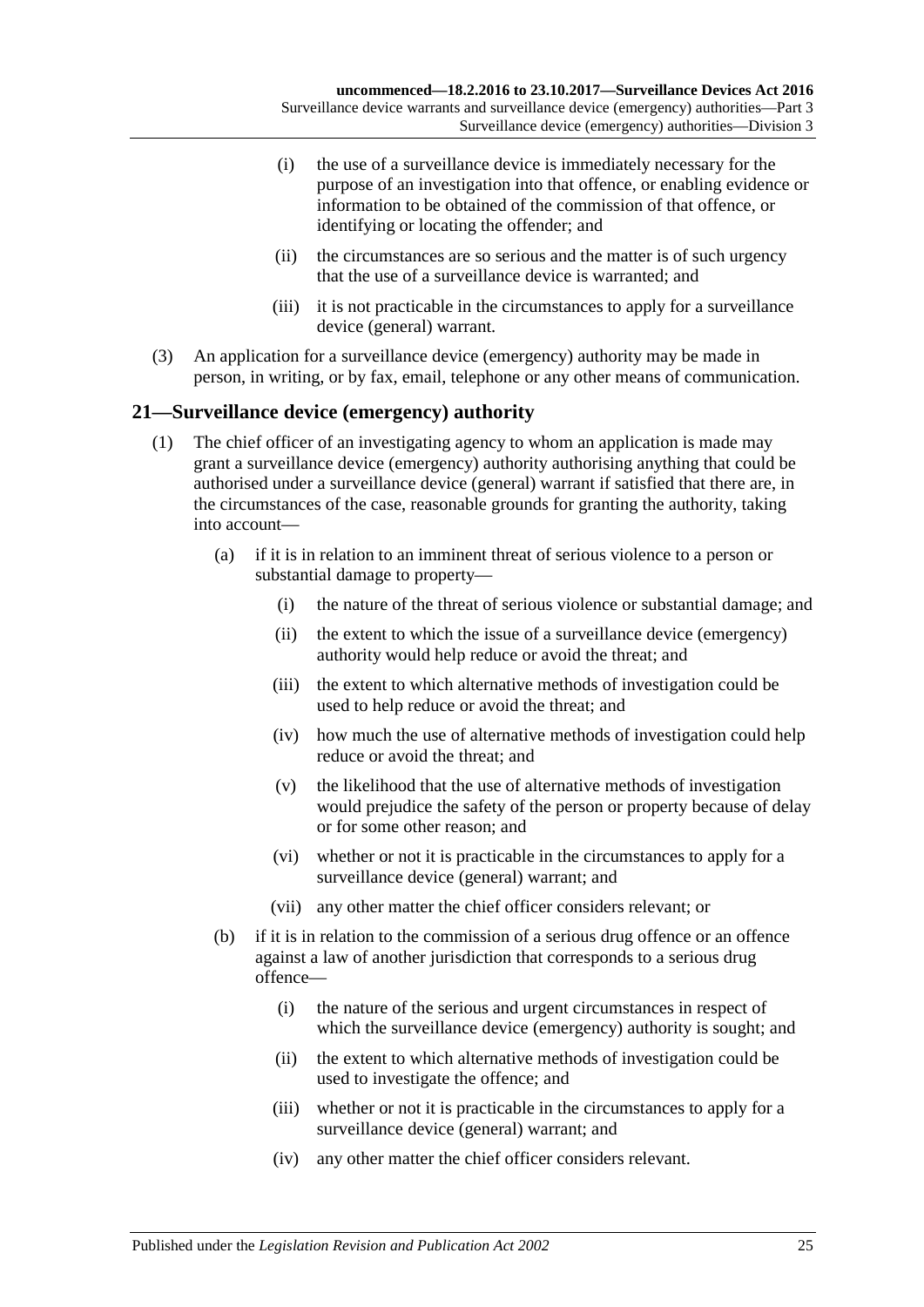- (i) the use of a surveillance device is immediately necessary for the purpose of an investigation into that offence, or enabling evidence or information to be obtained of the commission of that offence, or identifying or locating the offender; and
- (ii) the circumstances are so serious and the matter is of such urgency that the use of a surveillance device is warranted; and
- (iii) it is not practicable in the circumstances to apply for a surveillance device (general) warrant.
- (3) An application for a surveillance device (emergency) authority may be made in person, in writing, or by fax, email, telephone or any other means of communication.

### <span id="page-24-0"></span>**21—Surveillance device (emergency) authority**

- (1) The chief officer of an investigating agency to whom an application is made may grant a surveillance device (emergency) authority authorising anything that could be authorised under a surveillance device (general) warrant if satisfied that there are, in the circumstances of the case, reasonable grounds for granting the authority, taking into account—
	- (a) if it is in relation to an imminent threat of serious violence to a person or substantial damage to property—
		- (i) the nature of the threat of serious violence or substantial damage; and
		- (ii) the extent to which the issue of a surveillance device (emergency) authority would help reduce or avoid the threat; and
		- (iii) the extent to which alternative methods of investigation could be used to help reduce or avoid the threat; and
		- (iv) how much the use of alternative methods of investigation could help reduce or avoid the threat; and
		- (v) the likelihood that the use of alternative methods of investigation would prejudice the safety of the person or property because of delay or for some other reason; and
		- (vi) whether or not it is practicable in the circumstances to apply for a surveillance device (general) warrant; and
		- (vii) any other matter the chief officer considers relevant; or
	- (b) if it is in relation to the commission of a serious drug offence or an offence against a law of another jurisdiction that corresponds to a serious drug offence—
		- (i) the nature of the serious and urgent circumstances in respect of which the surveillance device (emergency) authority is sought; and
		- (ii) the extent to which alternative methods of investigation could be used to investigate the offence; and
		- (iii) whether or not it is practicable in the circumstances to apply for a surveillance device (general) warrant; and
		- (iv) any other matter the chief officer considers relevant.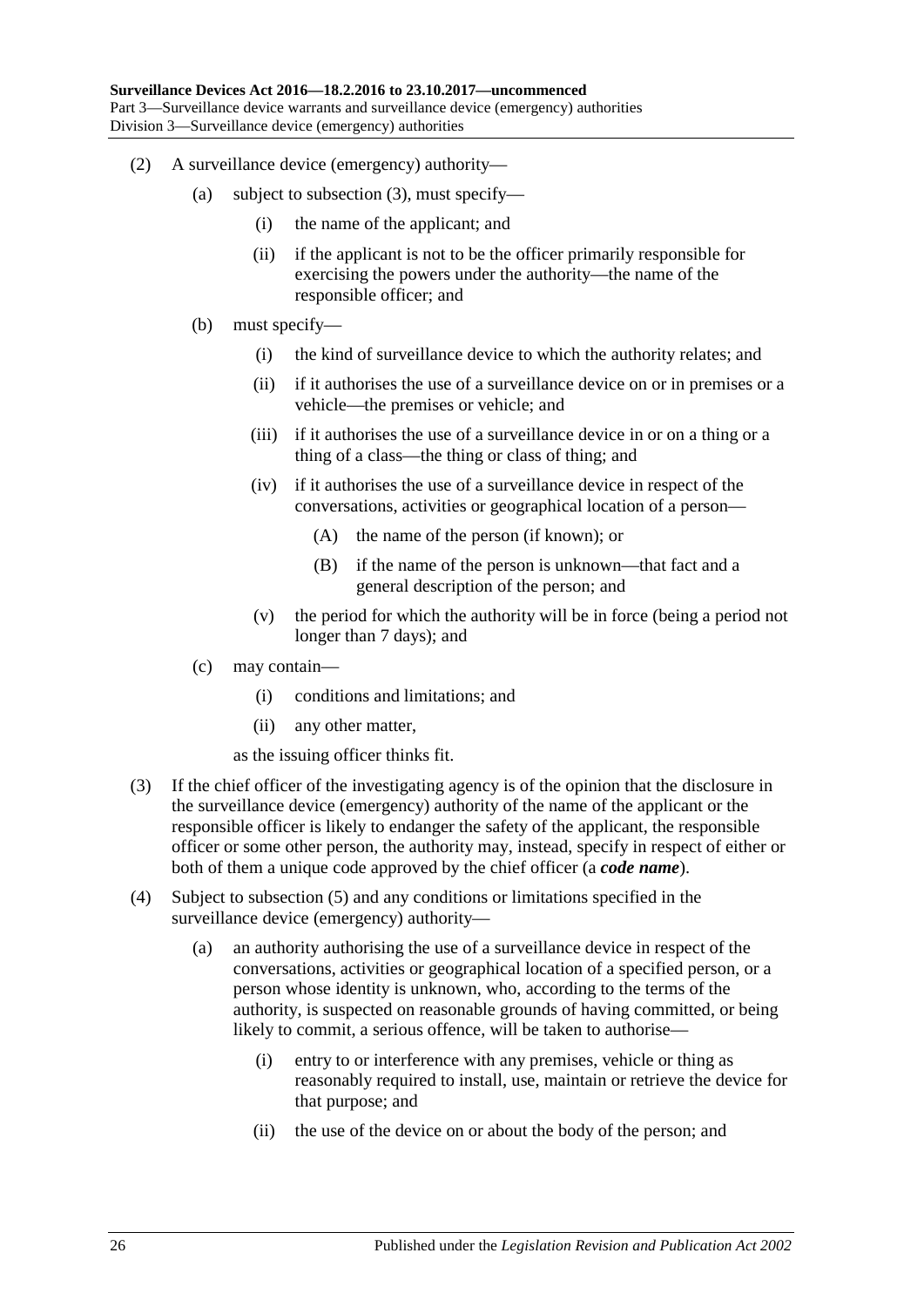- (2) A surveillance device (emergency) authority—
	- (a) subject to [subsection](#page-25-0) (3), must specify—
		- (i) the name of the applicant; and
		- (ii) if the applicant is not to be the officer primarily responsible for exercising the powers under the authority—the name of the responsible officer; and
	- (b) must specify—
		- (i) the kind of surveillance device to which the authority relates; and
		- (ii) if it authorises the use of a surveillance device on or in premises or a vehicle—the premises or vehicle; and
		- (iii) if it authorises the use of a surveillance device in or on a thing or a thing of a class—the thing or class of thing; and
		- (iv) if it authorises the use of a surveillance device in respect of the conversations, activities or geographical location of a person—
			- (A) the name of the person (if known); or
			- (B) if the name of the person is unknown—that fact and a general description of the person; and
		- (v) the period for which the authority will be in force (being a period not longer than 7 days); and
	- (c) may contain—
		- (i) conditions and limitations; and
		- (ii) any other matter,

as the issuing officer thinks fit.

- <span id="page-25-0"></span>(3) If the chief officer of the investigating agency is of the opinion that the disclosure in the surveillance device (emergency) authority of the name of the applicant or the responsible officer is likely to endanger the safety of the applicant, the responsible officer or some other person, the authority may, instead, specify in respect of either or both of them a unique code approved by the chief officer (a *code name*).
- <span id="page-25-1"></span>(4) Subject to [subsection](#page-26-1) (5) and any conditions or limitations specified in the surveillance device (emergency) authority—
	- (a) an authority authorising the use of a surveillance device in respect of the conversations, activities or geographical location of a specified person, or a person whose identity is unknown, who, according to the terms of the authority, is suspected on reasonable grounds of having committed, or being likely to commit, a serious offence, will be taken to authorise—
		- (i) entry to or interference with any premises, vehicle or thing as reasonably required to install, use, maintain or retrieve the device for that purpose; and
		- (ii) the use of the device on or about the body of the person; and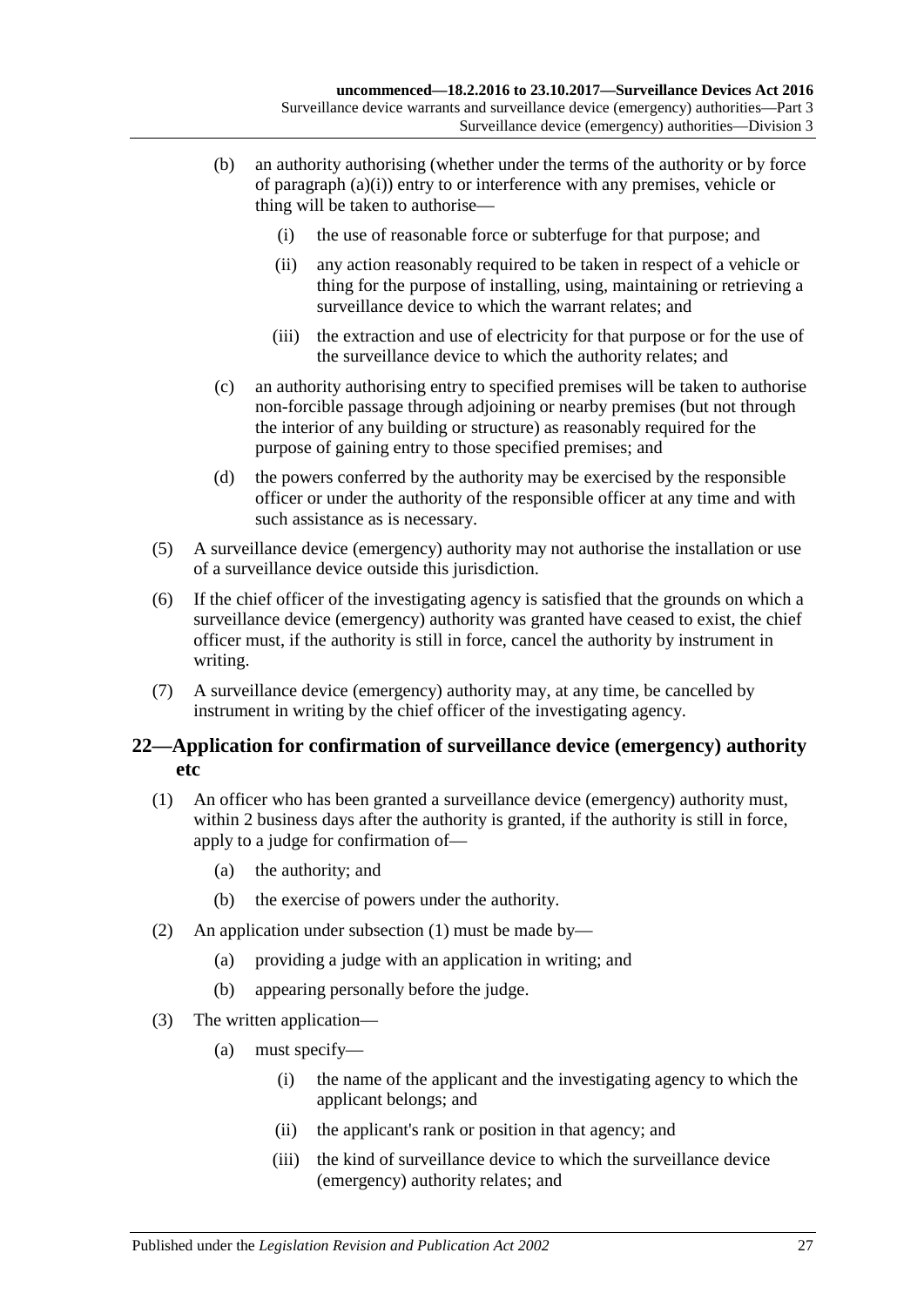- (b) an authority authorising (whether under the terms of the authority or by force of [paragraph](#page-25-1) (a)(i)) entry to or interference with any premises, vehicle or thing will be taken to authorise—
	- (i) the use of reasonable force or subterfuge for that purpose; and
	- (ii) any action reasonably required to be taken in respect of a vehicle or thing for the purpose of installing, using, maintaining or retrieving a surveillance device to which the warrant relates; and
	- (iii) the extraction and use of electricity for that purpose or for the use of the surveillance device to which the authority relates; and
- (c) an authority authorising entry to specified premises will be taken to authorise non-forcible passage through adjoining or nearby premises (but not through the interior of any building or structure) as reasonably required for the purpose of gaining entry to those specified premises; and
- (d) the powers conferred by the authority may be exercised by the responsible officer or under the authority of the responsible officer at any time and with such assistance as is necessary.
- <span id="page-26-1"></span>(5) A surveillance device (emergency) authority may not authorise the installation or use of a surveillance device outside this jurisdiction.
- (6) If the chief officer of the investigating agency is satisfied that the grounds on which a surveillance device (emergency) authority was granted have ceased to exist, the chief officer must, if the authority is still in force, cancel the authority by instrument in writing.
- (7) A surveillance device (emergency) authority may, at any time, be cancelled by instrument in writing by the chief officer of the investigating agency.

## <span id="page-26-0"></span>**22—Application for confirmation of surveillance device (emergency) authority etc**

- <span id="page-26-2"></span>(1) An officer who has been granted a surveillance device (emergency) authority must, within 2 business days after the authority is granted, if the authority is still in force, apply to a judge for confirmation of—
	- (a) the authority; and
	- (b) the exercise of powers under the authority.
- (2) An application under [subsection](#page-26-2) (1) must be made by—
	- (a) providing a judge with an application in writing; and
	- (b) appearing personally before the judge.
- (3) The written application—
	- (a) must specify—
		- (i) the name of the applicant and the investigating agency to which the applicant belongs; and
		- (ii) the applicant's rank or position in that agency; and
		- (iii) the kind of surveillance device to which the surveillance device (emergency) authority relates; and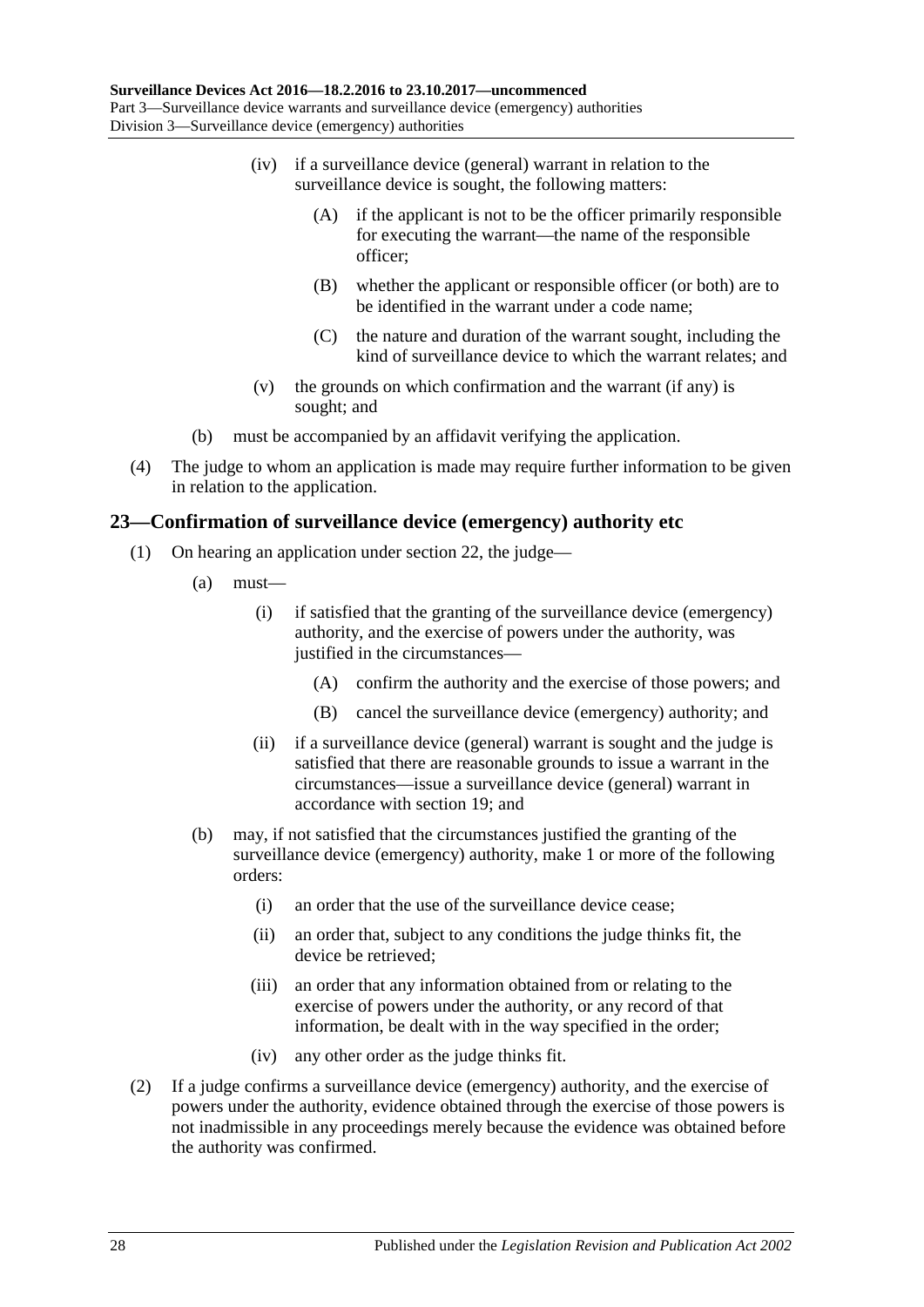- (iv) if a surveillance device (general) warrant in relation to the surveillance device is sought, the following matters:
	- (A) if the applicant is not to be the officer primarily responsible for executing the warrant—the name of the responsible officer;
	- (B) whether the applicant or responsible officer (or both) are to be identified in the warrant under a code name;
	- (C) the nature and duration of the warrant sought, including the kind of surveillance device to which the warrant relates; and
- (v) the grounds on which confirmation and the warrant (if any) is sought; and
- (b) must be accompanied by an affidavit verifying the application.
- (4) The judge to whom an application is made may require further information to be given in relation to the application.

### <span id="page-27-0"></span>**23—Confirmation of surveillance device (emergency) authority etc**

- (1) On hearing an application under [section](#page-26-0) 22, the judge—
	- $(a)$  must—
		- (i) if satisfied that the granting of the surveillance device (emergency) authority, and the exercise of powers under the authority, was justified in the circumstances—
			- (A) confirm the authority and the exercise of those powers; and
			- (B) cancel the surveillance device (emergency) authority; and
		- (ii) if a surveillance device (general) warrant is sought and the judge is satisfied that there are reasonable grounds to issue a warrant in the circumstances—issue a surveillance device (general) warrant in accordance with [section](#page-21-0) 19; and
	- (b) may, if not satisfied that the circumstances justified the granting of the surveillance device (emergency) authority, make 1 or more of the following orders:
		- (i) an order that the use of the surveillance device cease;
		- (ii) an order that, subject to any conditions the judge thinks fit, the device be retrieved;
		- (iii) an order that any information obtained from or relating to the exercise of powers under the authority, or any record of that information, be dealt with in the way specified in the order;
		- (iv) any other order as the judge thinks fit.
- (2) If a judge confirms a surveillance device (emergency) authority, and the exercise of powers under the authority, evidence obtained through the exercise of those powers is not inadmissible in any proceedings merely because the evidence was obtained before the authority was confirmed.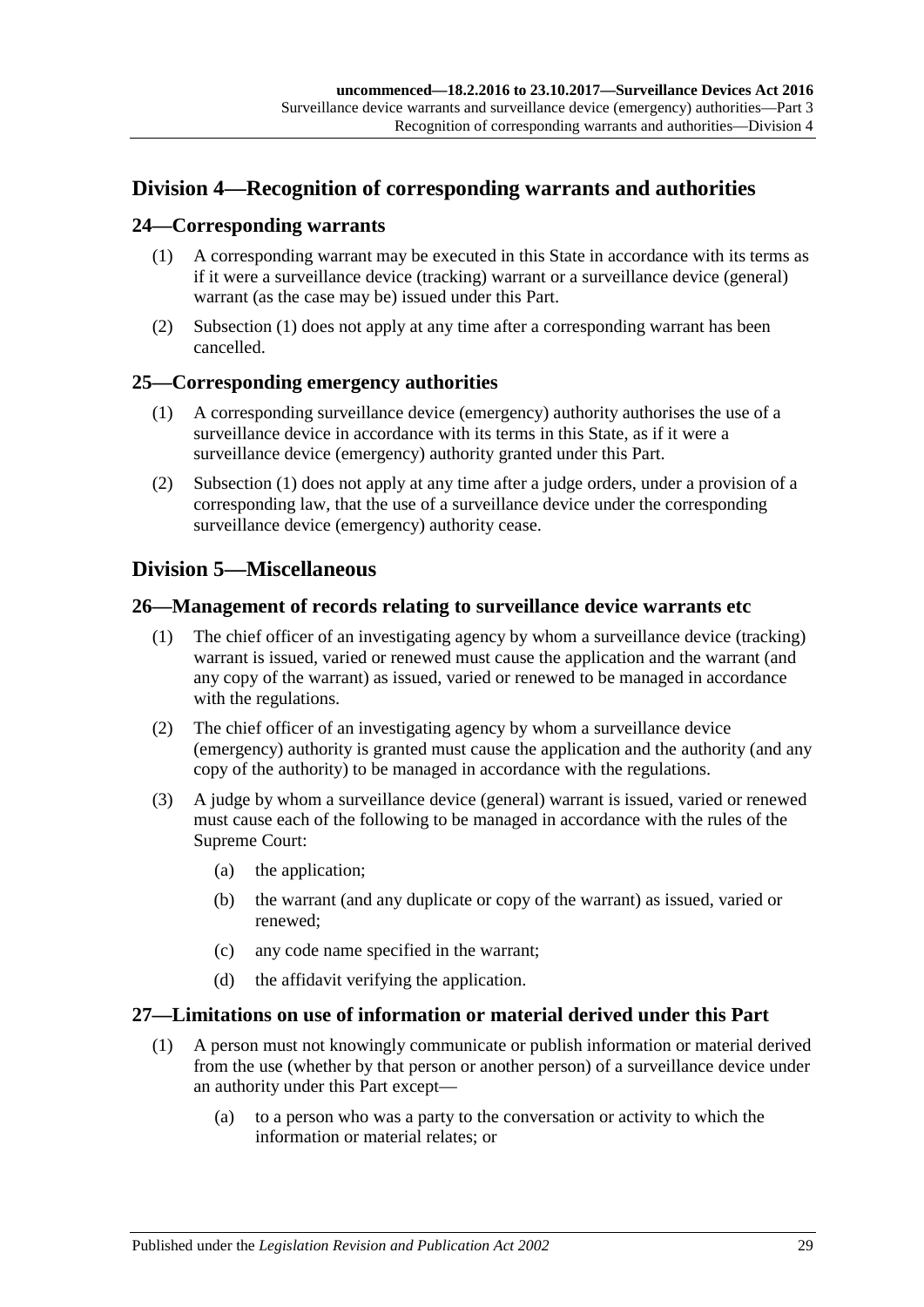## <span id="page-28-0"></span>**Division 4—Recognition of corresponding warrants and authorities**

### <span id="page-28-6"></span><span id="page-28-1"></span>**24—Corresponding warrants**

- (1) A corresponding warrant may be executed in this State in accordance with its terms as if it were a surveillance device (tracking) warrant or a surveillance device (general) warrant (as the case may be) issued under this Part.
- (2) [Subsection](#page-28-6) (1) does not apply at any time after a corresponding warrant has been cancelled.

#### <span id="page-28-7"></span><span id="page-28-2"></span>**25—Corresponding emergency authorities**

- (1) A corresponding surveillance device (emergency) authority authorises the use of a surveillance device in accordance with its terms in this State, as if it were a surveillance device (emergency) authority granted under this Part.
- (2) [Subsection](#page-28-7) (1) does not apply at any time after a judge orders, under a provision of a corresponding law, that the use of a surveillance device under the corresponding surveillance device (emergency) authority cease.

## <span id="page-28-3"></span>**Division 5—Miscellaneous**

#### <span id="page-28-4"></span>**26—Management of records relating to surveillance device warrants etc**

- (1) The chief officer of an investigating agency by whom a surveillance device (tracking) warrant is issued, varied or renewed must cause the application and the warrant (and any copy of the warrant) as issued, varied or renewed to be managed in accordance with the regulations.
- (2) The chief officer of an investigating agency by whom a surveillance device (emergency) authority is granted must cause the application and the authority (and any copy of the authority) to be managed in accordance with the regulations.
- (3) A judge by whom a surveillance device (general) warrant is issued, varied or renewed must cause each of the following to be managed in accordance with the rules of the Supreme Court:
	- (a) the application;
	- (b) the warrant (and any duplicate or copy of the warrant) as issued, varied or renewed;
	- (c) any code name specified in the warrant;
	- (d) the affidavit verifying the application.

### <span id="page-28-5"></span>**27—Limitations on use of information or material derived under this Part**

- (1) A person must not knowingly communicate or publish information or material derived from the use (whether by that person or another person) of a surveillance device under an authority under this Part except—
	- (a) to a person who was a party to the conversation or activity to which the information or material relates; or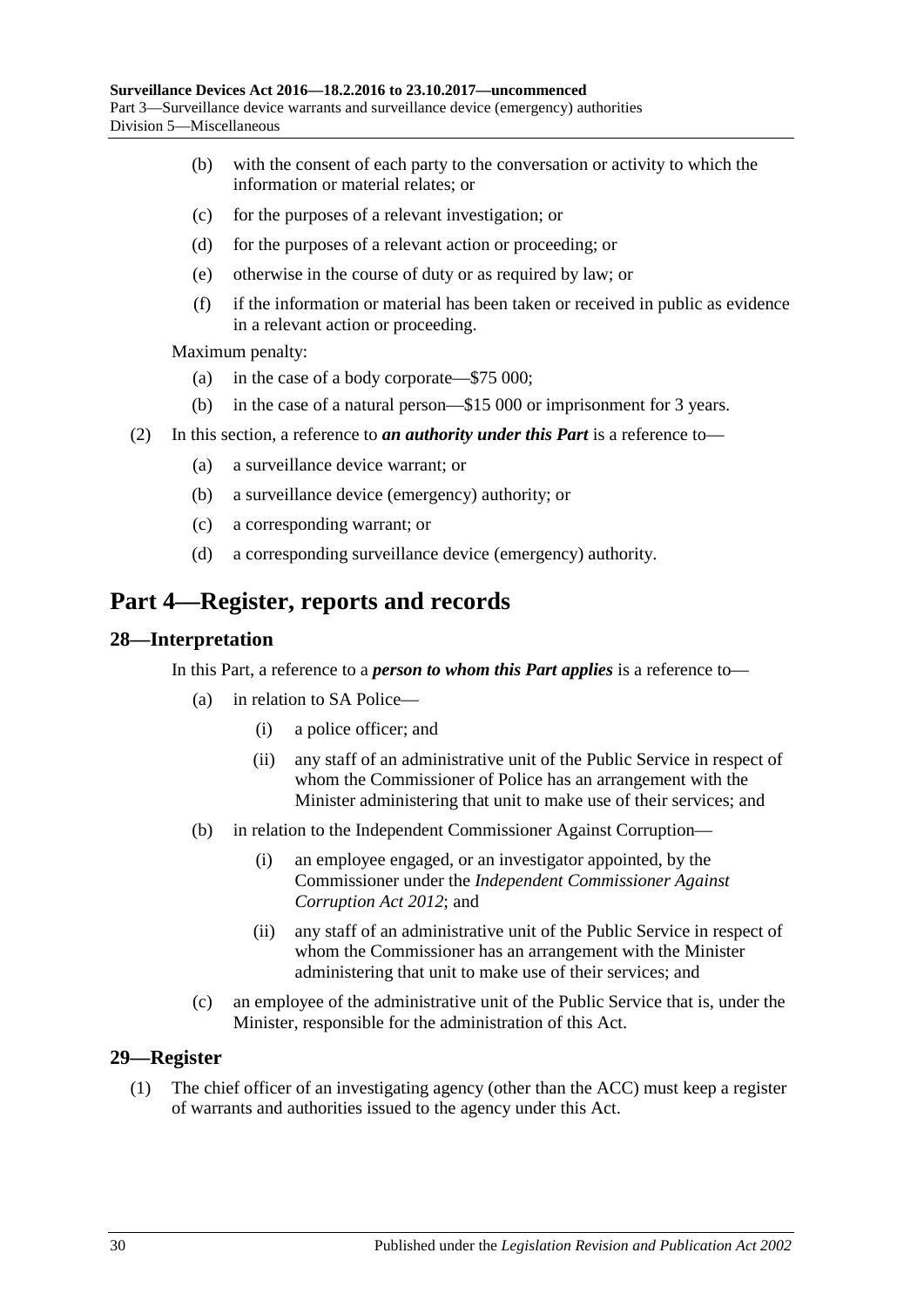- (b) with the consent of each party to the conversation or activity to which the information or material relates; or
- (c) for the purposes of a relevant investigation; or
- (d) for the purposes of a relevant action or proceeding; or
- (e) otherwise in the course of duty or as required by law; or
- (f) if the information or material has been taken or received in public as evidence in a relevant action or proceeding.

Maximum penalty:

- (a) in the case of a body corporate—\$75 000;
- (b) in the case of a natural person—\$15 000 or imprisonment for 3 years.
- (2) In this section, a reference to *an authority under this Part* is a reference to—
	- (a) a surveillance device warrant; or
	- (b) a surveillance device (emergency) authority; or
	- (c) a corresponding warrant; or
	- (d) a corresponding surveillance device (emergency) authority.

## <span id="page-29-0"></span>**Part 4—Register, reports and records**

#### <span id="page-29-1"></span>**28—Interpretation**

In this Part, a reference to a *person to whom this Part applies* is a reference to—

- (a) in relation to SA Police—
	- (i) a police officer; and
	- (ii) any staff of an administrative unit of the Public Service in respect of whom the Commissioner of Police has an arrangement with the Minister administering that unit to make use of their services; and
- (b) in relation to the Independent Commissioner Against Corruption—
	- (i) an employee engaged, or an investigator appointed, by the Commissioner under the *[Independent Commissioner Against](http://www.legislation.sa.gov.au/index.aspx?action=legref&type=act&legtitle=Independent%20Commissioner%20Against%20Corruption%20Act%202012)  [Corruption Act](http://www.legislation.sa.gov.au/index.aspx?action=legref&type=act&legtitle=Independent%20Commissioner%20Against%20Corruption%20Act%202012) 2012*; and
	- (ii) any staff of an administrative unit of the Public Service in respect of whom the Commissioner has an arrangement with the Minister administering that unit to make use of their services; and
- (c) an employee of the administrative unit of the Public Service that is, under the Minister, responsible for the administration of this Act.

#### <span id="page-29-2"></span>**29—Register**

(1) The chief officer of an investigating agency (other than the ACC) must keep a register of warrants and authorities issued to the agency under this Act.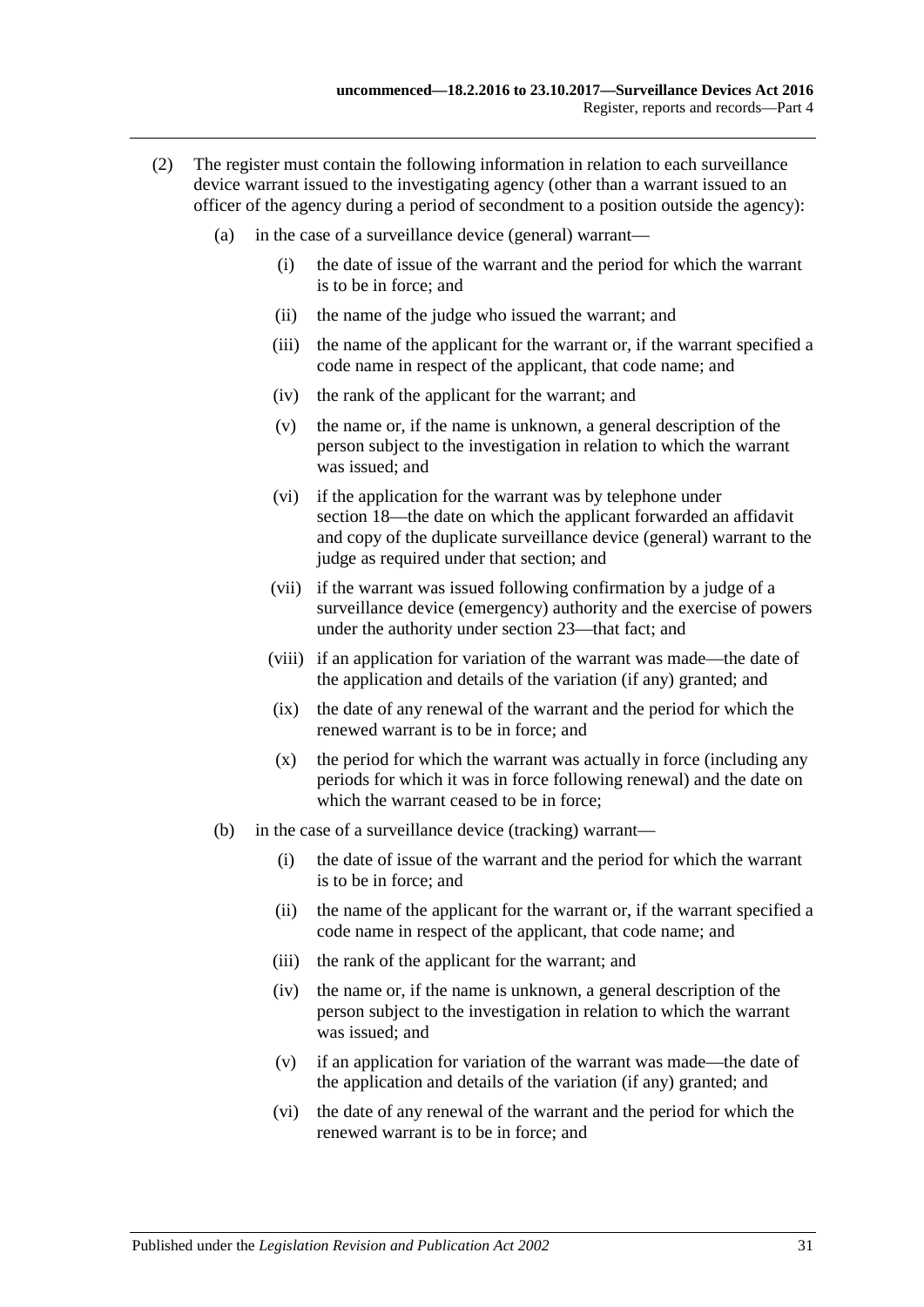- (2) The register must contain the following information in relation to each surveillance device warrant issued to the investigating agency (other than a warrant issued to an officer of the agency during a period of secondment to a position outside the agency):
	- (a) in the case of a surveillance device (general) warrant—
		- (i) the date of issue of the warrant and the period for which the warrant is to be in force; and
		- (ii) the name of the judge who issued the warrant; and
		- (iii) the name of the applicant for the warrant or, if the warrant specified a code name in respect of the applicant, that code name; and
		- (iv) the rank of the applicant for the warrant; and
		- (v) the name or, if the name is unknown, a general description of the person subject to the investigation in relation to which the warrant was issued; and
		- (vi) if the application for the warrant was by telephone under [section](#page-19-1) 18—the date on which the applicant forwarded an affidavit and copy of the duplicate surveillance device (general) warrant to the judge as required under that section; and
		- (vii) if the warrant was issued following confirmation by a judge of a surveillance device (emergency) authority and the exercise of powers under the authority under [section](#page-27-0) 23—that fact; and
		- (viii) if an application for variation of the warrant was made—the date of the application and details of the variation (if any) granted; and
		- (ix) the date of any renewal of the warrant and the period for which the renewed warrant is to be in force; and
		- (x) the period for which the warrant was actually in force (including any periods for which it was in force following renewal) and the date on which the warrant ceased to be in force:
	- (b) in the case of a surveillance device (tracking) warrant—
		- (i) the date of issue of the warrant and the period for which the warrant is to be in force; and
		- (ii) the name of the applicant for the warrant or, if the warrant specified a code name in respect of the applicant, that code name; and
		- (iii) the rank of the applicant for the warrant; and
		- (iv) the name or, if the name is unknown, a general description of the person subject to the investigation in relation to which the warrant was issued; and
		- (v) if an application for variation of the warrant was made—the date of the application and details of the variation (if any) granted; and
		- (vi) the date of any renewal of the warrant and the period for which the renewed warrant is to be in force; and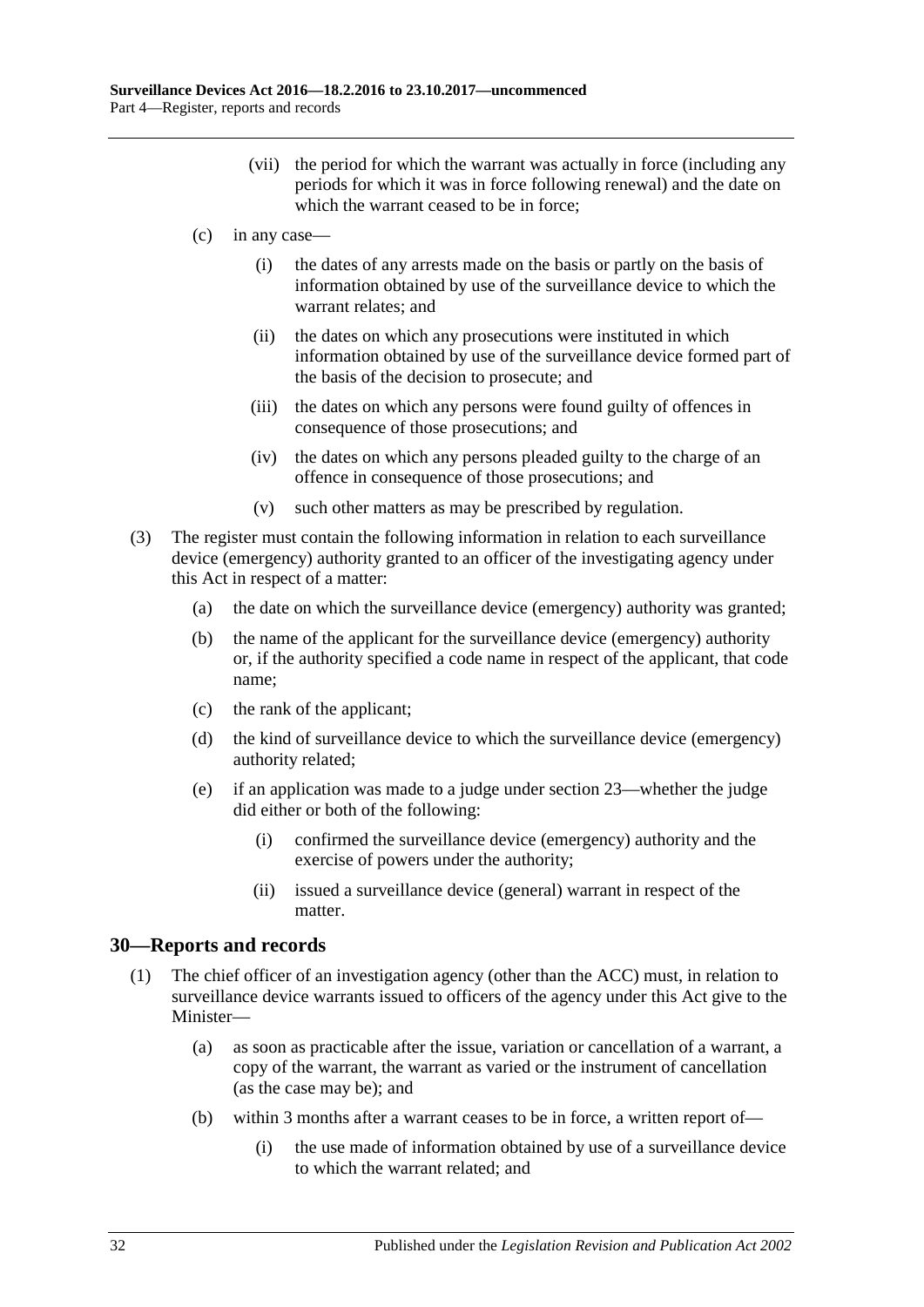- (vii) the period for which the warrant was actually in force (including any periods for which it was in force following renewal) and the date on which the warrant ceased to be in force:
- (c) in any case—
	- (i) the dates of any arrests made on the basis or partly on the basis of information obtained by use of the surveillance device to which the warrant relates; and
	- (ii) the dates on which any prosecutions were instituted in which information obtained by use of the surveillance device formed part of the basis of the decision to prosecute; and
	- (iii) the dates on which any persons were found guilty of offences in consequence of those prosecutions; and
	- (iv) the dates on which any persons pleaded guilty to the charge of an offence in consequence of those prosecutions; and
	- (v) such other matters as may be prescribed by regulation.
- (3) The register must contain the following information in relation to each surveillance device (emergency) authority granted to an officer of the investigating agency under this Act in respect of a matter:
	- (a) the date on which the surveillance device (emergency) authority was granted;
	- (b) the name of the applicant for the surveillance device (emergency) authority or, if the authority specified a code name in respect of the applicant, that code name;
	- (c) the rank of the applicant;
	- (d) the kind of surveillance device to which the surveillance device (emergency) authority related;
	- (e) if an application was made to a judge unde[r section](#page-27-0) 23—whether the judge did either or both of the following:
		- (i) confirmed the surveillance device (emergency) authority and the exercise of powers under the authority;
		- (ii) issued a surveillance device (general) warrant in respect of the matter.

### <span id="page-31-1"></span><span id="page-31-0"></span>**30—Reports and records**

- (1) The chief officer of an investigation agency (other than the ACC) must, in relation to surveillance device warrants issued to officers of the agency under this Act give to the Minister—
	- (a) as soon as practicable after the issue, variation or cancellation of a warrant, a copy of the warrant, the warrant as varied or the instrument of cancellation (as the case may be); and
	- (b) within 3 months after a warrant ceases to be in force, a written report of—
		- (i) the use made of information obtained by use of a surveillance device to which the warrant related; and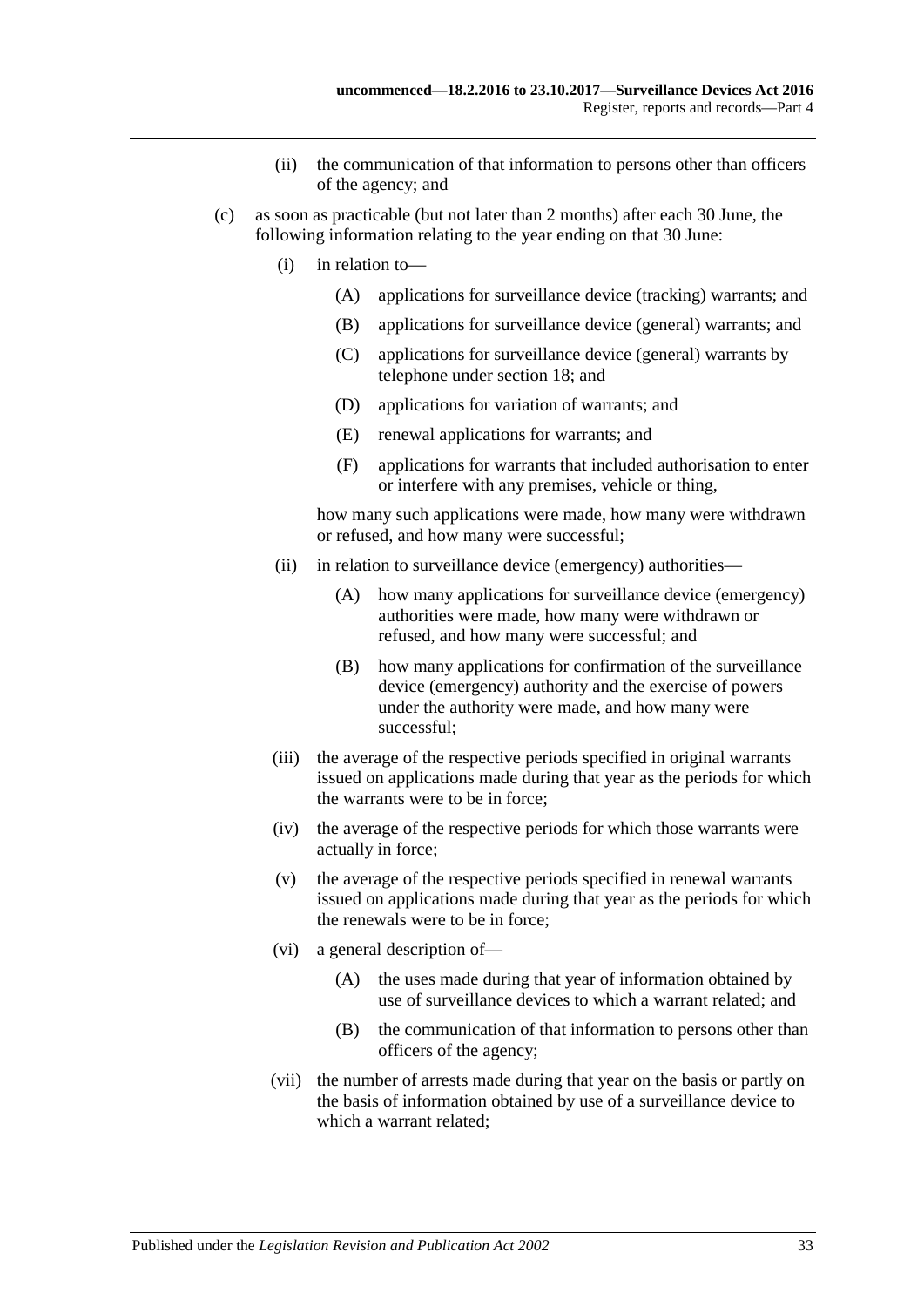- (ii) the communication of that information to persons other than officers of the agency; and
- <span id="page-32-0"></span>(c) as soon as practicable (but not later than 2 months) after each 30 June, the following information relating to the year ending on that 30 June:
	- (i) in relation to—
		- (A) applications for surveillance device (tracking) warrants; and
		- (B) applications for surveillance device (general) warrants; and
		- (C) applications for surveillance device (general) warrants by telephone under [section](#page-19-1) 18; and
		- (D) applications for variation of warrants; and
		- (E) renewal applications for warrants; and
		- (F) applications for warrants that included authorisation to enter or interfere with any premises, vehicle or thing,

how many such applications were made, how many were withdrawn or refused, and how many were successful;

- (ii) in relation to surveillance device (emergency) authorities—
	- (A) how many applications for surveillance device (emergency) authorities were made, how many were withdrawn or refused, and how many were successful; and
	- (B) how many applications for confirmation of the surveillance device (emergency) authority and the exercise of powers under the authority were made, and how many were successful;
- (iii) the average of the respective periods specified in original warrants issued on applications made during that year as the periods for which the warrants were to be in force;
- (iv) the average of the respective periods for which those warrants were actually in force;
- (v) the average of the respective periods specified in renewal warrants issued on applications made during that year as the periods for which the renewals were to be in force;
- (vi) a general description of—
	- (A) the uses made during that year of information obtained by use of surveillance devices to which a warrant related; and
	- (B) the communication of that information to persons other than officers of the agency;
- (vii) the number of arrests made during that year on the basis or partly on the basis of information obtained by use of a surveillance device to which a warrant related;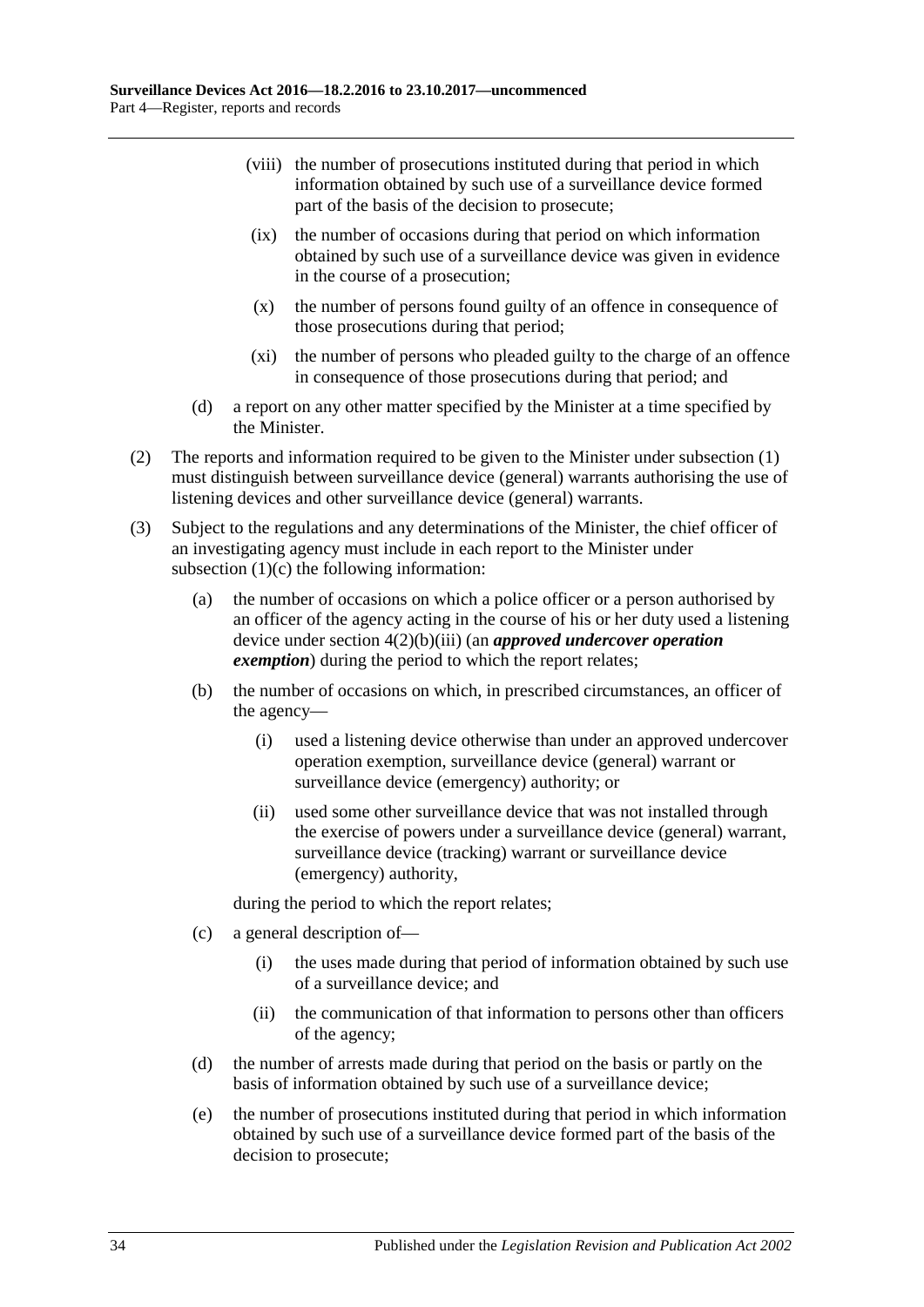- (viii) the number of prosecutions instituted during that period in which information obtained by such use of a surveillance device formed part of the basis of the decision to prosecute;
- (ix) the number of occasions during that period on which information obtained by such use of a surveillance device was given in evidence in the course of a prosecution;
- (x) the number of persons found guilty of an offence in consequence of those prosecutions during that period;
- (xi) the number of persons who pleaded guilty to the charge of an offence in consequence of those prosecutions during that period; and
- (d) a report on any other matter specified by the Minister at a time specified by the Minister.
- (2) The reports and information required to be given to the Minister under [subsection](#page-31-1) (1) must distinguish between surveillance device (general) warrants authorising the use of listening devices and other surveillance device (general) warrants.
- (3) Subject to the regulations and any determinations of the Minister, the chief officer of an investigating agency must include in each report to the Minister under [subsection](#page-32-0)  $(1)(c)$  the following information:
	- (a) the number of occasions on which a police officer or a person authorised by an officer of the agency acting in the course of his or her duty used a listening device under section [4\(2\)\(b\)\(iii\)](#page-9-2) (an *approved undercover operation exemption*) during the period to which the report relates;
	- (b) the number of occasions on which, in prescribed circumstances, an officer of the agency—
		- (i) used a listening device otherwise than under an approved undercover operation exemption, surveillance device (general) warrant or surveillance device (emergency) authority; or
		- (ii) used some other surveillance device that was not installed through the exercise of powers under a surveillance device (general) warrant, surveillance device (tracking) warrant or surveillance device (emergency) authority,

during the period to which the report relates;

- (c) a general description of—
	- (i) the uses made during that period of information obtained by such use of a surveillance device; and
	- (ii) the communication of that information to persons other than officers of the agency;
- (d) the number of arrests made during that period on the basis or partly on the basis of information obtained by such use of a surveillance device;
- (e) the number of prosecutions instituted during that period in which information obtained by such use of a surveillance device formed part of the basis of the decision to prosecute;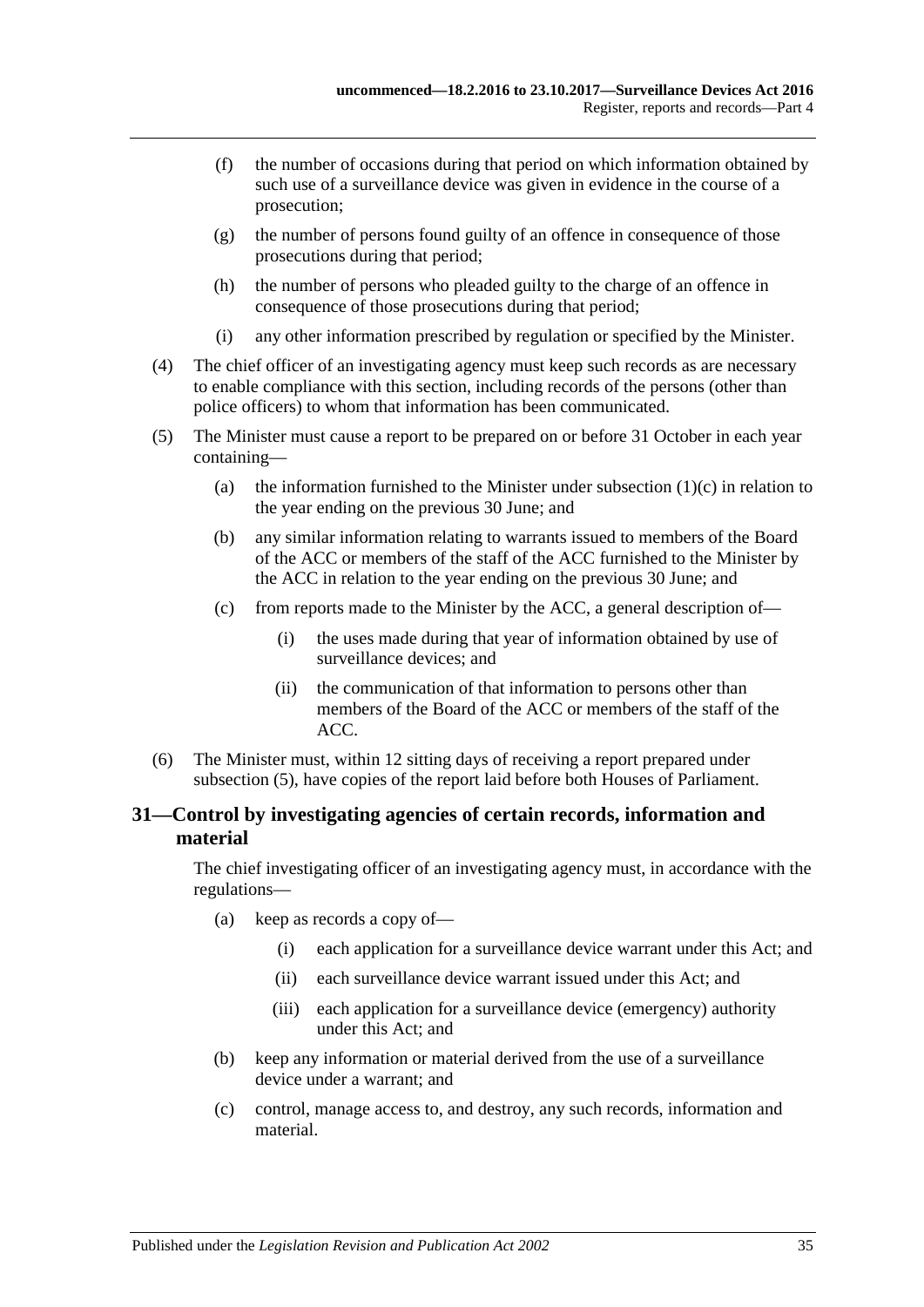- (f) the number of occasions during that period on which information obtained by such use of a surveillance device was given in evidence in the course of a prosecution;
- (g) the number of persons found guilty of an offence in consequence of those prosecutions during that period;
- (h) the number of persons who pleaded guilty to the charge of an offence in consequence of those prosecutions during that period;
- (i) any other information prescribed by regulation or specified by the Minister.
- (4) The chief officer of an investigating agency must keep such records as are necessary to enable compliance with this section, including records of the persons (other than police officers) to whom that information has been communicated.
- <span id="page-34-1"></span>(5) The Minister must cause a report to be prepared on or before 31 October in each year containing
	- (a) the information furnished to the Minister under [subsection](#page-32-0)  $(1)(c)$  in relation to the year ending on the previous 30 June; and
	- (b) any similar information relating to warrants issued to members of the Board of the ACC or members of the staff of the ACC furnished to the Minister by the ACC in relation to the year ending on the previous 30 June; and
	- (c) from reports made to the Minister by the ACC, a general description of—
		- (i) the uses made during that year of information obtained by use of surveillance devices; and
		- (ii) the communication of that information to persons other than members of the Board of the ACC or members of the staff of the ACC.
- (6) The Minister must, within 12 sitting days of receiving a report prepared under [subsection](#page-34-1) (5), have copies of the report laid before both Houses of Parliament.

### <span id="page-34-0"></span>**31—Control by investigating agencies of certain records, information and material**

The chief investigating officer of an investigating agency must, in accordance with the regulations—

- (a) keep as records a copy of—
	- (i) each application for a surveillance device warrant under this Act; and
	- (ii) each surveillance device warrant issued under this Act; and
	- (iii) each application for a surveillance device (emergency) authority under this Act; and
- (b) keep any information or material derived from the use of a surveillance device under a warrant; and
- (c) control, manage access to, and destroy, any such records, information and material.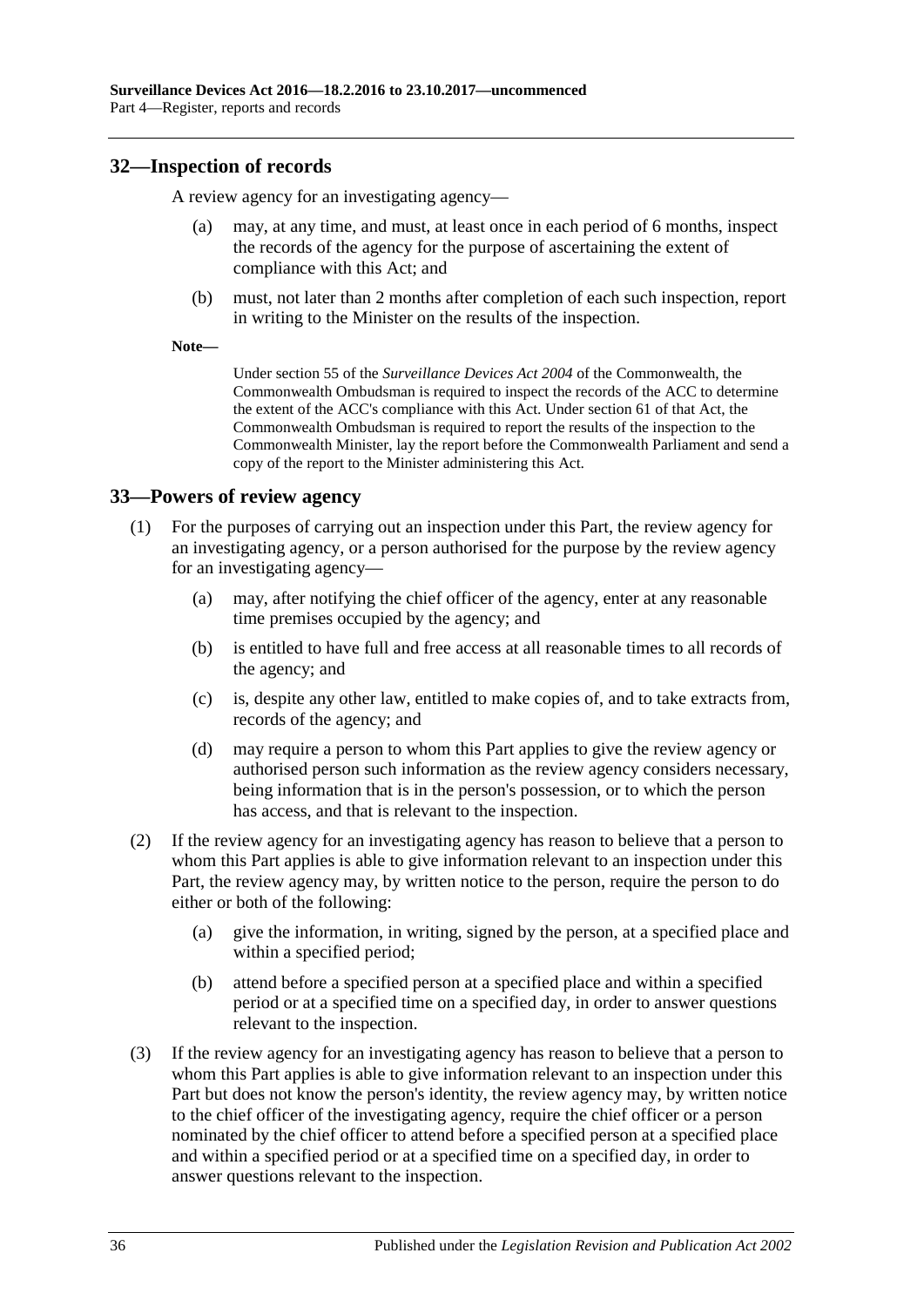### <span id="page-35-0"></span>**32—Inspection of records**

A review agency for an investigating agency—

- may, at any time, and must, at least once in each period of 6 months, inspect the records of the agency for the purpose of ascertaining the extent of compliance with this Act; and
- (b) must, not later than 2 months after completion of each such inspection, report in writing to the Minister on the results of the inspection.
- **Note—**

Under section 55 of the *Surveillance Devices Act 2004* of the Commonwealth, the Commonwealth Ombudsman is required to inspect the records of the ACC to determine the extent of the ACC's compliance with this Act. Under section 61 of that Act, the Commonwealth Ombudsman is required to report the results of the inspection to the Commonwealth Minister, lay the report before the Commonwealth Parliament and send a copy of the report to the Minister administering this Act.

### <span id="page-35-1"></span>**33—Powers of review agency**

- (1) For the purposes of carrying out an inspection under this Part, the review agency for an investigating agency, or a person authorised for the purpose by the review agency for an investigating agency—
	- (a) may, after notifying the chief officer of the agency, enter at any reasonable time premises occupied by the agency; and
	- (b) is entitled to have full and free access at all reasonable times to all records of the agency; and
	- (c) is, despite any other law, entitled to make copies of, and to take extracts from, records of the agency; and
	- (d) may require a person to whom this Part applies to give the review agency or authorised person such information as the review agency considers necessary, being information that is in the person's possession, or to which the person has access, and that is relevant to the inspection.
- (2) If the review agency for an investigating agency has reason to believe that a person to whom this Part applies is able to give information relevant to an inspection under this Part, the review agency may, by written notice to the person, require the person to do either or both of the following:
	- (a) give the information, in writing, signed by the person, at a specified place and within a specified period;
	- (b) attend before a specified person at a specified place and within a specified period or at a specified time on a specified day, in order to answer questions relevant to the inspection.
- (3) If the review agency for an investigating agency has reason to believe that a person to whom this Part applies is able to give information relevant to an inspection under this Part but does not know the person's identity, the review agency may, by written notice to the chief officer of the investigating agency, require the chief officer or a person nominated by the chief officer to attend before a specified person at a specified place and within a specified period or at a specified time on a specified day, in order to answer questions relevant to the inspection.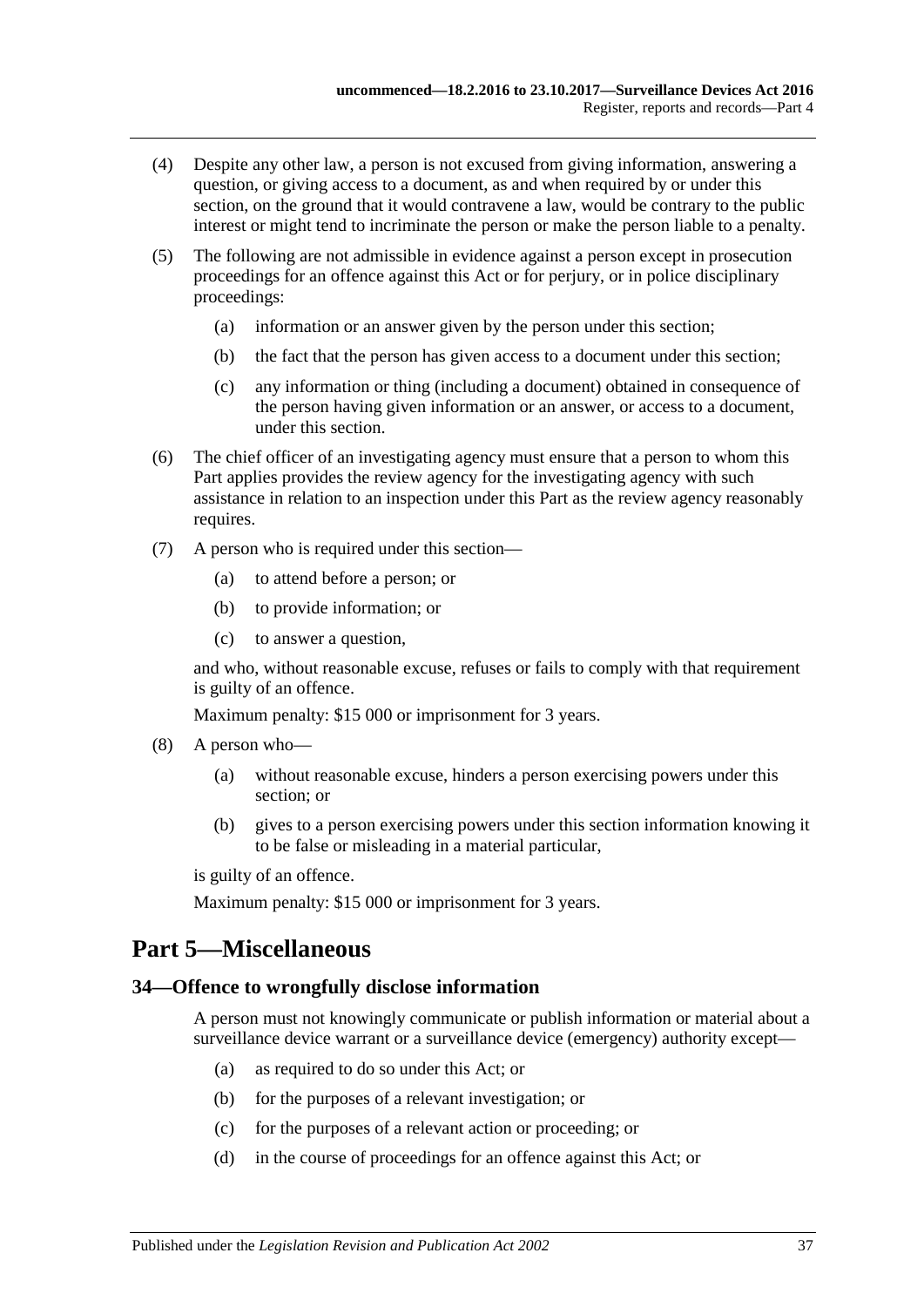- (4) Despite any other law, a person is not excused from giving information, answering a question, or giving access to a document, as and when required by or under this section, on the ground that it would contravene a law, would be contrary to the public interest or might tend to incriminate the person or make the person liable to a penalty.
- (5) The following are not admissible in evidence against a person except in prosecution proceedings for an offence against this Act or for perjury, or in police disciplinary proceedings:
	- (a) information or an answer given by the person under this section;
	- (b) the fact that the person has given access to a document under this section;
	- (c) any information or thing (including a document) obtained in consequence of the person having given information or an answer, or access to a document, under this section.
- (6) The chief officer of an investigating agency must ensure that a person to whom this Part applies provides the review agency for the investigating agency with such assistance in relation to an inspection under this Part as the review agency reasonably requires.
- (7) A person who is required under this section—
	- (a) to attend before a person; or
	- (b) to provide information; or
	- (c) to answer a question,

and who, without reasonable excuse, refuses or fails to comply with that requirement is guilty of an offence.

Maximum penalty: \$15 000 or imprisonment for 3 years.

- (8) A person who—
	- (a) without reasonable excuse, hinders a person exercising powers under this section; or
	- (b) gives to a person exercising powers under this section information knowing it to be false or misleading in a material particular,

is guilty of an offence.

Maximum penalty: \$15 000 or imprisonment for 3 years.

## <span id="page-36-0"></span>**Part 5—Miscellaneous**

#### <span id="page-36-1"></span>**34—Offence to wrongfully disclose information**

A person must not knowingly communicate or publish information or material about a surveillance device warrant or a surveillance device (emergency) authority except—

- (a) as required to do so under this Act; or
- (b) for the purposes of a relevant investigation; or
- (c) for the purposes of a relevant action or proceeding; or
- (d) in the course of proceedings for an offence against this Act; or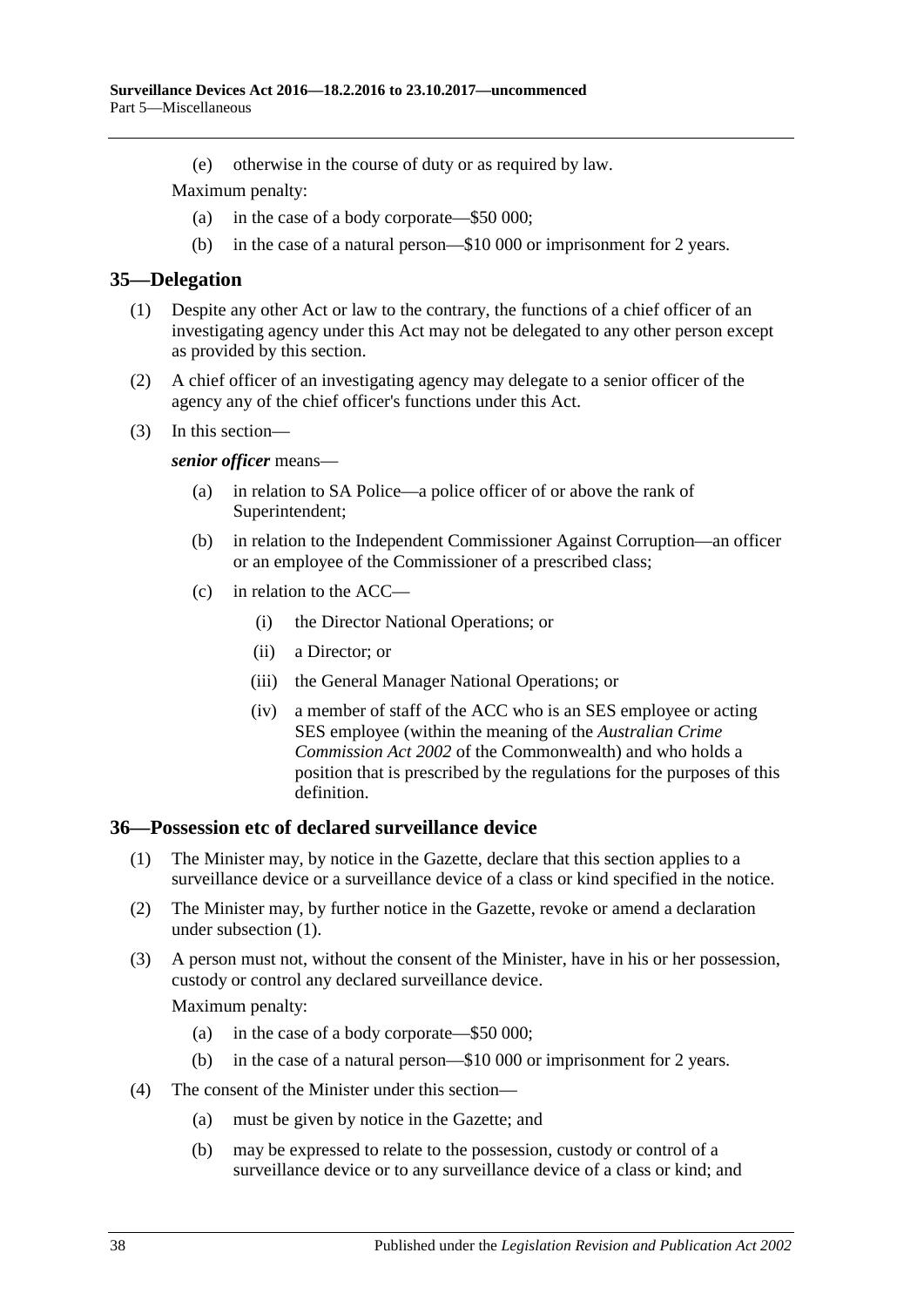(e) otherwise in the course of duty or as required by law.

Maximum penalty:

- (a) in the case of a body corporate—\$50 000;
- (b) in the case of a natural person—\$10 000 or imprisonment for 2 years.

#### <span id="page-37-0"></span>**35—Delegation**

- (1) Despite any other Act or law to the contrary, the functions of a chief officer of an investigating agency under this Act may not be delegated to any other person except as provided by this section.
- (2) A chief officer of an investigating agency may delegate to a senior officer of the agency any of the chief officer's functions under this Act.
- (3) In this section—

#### *senior officer* means—

- (a) in relation to SA Police—a police officer of or above the rank of Superintendent;
- (b) in relation to the Independent Commissioner Against Corruption—an officer or an employee of the Commissioner of a prescribed class;
- (c) in relation to the ACC—
	- (i) the Director National Operations; or
	- (ii) a Director; or
	- (iii) the General Manager National Operations; or
	- (iv) a member of staff of the ACC who is an SES employee or acting SES employee (within the meaning of the *Australian Crime Commission Act 2002* of the Commonwealth) and who holds a position that is prescribed by the regulations for the purposes of this definition.

#### <span id="page-37-2"></span><span id="page-37-1"></span>**36—Possession etc of declared surveillance device**

- (1) The Minister may, by notice in the Gazette, declare that this section applies to a surveillance device or a surveillance device of a class or kind specified in the notice.
- (2) The Minister may, by further notice in the Gazette, revoke or amend a declaration under [subsection](#page-37-2) (1).
- (3) A person must not, without the consent of the Minister, have in his or her possession, custody or control any declared surveillance device.

- (a) in the case of a body corporate—\$50 000;
- (b) in the case of a natural person—\$10 000 or imprisonment for 2 years.
- (4) The consent of the Minister under this section—
	- (a) must be given by notice in the Gazette; and
	- (b) may be expressed to relate to the possession, custody or control of a surveillance device or to any surveillance device of a class or kind; and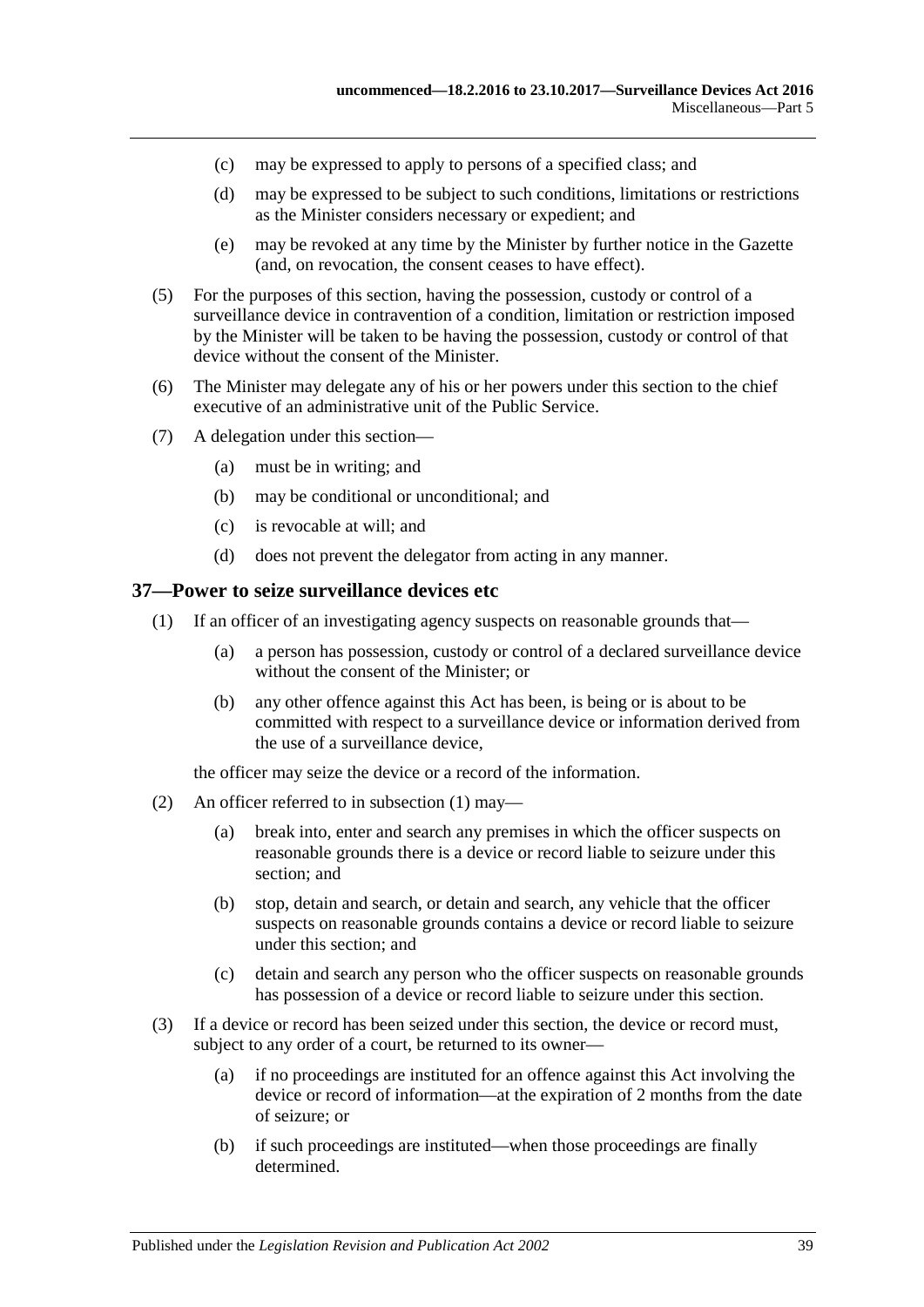- (c) may be expressed to apply to persons of a specified class; and
- (d) may be expressed to be subject to such conditions, limitations or restrictions as the Minister considers necessary or expedient; and
- (e) may be revoked at any time by the Minister by further notice in the Gazette (and, on revocation, the consent ceases to have effect).
- (5) For the purposes of this section, having the possession, custody or control of a surveillance device in contravention of a condition, limitation or restriction imposed by the Minister will be taken to be having the possession, custody or control of that device without the consent of the Minister.
- (6) The Minister may delegate any of his or her powers under this section to the chief executive of an administrative unit of the Public Service.
- (7) A delegation under this section—
	- (a) must be in writing; and
	- (b) may be conditional or unconditional; and
	- (c) is revocable at will; and
	- (d) does not prevent the delegator from acting in any manner.

#### <span id="page-38-1"></span><span id="page-38-0"></span>**37—Power to seize surveillance devices etc**

- (1) If an officer of an investigating agency suspects on reasonable grounds that—
	- (a) a person has possession, custody or control of a declared surveillance device without the consent of the Minister; or
	- (b) any other offence against this Act has been, is being or is about to be committed with respect to a surveillance device or information derived from the use of a surveillance device,

the officer may seize the device or a record of the information.

- (2) An officer referred to in [subsection](#page-38-1) (1) may—
	- (a) break into, enter and search any premises in which the officer suspects on reasonable grounds there is a device or record liable to seizure under this section; and
	- (b) stop, detain and search, or detain and search, any vehicle that the officer suspects on reasonable grounds contains a device or record liable to seizure under this section; and
	- (c) detain and search any person who the officer suspects on reasonable grounds has possession of a device or record liable to seizure under this section.
- (3) If a device or record has been seized under this section, the device or record must, subject to any order of a court, be returned to its owner—
	- (a) if no proceedings are instituted for an offence against this Act involving the device or record of information—at the expiration of 2 months from the date of seizure; or
	- (b) if such proceedings are instituted—when those proceedings are finally determined.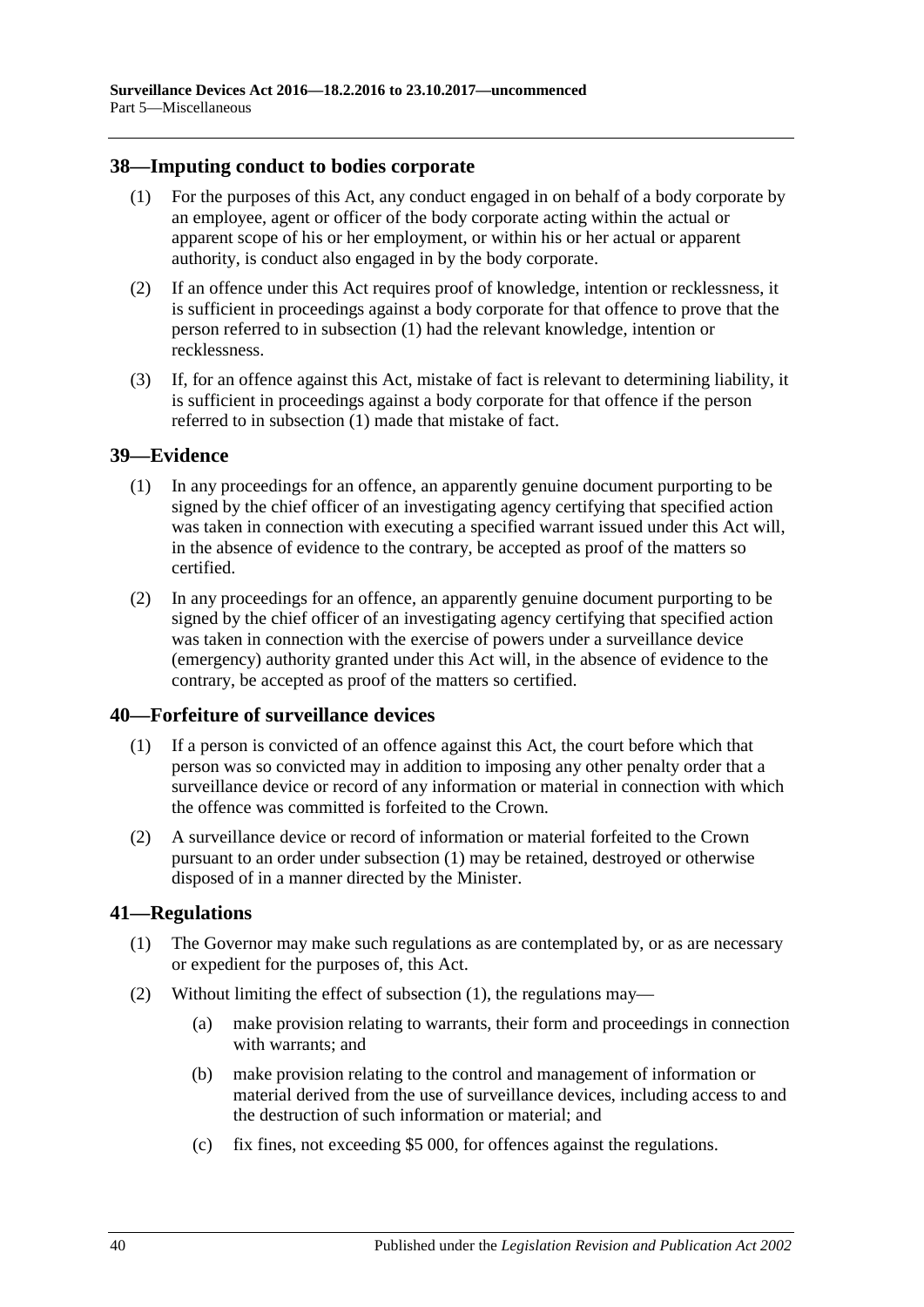#### <span id="page-39-4"></span><span id="page-39-0"></span>**38—Imputing conduct to bodies corporate**

- (1) For the purposes of this Act, any conduct engaged in on behalf of a body corporate by an employee, agent or officer of the body corporate acting within the actual or apparent scope of his or her employment, or within his or her actual or apparent authority, is conduct also engaged in by the body corporate.
- (2) If an offence under this Act requires proof of knowledge, intention or recklessness, it is sufficient in proceedings against a body corporate for that offence to prove that the person referred to in [subsection](#page-39-4) (1) had the relevant knowledge, intention or recklessness.
- (3) If, for an offence against this Act, mistake of fact is relevant to determining liability, it is sufficient in proceedings against a body corporate for that offence if the person referred to in [subsection](#page-39-4) (1) made that mistake of fact.

### <span id="page-39-1"></span>**39—Evidence**

- (1) In any proceedings for an offence, an apparently genuine document purporting to be signed by the chief officer of an investigating agency certifying that specified action was taken in connection with executing a specified warrant issued under this Act will, in the absence of evidence to the contrary, be accepted as proof of the matters so certified.
- (2) In any proceedings for an offence, an apparently genuine document purporting to be signed by the chief officer of an investigating agency certifying that specified action was taken in connection with the exercise of powers under a surveillance device (emergency) authority granted under this Act will, in the absence of evidence to the contrary, be accepted as proof of the matters so certified.

#### <span id="page-39-5"></span><span id="page-39-2"></span>**40—Forfeiture of surveillance devices**

- (1) If a person is convicted of an offence against this Act, the court before which that person was so convicted may in addition to imposing any other penalty order that a surveillance device or record of any information or material in connection with which the offence was committed is forfeited to the Crown.
- (2) A surveillance device or record of information or material forfeited to the Crown pursuant to an order under [subsection](#page-39-5) (1) may be retained, destroyed or otherwise disposed of in a manner directed by the Minister.

### <span id="page-39-6"></span><span id="page-39-3"></span>**41—Regulations**

- (1) The Governor may make such regulations as are contemplated by, or as are necessary or expedient for the purposes of, this Act.
- (2) Without limiting the effect of [subsection](#page-39-6) (1), the regulations may—
	- (a) make provision relating to warrants, their form and proceedings in connection with warrants; and
	- (b) make provision relating to the control and management of information or material derived from the use of surveillance devices, including access to and the destruction of such information or material; and
	- (c) fix fines, not exceeding \$5 000, for offences against the regulations.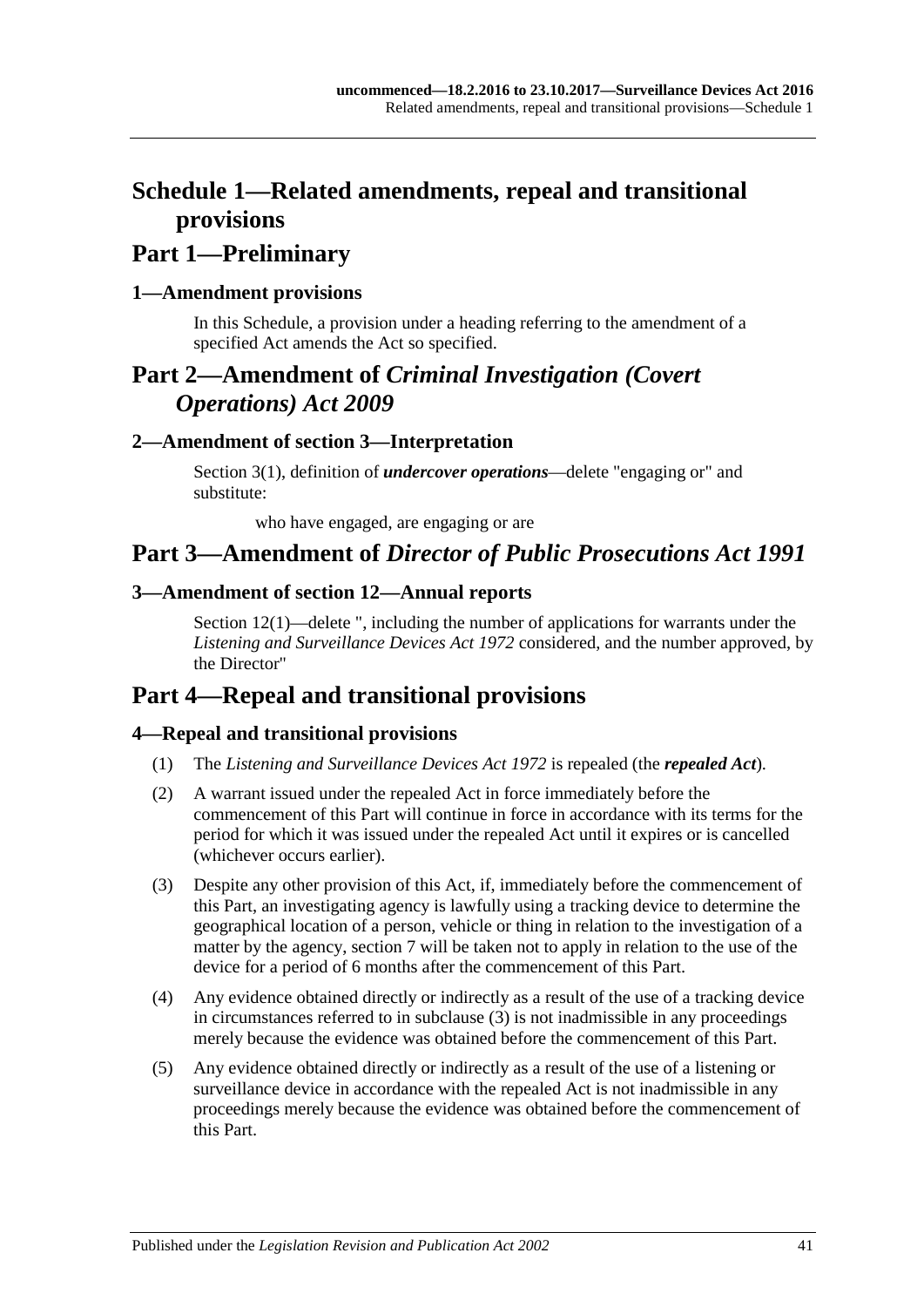## <span id="page-40-0"></span>**Schedule 1—Related amendments, repeal and transitional provisions**

## **Part 1—Preliminary**

## <span id="page-40-1"></span>**1—Amendment provisions**

In this Schedule, a provision under a heading referring to the amendment of a specified Act amends the Act so specified.

## **Part 2—Amendment of** *Criminal Investigation (Covert Operations) Act 2009*

## <span id="page-40-2"></span>**2—Amendment of section 3—Interpretation**

Section 3(1), definition of *undercover operations*—delete "engaging or" and substitute:

who have engaged, are engaging or are

## **Part 3—Amendment of** *Director of Public Prosecutions Act 1991*

### <span id="page-40-3"></span>**3—Amendment of section 12—Annual reports**

Section 12(1)—delete ", including the number of applications for warrants under the *[Listening and Surveillance Devices Act](http://www.legislation.sa.gov.au/index.aspx?action=legref&type=act&legtitle=Listening%20and%20Surveillance%20Devices%20Act%201972) 1972* considered, and the number approved, by the Director"

## **Part 4—Repeal and transitional provisions**

## <span id="page-40-4"></span>**4—Repeal and transitional provisions**

- (1) The *[Listening and Surveillance Devices Act](http://www.legislation.sa.gov.au/index.aspx?action=legref&type=act&legtitle=Listening%20and%20Surveillance%20Devices%20Act%201972) 1972* is repealed (the *repealed Act*).
- (2) A warrant issued under the repealed Act in force immediately before the commencement of this Part will continue in force in accordance with its terms for the period for which it was issued under the repealed Act until it expires or is cancelled (whichever occurs earlier).
- <span id="page-40-5"></span>(3) Despite any other provision of this Act, if, immediately before the commencement of this Part, an investigating agency is lawfully using a tracking device to determine the geographical location of a person, vehicle or thing in relation to the investigation of a matter by the agency, [section](#page-12-1) 7 will be taken not to apply in relation to the use of the device for a period of 6 months after the commencement of this Part.
- (4) Any evidence obtained directly or indirectly as a result of the use of a tracking device in circumstances referred to in [subclause](#page-40-5) (3) is not inadmissible in any proceedings merely because the evidence was obtained before the commencement of this Part.
- (5) Any evidence obtained directly or indirectly as a result of the use of a listening or surveillance device in accordance with the repealed Act is not inadmissible in any proceedings merely because the evidence was obtained before the commencement of this Part.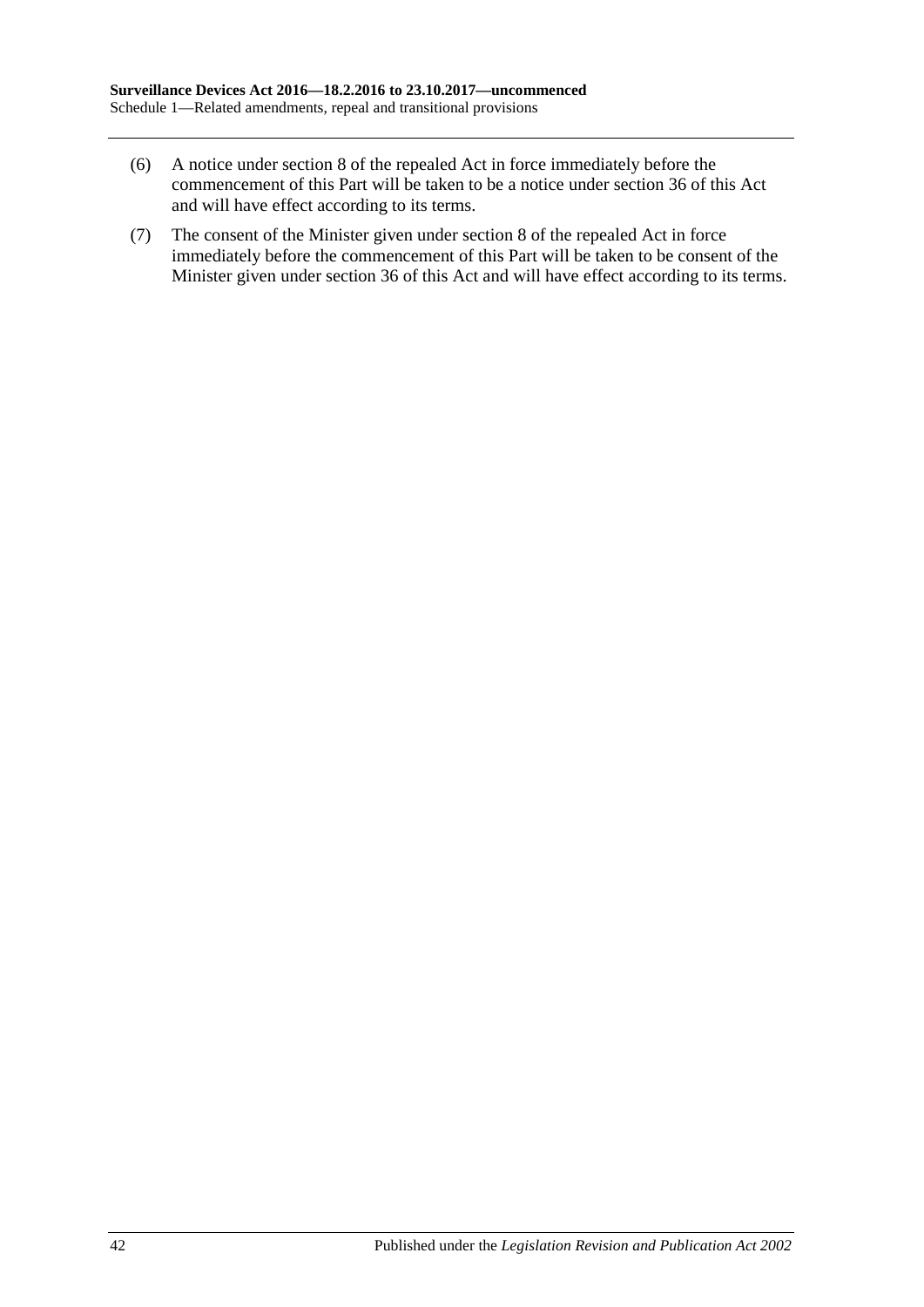- (6) A notice under section 8 of the repealed Act in force immediately before the commencement of this Part will be taken to be a notice under [section](#page-37-1) 36 of this Act and will have effect according to its terms.
- (7) The consent of the Minister given under section 8 of the repealed Act in force immediately before the commencement of this Part will be taken to be consent of the Minister given under [section](#page-37-1) 36 of this Act and will have effect according to its terms.